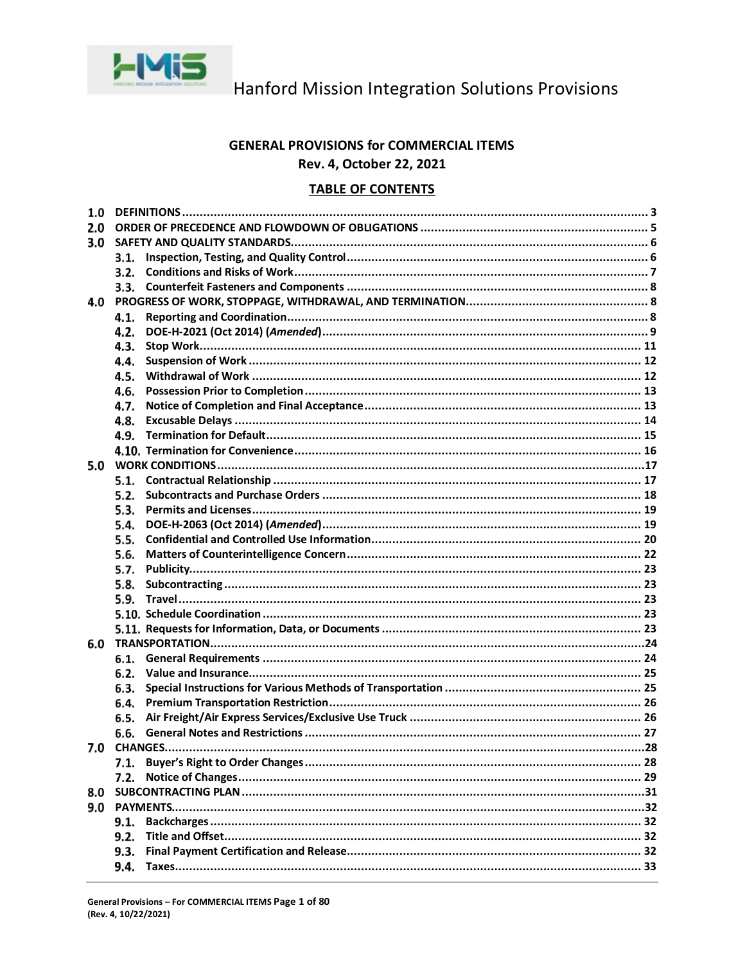

### **GENERAL PROVISIONS for COMMERCIAL ITEMS** Rev. 4, October 22, 2021

### **TABLE OF CONTENTS**

| 1.0 |      |  |  |  |
|-----|------|--|--|--|
| 2.0 |      |  |  |  |
| 3.0 |      |  |  |  |
|     | 3.1. |  |  |  |
|     | 3.2. |  |  |  |
|     | 3.3. |  |  |  |
| 4.0 |      |  |  |  |
|     | 4.1. |  |  |  |
|     | 4.2. |  |  |  |
|     | 4.3. |  |  |  |
|     | 4.4. |  |  |  |
|     | 4.5. |  |  |  |
|     | 4.6. |  |  |  |
|     | 4.7. |  |  |  |
|     | 4.8. |  |  |  |
|     | 4.9. |  |  |  |
|     |      |  |  |  |
| 5.0 |      |  |  |  |
|     | 5.1. |  |  |  |
|     | 5.2. |  |  |  |
|     | 5.3. |  |  |  |
|     | 5.4. |  |  |  |
|     | 5.5. |  |  |  |
|     | 5.6. |  |  |  |
|     | 5.7. |  |  |  |
|     | 5.8. |  |  |  |
|     | 5.9. |  |  |  |
|     |      |  |  |  |
|     |      |  |  |  |
| 6.0 |      |  |  |  |
|     | 6.1. |  |  |  |
|     | 6.2. |  |  |  |
|     | 6.3. |  |  |  |
|     | 6.4. |  |  |  |
|     | 6.5. |  |  |  |
|     | 6.6. |  |  |  |
|     |      |  |  |  |
|     | 7.1. |  |  |  |
|     | 7.2. |  |  |  |
| 8.0 |      |  |  |  |
| 9.0 |      |  |  |  |
|     | 9.1. |  |  |  |
|     | 9.2. |  |  |  |
|     |      |  |  |  |
|     | 9.3. |  |  |  |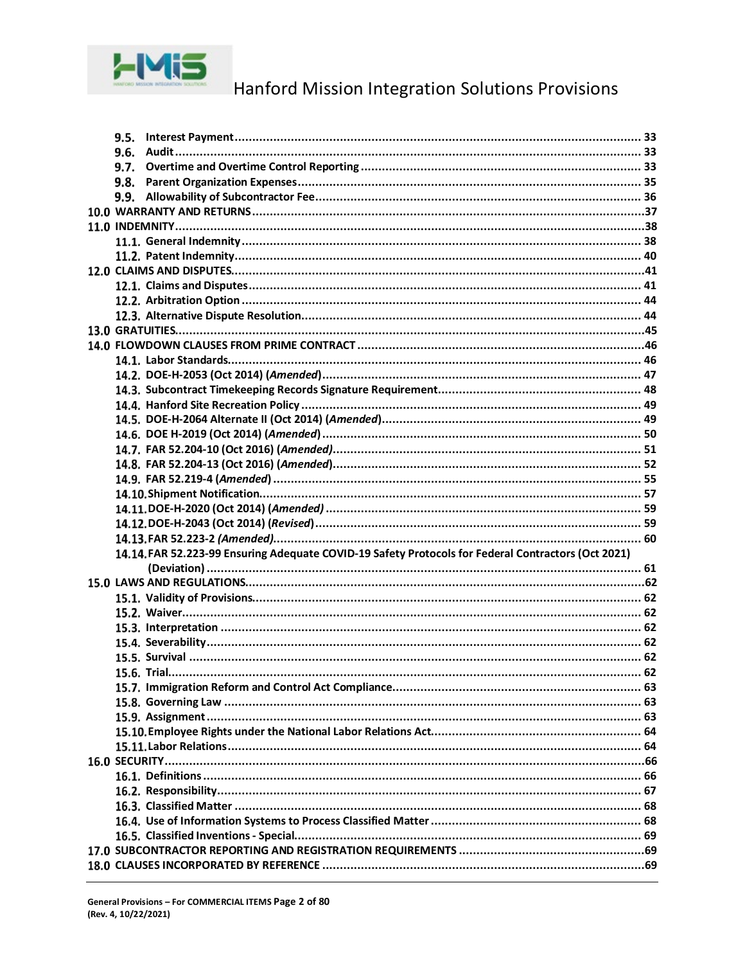

| 9.5. |                                                                                                     |  |
|------|-----------------------------------------------------------------------------------------------------|--|
| 9.6. |                                                                                                     |  |
| 9.7. |                                                                                                     |  |
| 9.8. |                                                                                                     |  |
| 9.9. |                                                                                                     |  |
|      |                                                                                                     |  |
|      |                                                                                                     |  |
|      |                                                                                                     |  |
|      |                                                                                                     |  |
|      |                                                                                                     |  |
|      |                                                                                                     |  |
|      |                                                                                                     |  |
|      |                                                                                                     |  |
|      |                                                                                                     |  |
|      |                                                                                                     |  |
|      |                                                                                                     |  |
|      |                                                                                                     |  |
|      |                                                                                                     |  |
|      |                                                                                                     |  |
|      |                                                                                                     |  |
|      |                                                                                                     |  |
|      |                                                                                                     |  |
|      |                                                                                                     |  |
|      |                                                                                                     |  |
|      |                                                                                                     |  |
|      |                                                                                                     |  |
|      |                                                                                                     |  |
|      |                                                                                                     |  |
|      | 14.14. FAR 52.223-99 Ensuring Adequate COVID-19 Safety Protocols for Federal Contractors (Oct 2021) |  |
|      |                                                                                                     |  |
|      |                                                                                                     |  |
|      |                                                                                                     |  |
|      |                                                                                                     |  |
|      |                                                                                                     |  |
|      |                                                                                                     |  |
|      |                                                                                                     |  |
|      |                                                                                                     |  |
|      |                                                                                                     |  |
|      |                                                                                                     |  |
|      |                                                                                                     |  |
|      |                                                                                                     |  |
|      |                                                                                                     |  |
|      |                                                                                                     |  |
|      |                                                                                                     |  |
|      |                                                                                                     |  |
|      |                                                                                                     |  |
|      |                                                                                                     |  |
|      |                                                                                                     |  |
|      |                                                                                                     |  |
|      |                                                                                                     |  |
|      |                                                                                                     |  |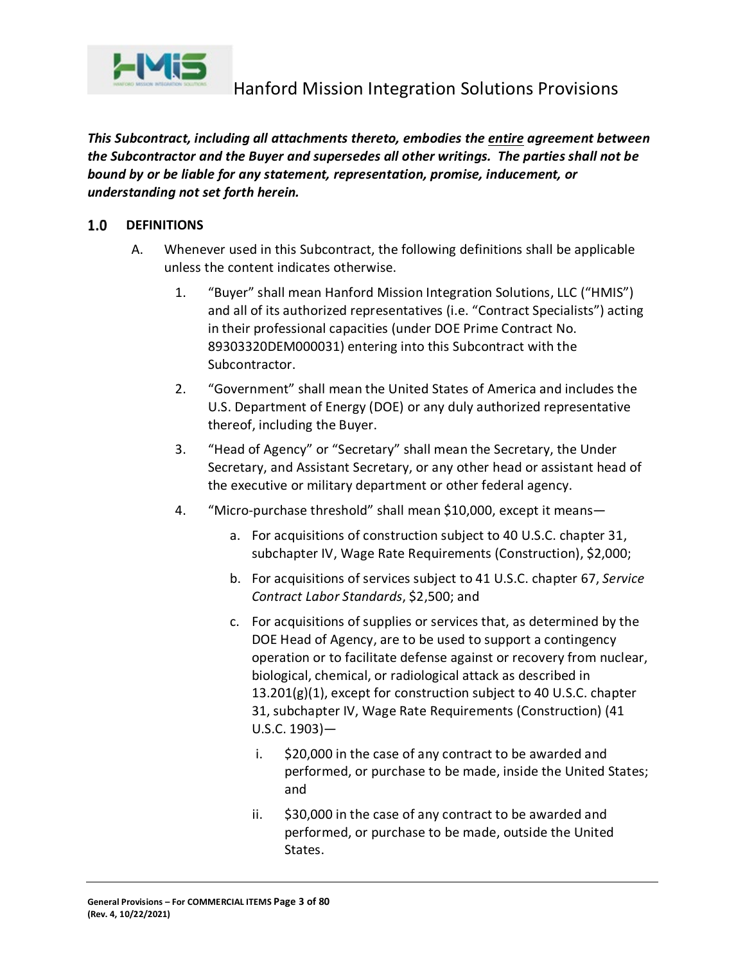

*This Subcontract, including all attachments thereto, embodies the entire agreement between the Subcontractor and the Buyer and supersedes all other writings. The parties shall not be bound by or be liable for any statement, representation, promise, inducement, or understanding not set forth herein.*

#### <span id="page-2-0"></span> $1.0$ **DEFINITIONS**

- A. Whenever used in this Subcontract, the following definitions shall be applicable unless the content indicates otherwise.
	- 1. "Buyer" shall mean Hanford Mission Integration Solutions, LLC ("HMIS") and all of its authorized representatives (i.e. "Contract Specialists") acting in their professional capacities (under DOE Prime Contract No. 89303320DEM000031) entering into this Subcontract with the Subcontractor.
	- 2. "Government" shall mean the United States of America and includes the U.S. Department of Energy (DOE) or any duly authorized representative thereof, including the Buyer.
	- 3. "Head of Agency" or "Secretary" shall mean the Secretary, the Under Secretary, and Assistant Secretary, or any other head or assistant head of the executive or military department or other federal agency.
	- 4. "Micro-purchase threshold" shall mean \$10,000, except it means
		- a. For acquisitions of construction subject to 40 U.S.C. chapter 31, subchapter IV, Wage Rate Requirements (Construction), \$2,000;
		- b. For acquisitions of services subject to 41 U.S.C. chapter 67, *Service Contract Labor Standards*, \$2,500; and
		- c. For acquisitions of supplies or services that, as determined by the DOE Head of Agency, are to be used to support a contingency operation or to facilitate defense against or recovery from nuclear, biological, chemical, or radiological attack as described in 13.201(g)(1), except for construction subject to 40 U.S.C. chapter 31, subchapter IV, Wage Rate Requirements (Construction) (41 U.S.C. 1903)
			- i. \$20,000 in the case of any contract to be awarded and performed, or purchase to be made, inside the United States; and
			- ii. \$30,000 in the case of any contract to be awarded and performed, or purchase to be made, outside the United States.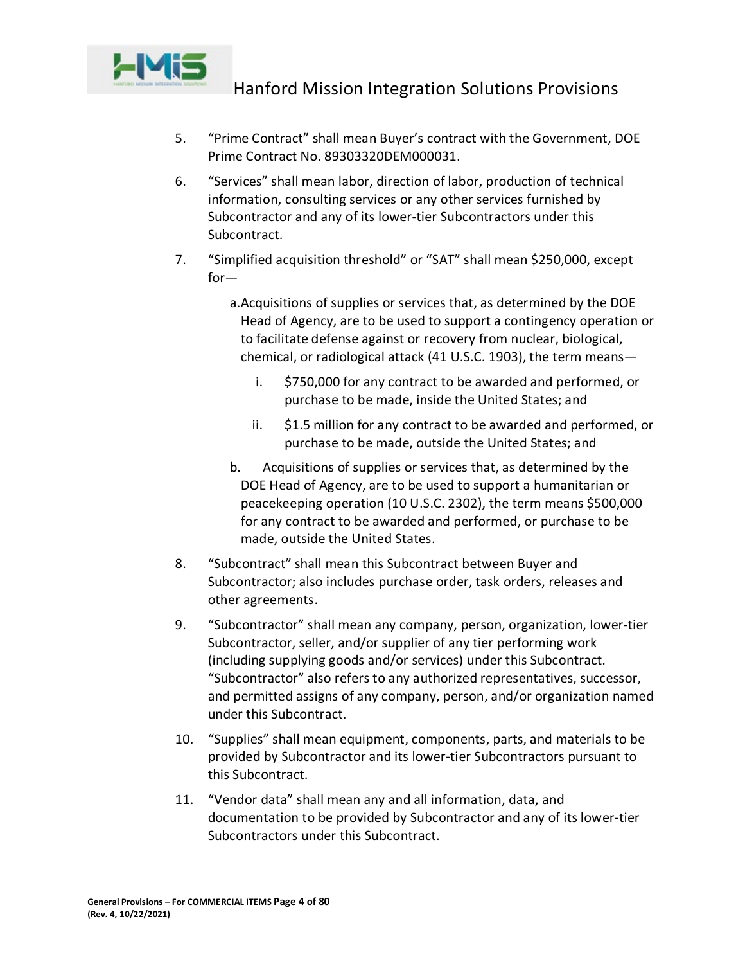

- 5. "Prime Contract" shall mean Buyer's contract with the Government, DOE Prime Contract No. 89303320DEM000031.
- 6. "Services" shall mean labor, direction of labor, production of technical information, consulting services or any other services furnished by Subcontractor and any of its lower-tier Subcontractors under this Subcontract.
- 7. "Simplified acquisition threshold" or "SAT" shall mean \$250,000, except for
	- a.Acquisitions of supplies or services that, as determined by the DOE Head of Agency, are to be used to support a contingency operation or to facilitate defense against or recovery from nuclear, biological, chemical, or radiological attack (41 U.S.C. 1903), the term means
		- i. \$750,000 for any contract to be awarded and performed, or purchase to be made, inside the United States; and
		- ii. \$1.5 million for any contract to be awarded and performed, or purchase to be made, outside the United States; and
	- b. Acquisitions of supplies or services that, as determined by the DOE Head of Agency, are to be used to support a humanitarian or peacekeeping operation (10 U.S.C. 2302), the term means \$500,000 for any contract to be awarded and performed, or purchase to be made, outside the United States.
- 8. "Subcontract" shall mean this Subcontract between Buyer and Subcontractor; also includes purchase order, task orders, releases and other agreements.
- 9. "Subcontractor" shall mean any company, person, organization, lower-tier Subcontractor, seller, and/or supplier of any tier performing work (including supplying goods and/or services) under this Subcontract. "Subcontractor" also refers to any authorized representatives, successor, and permitted assigns of any company, person, and/or organization named under this Subcontract.
- 10. "Supplies" shall mean equipment, components, parts, and materials to be provided by Subcontractor and its lower-tier Subcontractors pursuant to this Subcontract.
- 11. "Vendor data" shall mean any and all information, data, and documentation to be provided by Subcontractor and any of its lower-tier Subcontractors under this Subcontract.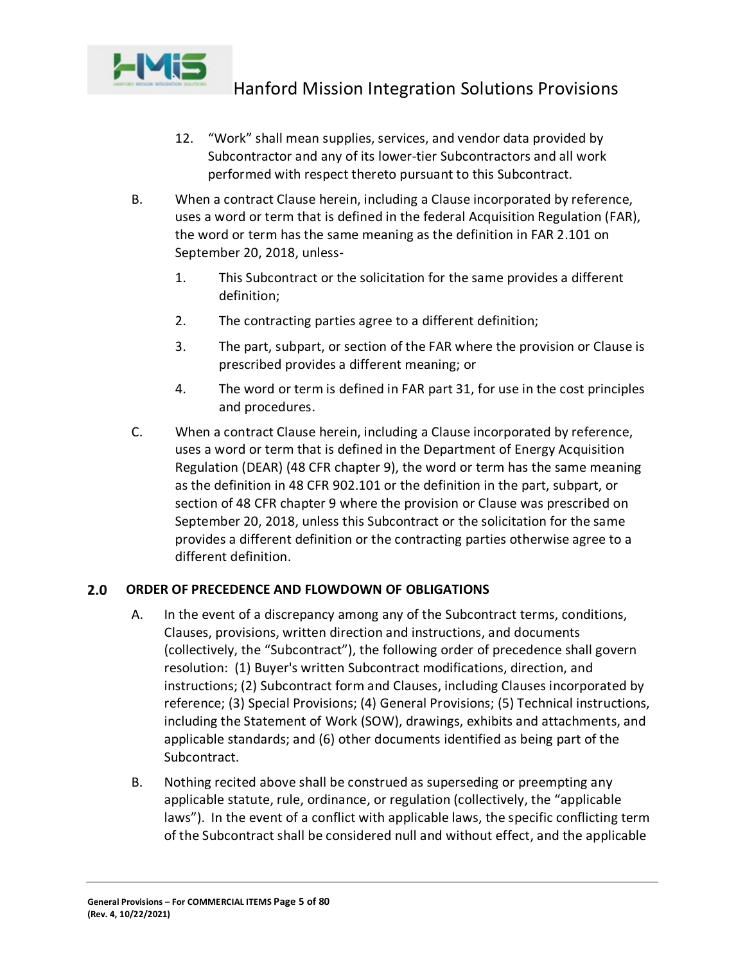

- 12. "Work" shall mean supplies, services, and vendor data provided by Subcontractor and any of its lower-tier Subcontractors and all work performed with respect thereto pursuant to this Subcontract.
- B. When a contract Clause herein, including a Clause incorporated by reference, uses a word or term that is defined in the federal Acquisition Regulation (FAR), the word or term has the same meaning as the definition in FAR 2.101 on September 20, 2018, unless-
	- 1. This Subcontract or the solicitation for the same provides a different definition;
	- 2. The contracting parties agree to a different definition;
	- 3. The part, subpart, or section of the FAR where the provision or Clause is prescribed provides a different meaning; or
	- 4. The word or term is defined in FAR part 31, for use in the cost principles and procedures.
- C. When a contract Clause herein, including a Clause incorporated by reference, uses a word or term that is defined in the Department of Energy Acquisition Regulation (DEAR) (48 CFR chapter 9), the word or term has the same meaning as the definition in 48 CFR 902.101 or the definition in the part, subpart, or section of 48 CFR chapter 9 where the provision or Clause was prescribed on September 20, 2018, unless this Subcontract or the solicitation for the same provides a different definition or the contracting parties otherwise agree to a different definition.

#### <span id="page-4-0"></span> $2.0$ **ORDER OF PRECEDENCE AND FLOWDOWN OF OBLIGATIONS**

- A. In the event of a discrepancy among any of the Subcontract terms, conditions, Clauses, provisions, written direction and instructions, and documents (collectively, the "Subcontract"), the following order of precedence shall govern resolution: (1) Buyer's written Subcontract modifications, direction, and instructions; (2) Subcontract form and Clauses, including Clauses incorporated by reference; (3) Special Provisions; (4) General Provisions; (5) Technical instructions, including the Statement of Work (SOW), drawings, exhibits and attachments, and applicable standards; and (6) other documents identified as being part of the Subcontract.
- B. Nothing recited above shall be construed as superseding or preempting any applicable statute, rule, ordinance, or regulation (collectively, the "applicable laws"). In the event of a conflict with applicable laws, the specific conflicting term of the Subcontract shall be considered null and without effect, and the applicable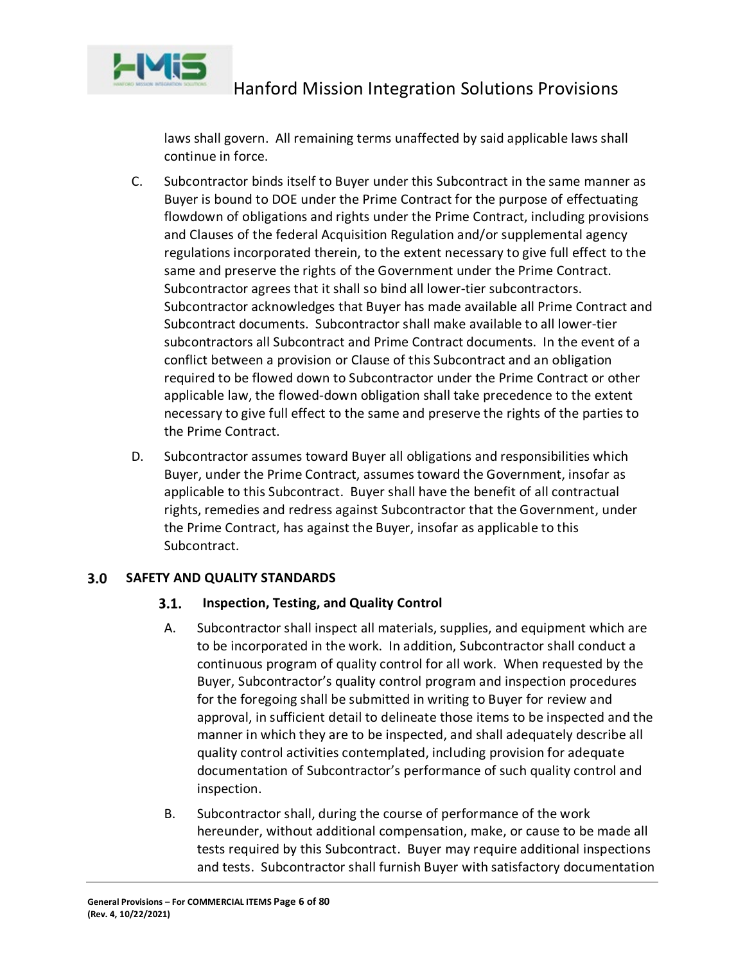

laws shall govern. All remaining terms unaffected by said applicable laws shall continue in force.

- C. Subcontractor binds itself to Buyer under this Subcontract in the same manner as Buyer is bound to DOE under the Prime Contract for the purpose of effectuating flowdown of obligations and rights under the Prime Contract, including provisions and Clauses of the federal Acquisition Regulation and/or supplemental agency regulations incorporated therein, to the extent necessary to give full effect to the same and preserve the rights of the Government under the Prime Contract. Subcontractor agrees that it shall so bind all lower-tier subcontractors. Subcontractor acknowledges that Buyer has made available all Prime Contract and Subcontract documents. Subcontractor shall make available to all lower-tier subcontractors all Subcontract and Prime Contract documents. In the event of a conflict between a provision or Clause of this Subcontract and an obligation required to be flowed down to Subcontractor under the Prime Contract or other applicable law, the flowed-down obligation shall take precedence to the extent necessary to give full effect to the same and preserve the rights of the parties to the Prime Contract.
- D. Subcontractor assumes toward Buyer all obligations and responsibilities which Buyer, under the Prime Contract, assumes toward the Government, insofar as applicable to this Subcontract. Buyer shall have the benefit of all contractual rights, remedies and redress against Subcontractor that the Government, under the Prime Contract, has against the Buyer, insofar as applicable to this Subcontract.

#### <span id="page-5-1"></span><span id="page-5-0"></span>**SAFETY AND QUALITY STANDARDS**  $3.0$

#### $3.1.$ **Inspection, Testing, and Quality Control**

- A. Subcontractor shall inspect all materials, supplies, and equipment which are to be incorporated in the work. In addition, Subcontractor shall conduct a continuous program of quality control for all work. When requested by the Buyer, Subcontractor's quality control program and inspection procedures for the foregoing shall be submitted in writing to Buyer for review and approval, in sufficient detail to delineate those items to be inspected and the manner in which they are to be inspected, and shall adequately describe all quality control activities contemplated, including provision for adequate documentation of Subcontractor's performance of such quality control and inspection.
- B. Subcontractor shall, during the course of performance of the work hereunder, without additional compensation, make, or cause to be made all tests required by this Subcontract. Buyer may require additional inspections and tests. Subcontractor shall furnish Buyer with satisfactory documentation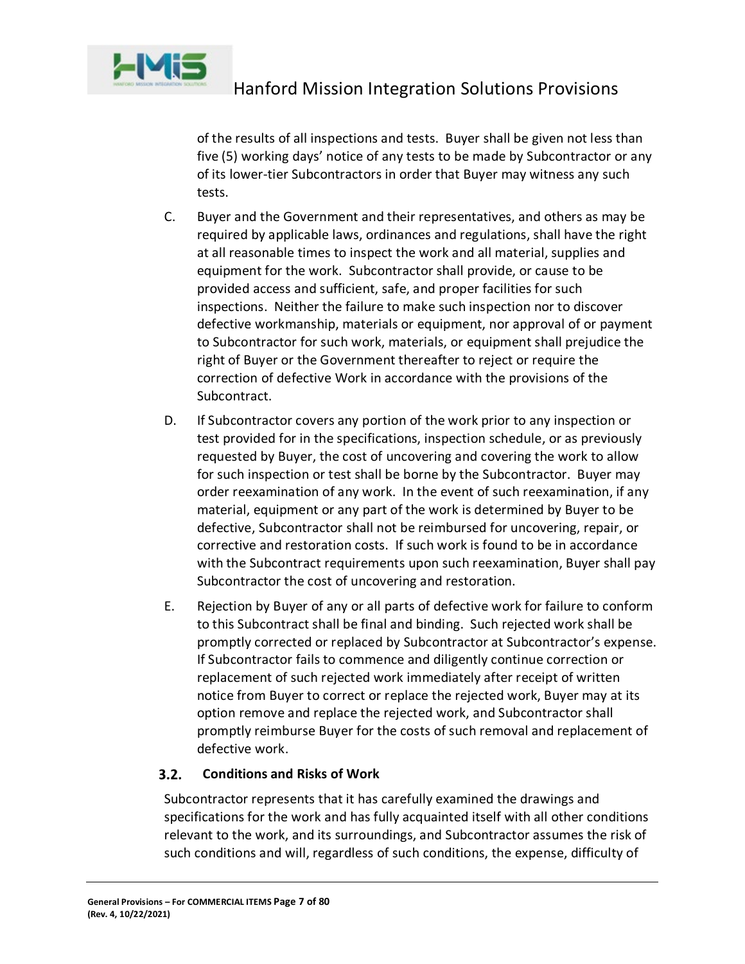

of the results of all inspections and tests. Buyer shall be given not less than five (5) working days' notice of any tests to be made by Subcontractor or any of its lower-tier Subcontractors in order that Buyer may witness any such tests.

- C. Buyer and the Government and their representatives, and others as may be required by applicable laws, ordinances and regulations, shall have the right at all reasonable times to inspect the work and all material, supplies and equipment for the work. Subcontractor shall provide, or cause to be provided access and sufficient, safe, and proper facilities for such inspections. Neither the failure to make such inspection nor to discover defective workmanship, materials or equipment, nor approval of or payment to Subcontractor for such work, materials, or equipment shall prejudice the right of Buyer or the Government thereafter to reject or require the correction of defective Work in accordance with the provisions of the Subcontract.
- D. If Subcontractor covers any portion of the work prior to any inspection or test provided for in the specifications, inspection schedule, or as previously requested by Buyer, the cost of uncovering and covering the work to allow for such inspection or test shall be borne by the Subcontractor. Buyer may order reexamination of any work. In the event of such reexamination, if any material, equipment or any part of the work is determined by Buyer to be defective, Subcontractor shall not be reimbursed for uncovering, repair, or corrective and restoration costs. If such work is found to be in accordance with the Subcontract requirements upon such reexamination, Buyer shall pay Subcontractor the cost of uncovering and restoration.
- E. Rejection by Buyer of any or all parts of defective work for failure to conform to this Subcontract shall be final and binding. Such rejected work shall be promptly corrected or replaced by Subcontractor at Subcontractor's expense. If Subcontractor fails to commence and diligently continue correction or replacement of such rejected work immediately after receipt of written notice from Buyer to correct or replace the rejected work, Buyer may at its option remove and replace the rejected work, and Subcontractor shall promptly reimburse Buyer for the costs of such removal and replacement of defective work.

#### <span id="page-6-0"></span> $3.2.$ **Conditions and Risks of Work**

Subcontractor represents that it has carefully examined the drawings and specifications for the work and has fully acquainted itself with all other conditions relevant to the work, and its surroundings, and Subcontractor assumes the risk of such conditions and will, regardless of such conditions, the expense, difficulty of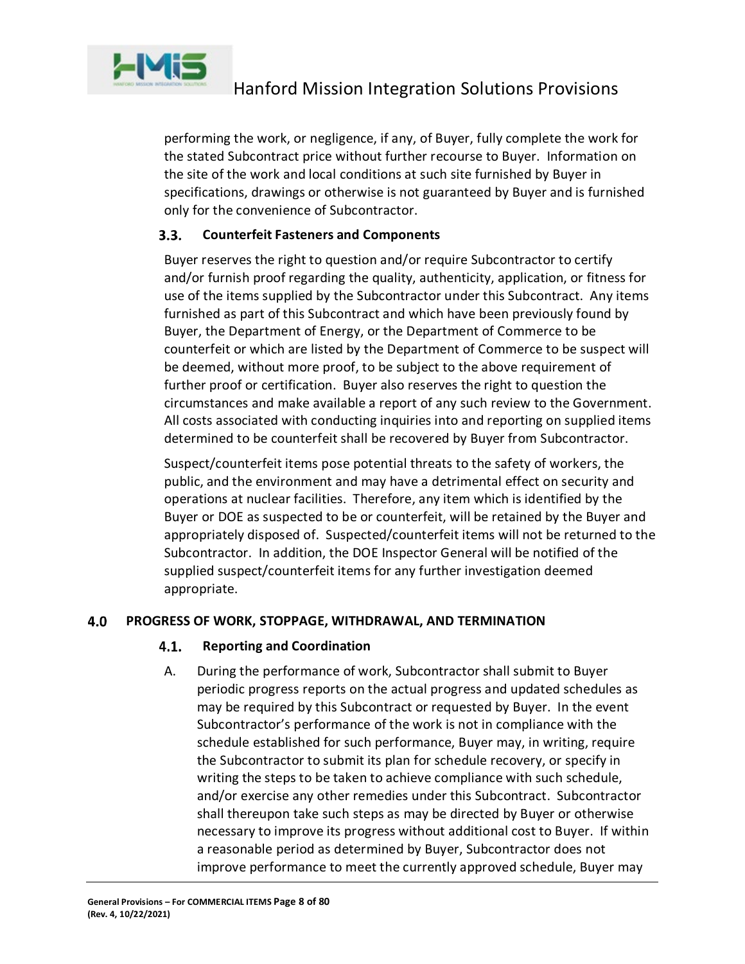

performing the work, or negligence, if any, of Buyer, fully complete the work for the stated Subcontract price without further recourse to Buyer. Information on the site of the work and local conditions at such site furnished by Buyer in specifications, drawings or otherwise is not guaranteed by Buyer and is furnished only for the convenience of Subcontractor.

#### <span id="page-7-0"></span> $3.3.$ **Counterfeit Fasteners and Components**

Buyer reserves the right to question and/or require Subcontractor to certify and/or furnish proof regarding the quality, authenticity, application, or fitness for use of the items supplied by the Subcontractor under this Subcontract. Any items furnished as part of this Subcontract and which have been previously found by Buyer, the Department of Energy, or the Department of Commerce to be counterfeit or which are listed by the Department of Commerce to be suspect will be deemed, without more proof, to be subject to the above requirement of further proof or certification. Buyer also reserves the right to question the circumstances and make available a report of any such review to the Government. All costs associated with conducting inquiries into and reporting on supplied items determined to be counterfeit shall be recovered by Buyer from Subcontractor.

Suspect/counterfeit items pose potential threats to the safety of workers, the public, and the environment and may have a detrimental effect on security and operations at nuclear facilities. Therefore, any item which is identified by the Buyer or DOE as suspected to be or counterfeit, will be retained by the Buyer and appropriately disposed of. Suspected/counterfeit items will not be returned to the Subcontractor. In addition, the DOE Inspector General will be notified of the supplied suspect/counterfeit items for any further investigation deemed appropriate.

#### <span id="page-7-2"></span><span id="page-7-1"></span>4.0 **PROGRESS OF WORK, STOPPAGE, WITHDRAWAL, AND TERMINATION**

#### 4.1. **Reporting and Coordination**

A. During the performance of work, Subcontractor shall submit to Buyer periodic progress reports on the actual progress and updated schedules as may be required by this Subcontract or requested by Buyer. In the event Subcontractor's performance of the work is not in compliance with the schedule established for such performance, Buyer may, in writing, require the Subcontractor to submit its plan for schedule recovery, or specify in writing the steps to be taken to achieve compliance with such schedule, and/or exercise any other remedies under this Subcontract. Subcontractor shall thereupon take such steps as may be directed by Buyer or otherwise necessary to improve its progress without additional cost to Buyer. If within a reasonable period as determined by Buyer, Subcontractor does not improve performance to meet the currently approved schedule, Buyer may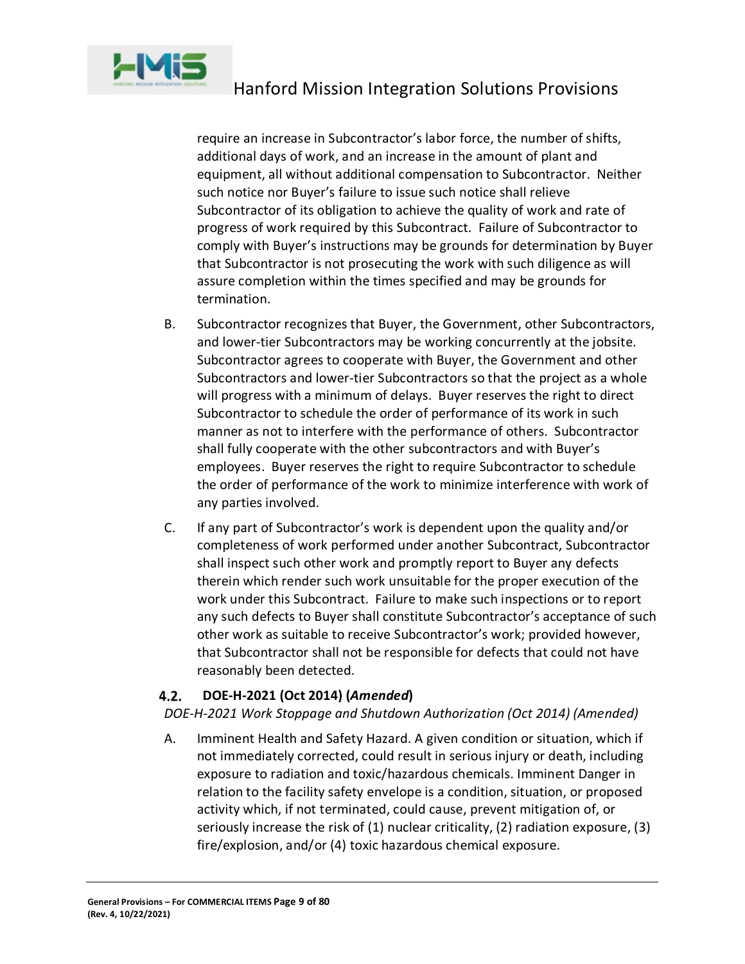

require an increase in Subcontractor's labor force, the number of shifts, additional days of work, and an increase in the amount of plant and equipment, all without additional compensation to Subcontractor. Neither such notice nor Buyer's failure to issue such notice shall relieve Subcontractor of its obligation to achieve the quality of work and rate of progress of work required by this Subcontract. Failure of Subcontractor to comply with Buyer's instructions may be grounds for determination by Buyer that Subcontractor is not prosecuting the work with such diligence as will assure completion within the times specified and may be grounds for termination.

- B. Subcontractor recognizes that Buyer, the Government, other Subcontractors, and lower-tier Subcontractors may be working concurrently at the jobsite. Subcontractor agrees to cooperate with Buyer, the Government and other Subcontractors and lower-tier Subcontractors so that the project as a whole will progress with a minimum of delays. Buyer reserves the right to direct Subcontractor to schedule the order of performance of its work in such manner as not to interfere with the performance of others. Subcontractor shall fully cooperate with the other subcontractors and with Buyer's employees. Buyer reserves the right to require Subcontractor to schedule the order of performance of the work to minimize interference with work of any parties involved.
- C. If any part of Subcontractor's work is dependent upon the quality and/or completeness of work performed under another Subcontract, Subcontractor shall inspect such other work and promptly report to Buyer any defects therein which render such work unsuitable for the proper execution of the work under this Subcontract. Failure to make such inspections or to report any such defects to Buyer shall constitute Subcontractor's acceptance of such other work as suitable to receive Subcontractor's work; provided however, that Subcontractor shall not be responsible for defects that could not have reasonably been detected.

#### <span id="page-8-0"></span>4.2. **DOE-H-2021 (Oct 2014) (***Amended***)**

*DOE-H-2021 Work Stoppage and Shutdown Authorization (Oct 2014) (Amended)*

A. Imminent Health and Safety Hazard. A given condition or situation, which if not immediately corrected, could result in serious injury or death, including exposure to radiation and toxic/hazardous chemicals. Imminent Danger in relation to the facility safety envelope is a condition, situation, or proposed activity which, if not terminated, could cause, prevent mitigation of, or seriously increase the risk of (1) nuclear criticality, (2) radiation exposure, (3) fire/explosion, and/or (4) toxic hazardous chemical exposure.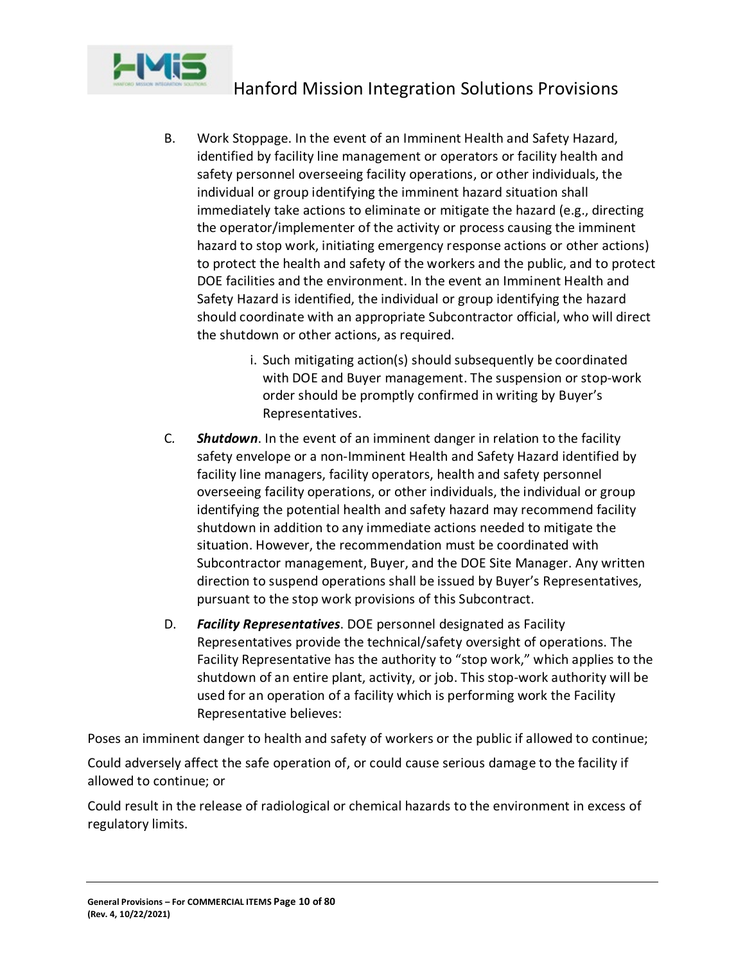

- B. Work Stoppage. In the event of an Imminent Health and Safety Hazard, identified by facility line management or operators or facility health and safety personnel overseeing facility operations, or other individuals, the individual or group identifying the imminent hazard situation shall immediately take actions to eliminate or mitigate the hazard (e.g., directing the operator/implementer of the activity or process causing the imminent hazard to stop work, initiating emergency response actions or other actions) to protect the health and safety of the workers and the public, and to protect DOE facilities and the environment. In the event an Imminent Health and Safety Hazard is identified, the individual or group identifying the hazard should coordinate with an appropriate Subcontractor official, who will direct the shutdown or other actions, as required.
	- i. Such mitigating action(s) should subsequently be coordinated with DOE and Buyer management. The suspension or stop-work order should be promptly confirmed in writing by Buyer's Representatives.
- C*. Shutdown*. In the event of an imminent danger in relation to the facility safety envelope or a non-Imminent Health and Safety Hazard identified by facility line managers, facility operators, health and safety personnel overseeing facility operations, or other individuals, the individual or group identifying the potential health and safety hazard may recommend facility shutdown in addition to any immediate actions needed to mitigate the situation. However, the recommendation must be coordinated with Subcontractor management, Buyer, and the DOE Site Manager. Any written direction to suspend operations shall be issued by Buyer's Representatives, pursuant to the stop work provisions of this Subcontract.
- D. *Facility Representatives*. DOE personnel designated as Facility Representatives provide the technical/safety oversight of operations. The Facility Representative has the authority to "stop work," which applies to the shutdown of an entire plant, activity, or job. This stop-work authority will be used for an operation of a facility which is performing work the Facility Representative believes:

Poses an imminent danger to health and safety of workers or the public if allowed to continue;

Could adversely affect the safe operation of, or could cause serious damage to the facility if allowed to continue; or

Could result in the release of radiological or chemical hazards to the environment in excess of regulatory limits.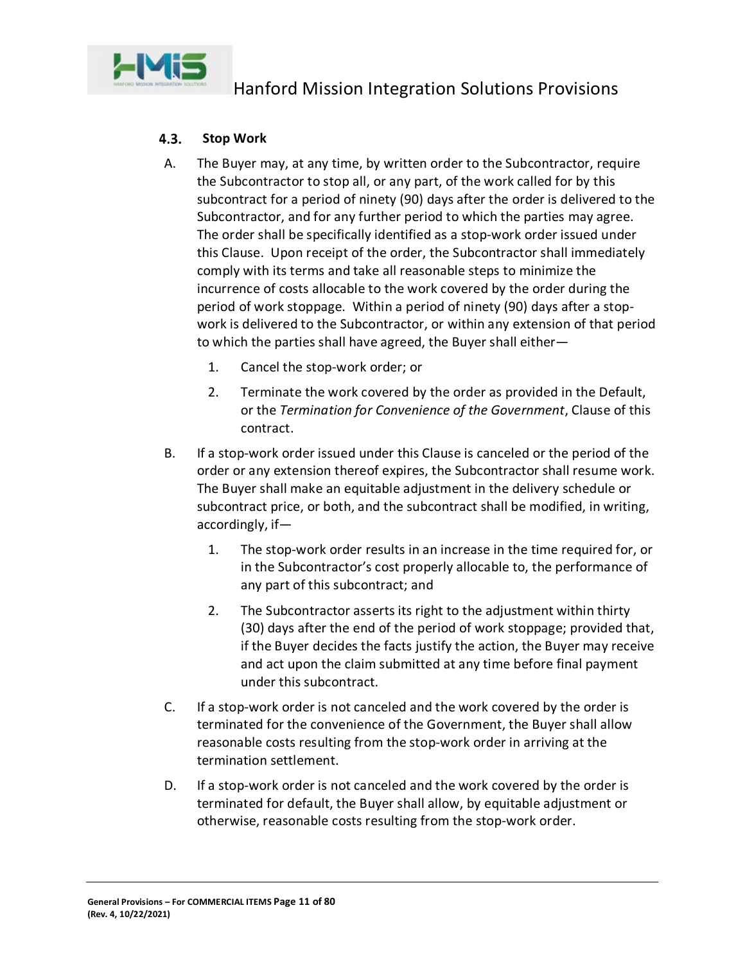

#### <span id="page-10-0"></span> $4.3.$ **Stop Work**

- A. The Buyer may, at any time, by written order to the Subcontractor, require the Subcontractor to stop all, or any part, of the work called for by this subcontract for a period of ninety (90) days after the order is delivered to the Subcontractor, and for any further period to which the parties may agree. The order shall be specifically identified as a stop-work order issued under this Clause. Upon receipt of the order, the Subcontractor shall immediately comply with its terms and take all reasonable steps to minimize the incurrence of costs allocable to the work covered by the order during the period of work stoppage. Within a period of ninety (90) days after a stopwork is delivered to the Subcontractor, or within any extension of that period to which the parties shall have agreed, the Buyer shall either—
	- 1. Cancel the stop-work order; or
	- 2. Terminate the work covered by the order as provided in the Default, or the *Termination for Convenience of the Government*, Clause of this contract.
- B. If a stop-work order issued under this Clause is canceled or the period of the order or any extension thereof expires, the Subcontractor shall resume work. The Buyer shall make an equitable adjustment in the delivery schedule or subcontract price, or both, and the subcontract shall be modified, in writing, accordingly, if—
	- 1. The stop-work order results in an increase in the time required for, or in the Subcontractor's cost properly allocable to, the performance of any part of this subcontract; and
	- 2. The Subcontractor asserts its right to the adjustment within thirty (30) days after the end of the period of work stoppage; provided that, if the Buyer decides the facts justify the action, the Buyer may receive and act upon the claim submitted at any time before final payment under this subcontract.
- C. If a stop-work order is not canceled and the work covered by the order is terminated for the convenience of the Government, the Buyer shall allow reasonable costs resulting from the stop-work order in arriving at the termination settlement.
- D. If a stop-work order is not canceled and the work covered by the order is terminated for default, the Buyer shall allow, by equitable adjustment or otherwise, reasonable costs resulting from the stop-work order.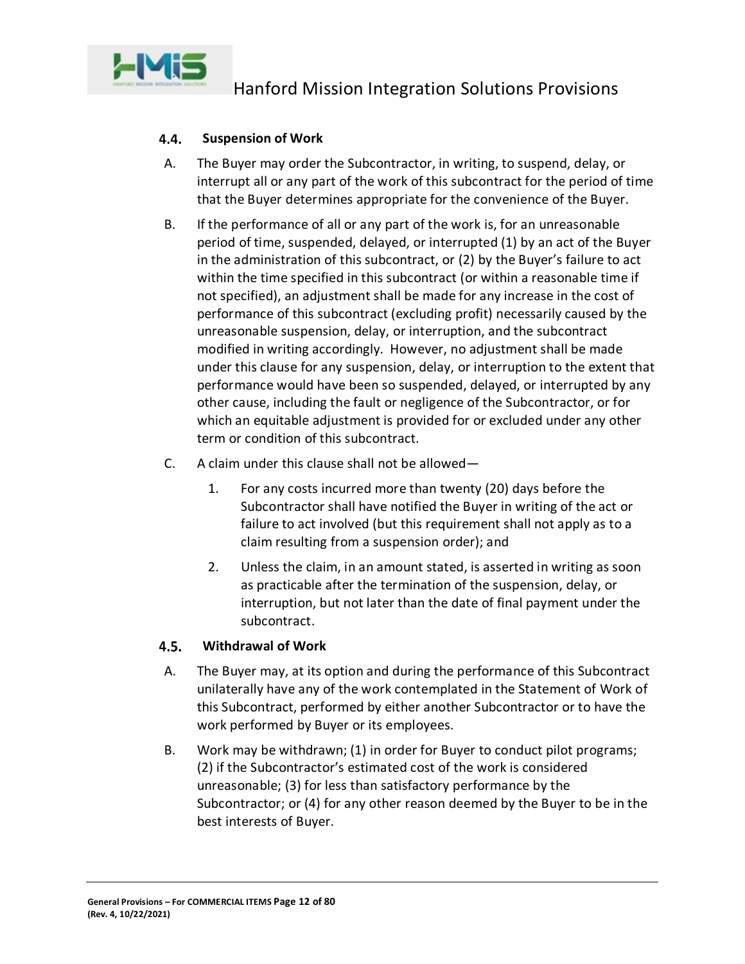

#### <span id="page-11-0"></span>4.4. **Suspension of Work**

- A. The Buyer may order the Subcontractor, in writing, to suspend, delay, or interrupt all or any part of the work of this subcontract for the period of time that the Buyer determines appropriate for the convenience of the Buyer.
- B. If the performance of all or any part of the work is, for an unreasonable period of time, suspended, delayed, or interrupted (1) by an act of the Buyer in the administration of this subcontract, or (2) by the Buyer's failure to act within the time specified in this subcontract (or within a reasonable time if not specified), an adjustment shall be made for any increase in the cost of performance of this subcontract (excluding profit) necessarily caused by the unreasonable suspension, delay, or interruption, and the subcontract modified in writing accordingly. However, no adjustment shall be made under this clause for any suspension, delay, or interruption to the extent that performance would have been so suspended, delayed, or interrupted by any other cause, including the fault or negligence of the Subcontractor, or for which an equitable adjustment is provided for or excluded under any other term or condition of this subcontract.
- C. A claim under this clause shall not be allowed—
	- 1. For any costs incurred more than twenty (20) days before the Subcontractor shall have notified the Buyer in writing of the act or failure to act involved (but this requirement shall not apply as to a claim resulting from a suspension order); and
	- 2. Unless the claim, in an amount stated, is asserted in writing as soon as practicable after the termination of the suspension, delay, or interruption, but not later than the date of final payment under the subcontract.

#### <span id="page-11-1"></span> $4.5.$ **Withdrawal of Work**

- A. The Buyer may, at its option and during the performance of this Subcontract unilaterally have any of the work contemplated in the Statement of Work of this Subcontract, performed by either another Subcontractor or to have the work performed by Buyer or its employees.
- B. Work may be withdrawn; (1) in order for Buyer to conduct pilot programs; (2) if the Subcontractor's estimated cost of the work is considered unreasonable; (3) for less than satisfactory performance by the Subcontractor; or (4) for any other reason deemed by the Buyer to be in the best interests of Buyer.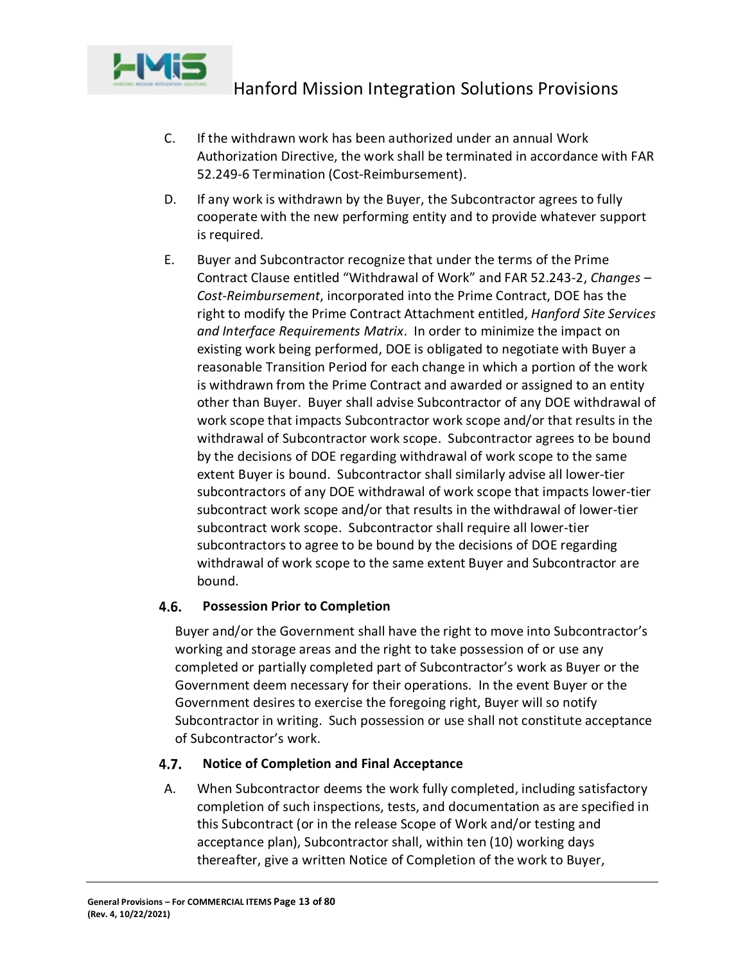

- C. If the withdrawn work has been authorized under an annual Work Authorization Directive, the work shall be terminated in accordance with FAR 52.249-6 Termination (Cost-Reimbursement).
- D. If any work is withdrawn by the Buyer, the Subcontractor agrees to fully cooperate with the new performing entity and to provide whatever support is required.
- E. Buyer and Subcontractor recognize that under the terms of the Prime Contract Clause entitled "Withdrawal of Work" and FAR 52.243-2, *Changes – Cost-Reimbursement*, incorporated into the Prime Contract, DOE has the right to modify the Prime Contract Attachment entitled, *Hanford Site Services and Interface Requirements Matrix*. In order to minimize the impact on existing work being performed, DOE is obligated to negotiate with Buyer a reasonable Transition Period for each change in which a portion of the work is withdrawn from the Prime Contract and awarded or assigned to an entity other than Buyer. Buyer shall advise Subcontractor of any DOE withdrawal of work scope that impacts Subcontractor work scope and/or that results in the withdrawal of Subcontractor work scope. Subcontractor agrees to be bound by the decisions of DOE regarding withdrawal of work scope to the same extent Buyer is bound. Subcontractor shall similarly advise all lower-tier subcontractors of any DOE withdrawal of work scope that impacts lower-tier subcontract work scope and/or that results in the withdrawal of lower-tier subcontract work scope. Subcontractor shall require all lower-tier subcontractors to agree to be bound by the decisions of DOE regarding withdrawal of work scope to the same extent Buyer and Subcontractor are bound.

#### <span id="page-12-0"></span> $4.6.$ **Possession Prior to Completion**

Buyer and/or the Government shall have the right to move into Subcontractor's working and storage areas and the right to take possession of or use any completed or partially completed part of Subcontractor's work as Buyer or the Government deem necessary for their operations. In the event Buyer or the Government desires to exercise the foregoing right, Buyer will so notify Subcontractor in writing. Such possession or use shall not constitute acceptance of Subcontractor's work.

#### <span id="page-12-1"></span>4.7. **Notice of Completion and Final Acceptance**

A. When Subcontractor deems the work fully completed, including satisfactory completion of such inspections, tests, and documentation as are specified in this Subcontract (or in the release Scope of Work and/or testing and acceptance plan), Subcontractor shall, within ten (10) working days thereafter, give a written Notice of Completion of the work to Buyer,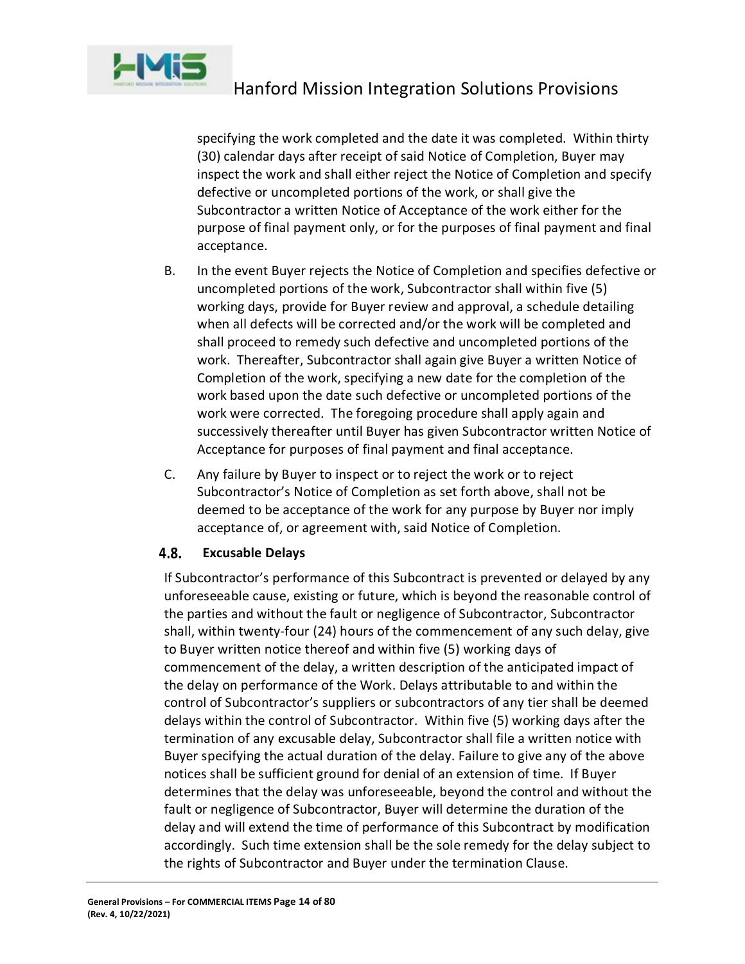

specifying the work completed and the date it was completed. Within thirty (30) calendar days after receipt of said Notice of Completion, Buyer may inspect the work and shall either reject the Notice of Completion and specify defective or uncompleted portions of the work, or shall give the Subcontractor a written Notice of Acceptance of the work either for the purpose of final payment only, or for the purposes of final payment and final acceptance.

- B. In the event Buyer rejects the Notice of Completion and specifies defective or uncompleted portions of the work, Subcontractor shall within five (5) working days, provide for Buyer review and approval, a schedule detailing when all defects will be corrected and/or the work will be completed and shall proceed to remedy such defective and uncompleted portions of the work. Thereafter, Subcontractor shall again give Buyer a written Notice of Completion of the work, specifying a new date for the completion of the work based upon the date such defective or uncompleted portions of the work were corrected. The foregoing procedure shall apply again and successively thereafter until Buyer has given Subcontractor written Notice of Acceptance for purposes of final payment and final acceptance.
- C. Any failure by Buyer to inspect or to reject the work or to reject Subcontractor's Notice of Completion as set forth above, shall not be deemed to be acceptance of the work for any purpose by Buyer nor imply acceptance of, or agreement with, said Notice of Completion.

#### <span id="page-13-0"></span>4.8. **Excusable Delays**

If Subcontractor's performance of this Subcontract is prevented or delayed by any unforeseeable cause, existing or future, which is beyond the reasonable control of the parties and without the fault or negligence of Subcontractor, Subcontractor shall, within twenty-four (24) hours of the commencement of any such delay, give to Buyer written notice thereof and within five (5) working days of commencement of the delay, a written description of the anticipated impact of the delay on performance of the Work. Delays attributable to and within the control of Subcontractor's suppliers or subcontractors of any tier shall be deemed delays within the control of Subcontractor. Within five (5) working days after the termination of any excusable delay, Subcontractor shall file a written notice with Buyer specifying the actual duration of the delay. Failure to give any of the above notices shall be sufficient ground for denial of an extension of time. If Buyer determines that the delay was unforeseeable, beyond the control and without the fault or negligence of Subcontractor, Buyer will determine the duration of the delay and will extend the time of performance of this Subcontract by modification accordingly. Such time extension shall be the sole remedy for the delay subject to the rights of Subcontractor and Buyer under the termination Clause.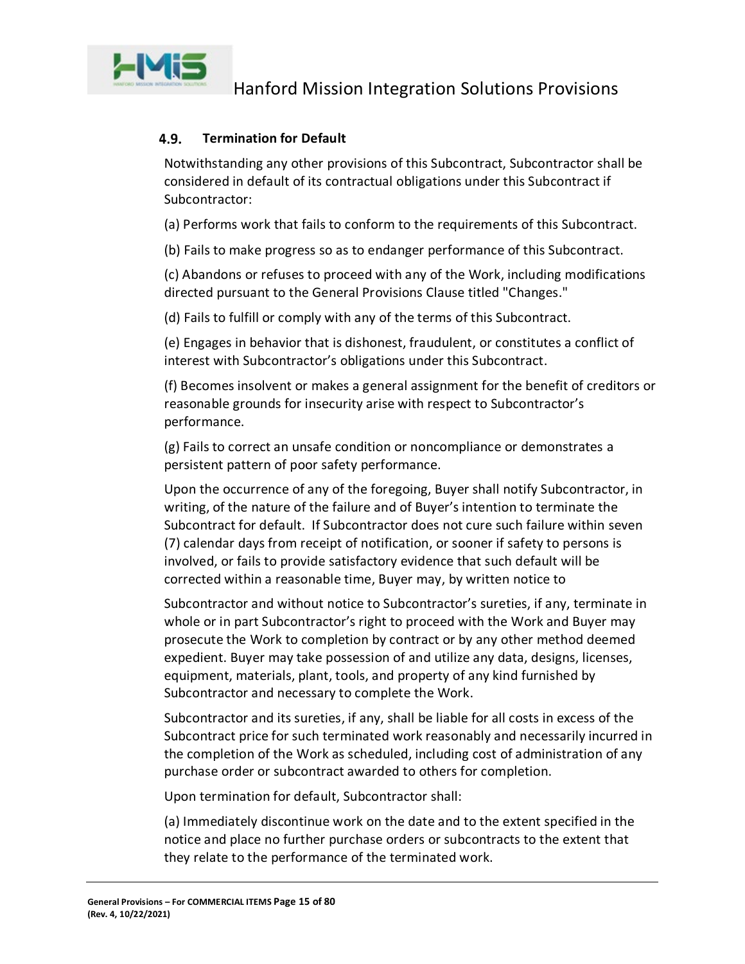

#### <span id="page-14-0"></span>4.9. **Termination for Default**

Notwithstanding any other provisions of this Subcontract, Subcontractor shall be considered in default of its contractual obligations under this Subcontract if Subcontractor:

(a) Performs work that fails to conform to the requirements of this Subcontract.

(b) Fails to make progress so as to endanger performance of this Subcontract.

(c) Abandons or refuses to proceed with any of the Work, including modifications directed pursuant to the General Provisions Clause titled "Changes."

(d) Fails to fulfill or comply with any of the terms of this Subcontract.

(e) Engages in behavior that is dishonest, fraudulent, or constitutes a conflict of interest with Subcontractor's obligations under this Subcontract.

(f) Becomes insolvent or makes a general assignment for the benefit of creditors or reasonable grounds for insecurity arise with respect to Subcontractor's performance.

(g) Fails to correct an unsafe condition or noncompliance or demonstrates a persistent pattern of poor safety performance.

Upon the occurrence of any of the foregoing, Buyer shall notify Subcontractor, in writing, of the nature of the failure and of Buyer's intention to terminate the Subcontract for default. If Subcontractor does not cure such failure within seven (7) calendar days from receipt of notification, or sooner if safety to persons is involved, or fails to provide satisfactory evidence that such default will be corrected within a reasonable time, Buyer may, by written notice to

Subcontractor and without notice to Subcontractor's sureties, if any, terminate in whole or in part Subcontractor's right to proceed with the Work and Buyer may prosecute the Work to completion by contract or by any other method deemed expedient. Buyer may take possession of and utilize any data, designs, licenses, equipment, materials, plant, tools, and property of any kind furnished by Subcontractor and necessary to complete the Work.

Subcontractor and its sureties, if any, shall be liable for all costs in excess of the Subcontract price for such terminated work reasonably and necessarily incurred in the completion of the Work as scheduled, including cost of administration of any purchase order or subcontract awarded to others for completion.

Upon termination for default, Subcontractor shall:

(a) Immediately discontinue work on the date and to the extent specified in the notice and place no further purchase orders or subcontracts to the extent that they relate to the performance of the terminated work.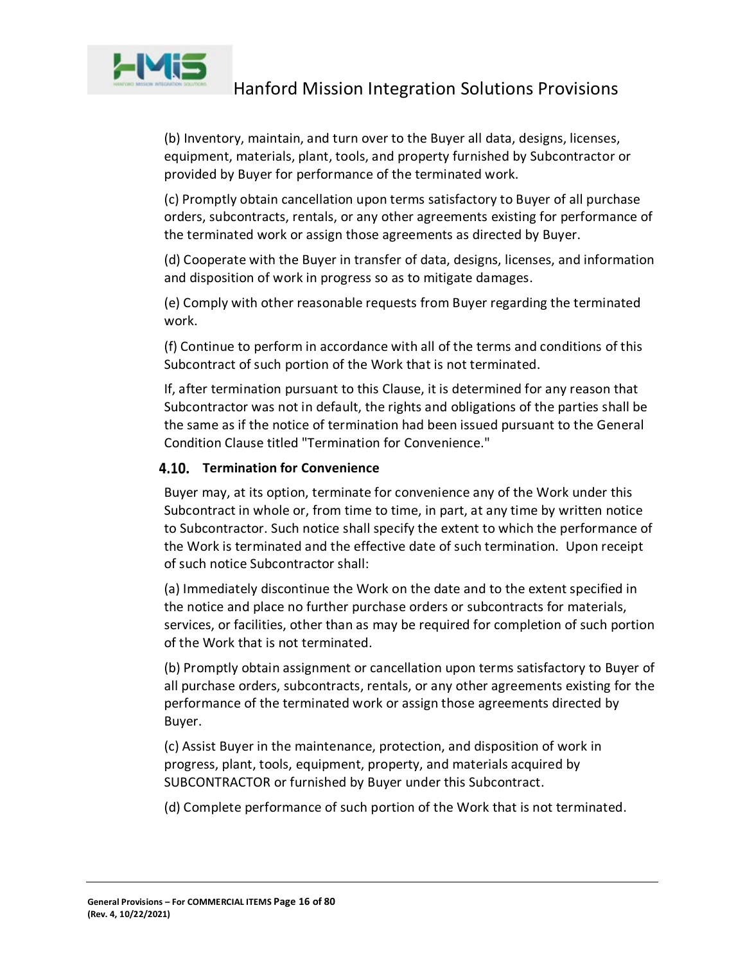

(b) Inventory, maintain, and turn over to the Buyer all data, designs, licenses, equipment, materials, plant, tools, and property furnished by Subcontractor or provided by Buyer for performance of the terminated work.

(c) Promptly obtain cancellation upon terms satisfactory to Buyer of all purchase orders, subcontracts, rentals, or any other agreements existing for performance of the terminated work or assign those agreements as directed by Buyer.

(d) Cooperate with the Buyer in transfer of data, designs, licenses, and information and disposition of work in progress so as to mitigate damages.

(e) Comply with other reasonable requests from Buyer regarding the terminated work.

(f) Continue to perform in accordance with all of the terms and conditions of this Subcontract of such portion of the Work that is not terminated.

If, after termination pursuant to this Clause, it is determined for any reason that Subcontractor was not in default, the rights and obligations of the parties shall be the same as if the notice of termination had been issued pursuant to the General Condition Clause titled "Termination for Convenience."

### <span id="page-15-0"></span>**4.10. Termination for Convenience**

Buyer may, at its option, terminate for convenience any of the Work under this Subcontract in whole or, from time to time, in part, at any time by written notice to Subcontractor. Such notice shall specify the extent to which the performance of the Work is terminated and the effective date of such termination. Upon receipt of such notice Subcontractor shall:

(a) Immediately discontinue the Work on the date and to the extent specified in the notice and place no further purchase orders or subcontracts for materials, services, or facilities, other than as may be required for completion of such portion of the Work that is not terminated.

(b) Promptly obtain assignment or cancellation upon terms satisfactory to Buyer of all purchase orders, subcontracts, rentals, or any other agreements existing for the performance of the terminated work or assign those agreements directed by Buyer.

(c) Assist Buyer in the maintenance, protection, and disposition of work in progress, plant, tools, equipment, property, and materials acquired by SUBCONTRACTOR or furnished by Buyer under this Subcontract.

(d) Complete performance of such portion of the Work that is not terminated.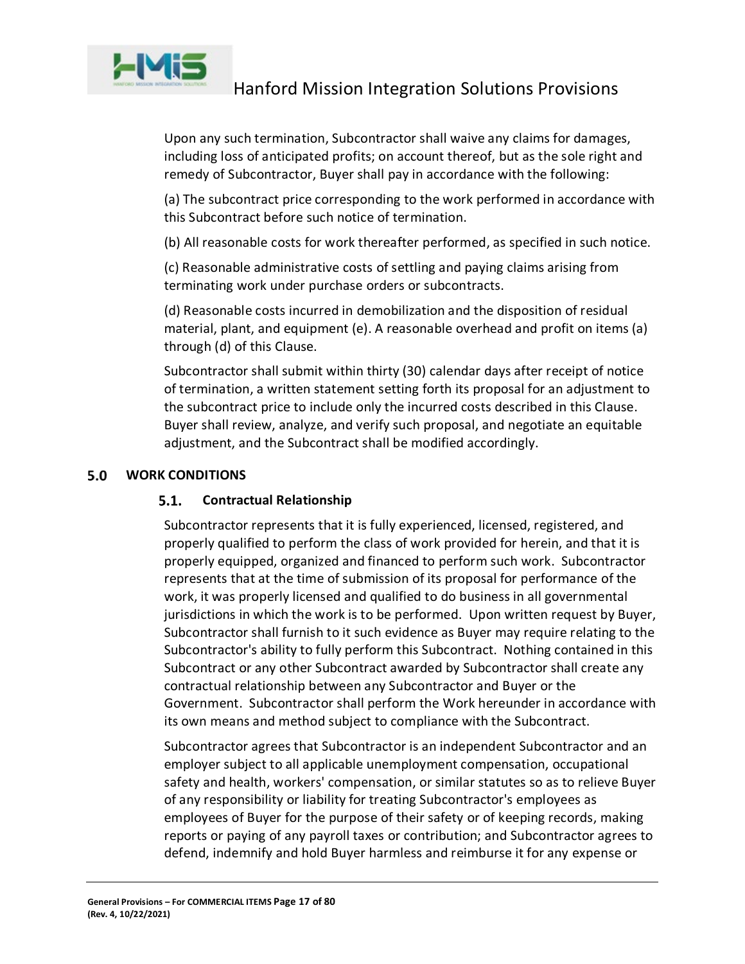

Upon any such termination, Subcontractor shall waive any claims for damages, including loss of anticipated profits; on account thereof, but as the sole right and remedy of Subcontractor, Buyer shall pay in accordance with the following:

(a) The subcontract price corresponding to the work performed in accordance with this Subcontract before such notice of termination.

(b) All reasonable costs for work thereafter performed, as specified in such notice.

(c) Reasonable administrative costs of settling and paying claims arising from terminating work under purchase orders or subcontracts.

(d) Reasonable costs incurred in demobilization and the disposition of residual material, plant, and equipment (e). A reasonable overhead and profit on items (a) through (d) of this Clause.

Subcontractor shall submit within thirty (30) calendar days after receipt of notice of termination, a written statement setting forth its proposal for an adjustment to the subcontract price to include only the incurred costs described in this Clause. Buyer shall review, analyze, and verify such proposal, and negotiate an equitable adjustment, and the Subcontract shall be modified accordingly.

#### <span id="page-16-1"></span><span id="page-16-0"></span> $5.0$ **WORK CONDITIONS**

#### $5.1.$ **Contractual Relationship**

Subcontractor represents that it is fully experienced, licensed, registered, and properly qualified to perform the class of work provided for herein, and that it is properly equipped, organized and financed to perform such work. Subcontractor represents that at the time of submission of its proposal for performance of the work, it was properly licensed and qualified to do business in all governmental jurisdictions in which the work is to be performed. Upon written request by Buyer, Subcontractor shall furnish to it such evidence as Buyer may require relating to the Subcontractor's ability to fully perform this Subcontract. Nothing contained in this Subcontract or any other Subcontract awarded by Subcontractor shall create any contractual relationship between any Subcontractor and Buyer or the Government. Subcontractor shall perform the Work hereunder in accordance with its own means and method subject to compliance with the Subcontract.

Subcontractor agrees that Subcontractor is an independent Subcontractor and an employer subject to all applicable unemployment compensation, occupational safety and health, workers' compensation, or similar statutes so as to relieve Buyer of any responsibility or liability for treating Subcontractor's employees as employees of Buyer for the purpose of their safety or of keeping records, making reports or paying of any payroll taxes or contribution; and Subcontractor agrees to defend, indemnify and hold Buyer harmless and reimburse it for any expense or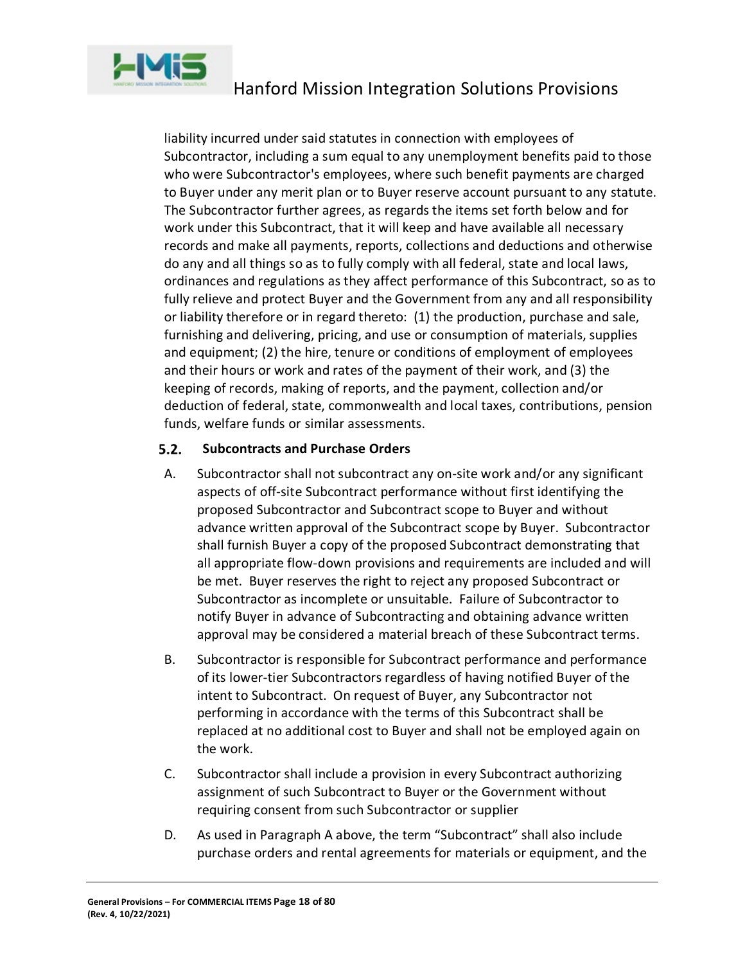

liability incurred under said statutes in connection with employees of Subcontractor, including a sum equal to any unemployment benefits paid to those who were Subcontractor's employees, where such benefit payments are charged to Buyer under any merit plan or to Buyer reserve account pursuant to any statute. The Subcontractor further agrees, as regards the items set forth below and for work under this Subcontract, that it will keep and have available all necessary records and make all payments, reports, collections and deductions and otherwise do any and all things so as to fully comply with all federal, state and local laws, ordinances and regulations as they affect performance of this Subcontract, so as to fully relieve and protect Buyer and the Government from any and all responsibility or liability therefore or in regard thereto: (1) the production, purchase and sale, furnishing and delivering, pricing, and use or consumption of materials, supplies and equipment; (2) the hire, tenure or conditions of employment of employees and their hours or work and rates of the payment of their work, and (3) the keeping of records, making of reports, and the payment, collection and/or deduction of federal, state, commonwealth and local taxes, contributions, pension funds, welfare funds or similar assessments.

#### <span id="page-17-0"></span> $5.2.$ **Subcontracts and Purchase Orders**

- A. Subcontractor shall not subcontract any on-site work and/or any significant aspects of off-site Subcontract performance without first identifying the proposed Subcontractor and Subcontract scope to Buyer and without advance written approval of the Subcontract scope by Buyer. Subcontractor shall furnish Buyer a copy of the proposed Subcontract demonstrating that all appropriate flow-down provisions and requirements are included and will be met. Buyer reserves the right to reject any proposed Subcontract or Subcontractor as incomplete or unsuitable. Failure of Subcontractor to notify Buyer in advance of Subcontracting and obtaining advance written approval may be considered a material breach of these Subcontract terms.
- B. Subcontractor is responsible for Subcontract performance and performance of its lower-tier Subcontractors regardless of having notified Buyer of the intent to Subcontract. On request of Buyer, any Subcontractor not performing in accordance with the terms of this Subcontract shall be replaced at no additional cost to Buyer and shall not be employed again on the work.
- C. Subcontractor shall include a provision in every Subcontract authorizing assignment of such Subcontract to Buyer or the Government without requiring consent from such Subcontractor or supplier
- D. As used in Paragraph A above, the term "Subcontract" shall also include purchase orders and rental agreements for materials or equipment, and the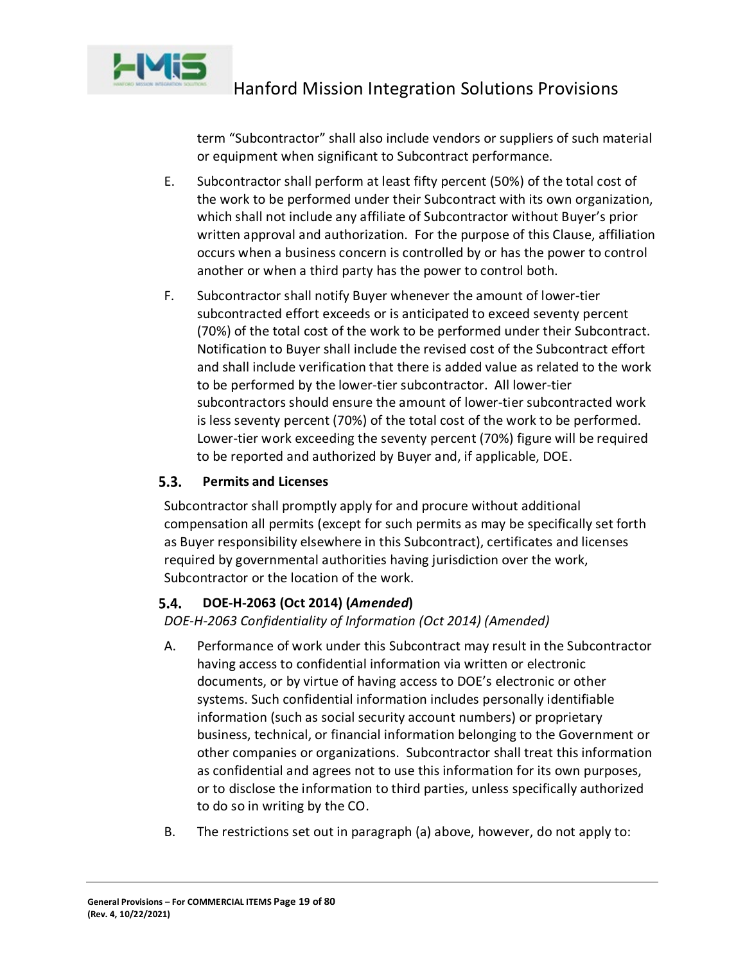

term "Subcontractor" shall also include vendors or suppliers of such material or equipment when significant to Subcontract performance.

- E. Subcontractor shall perform at least fifty percent (50%) of the total cost of the work to be performed under their Subcontract with its own organization, which shall not include any affiliate of Subcontractor without Buyer's prior written approval and authorization. For the purpose of this Clause, affiliation occurs when a business concern is controlled by or has the power to control another or when a third party has the power to control both.
- F. Subcontractor shall notify Buyer whenever the amount of lower-tier subcontracted effort exceeds or is anticipated to exceed seventy percent (70%) of the total cost of the work to be performed under their Subcontract. Notification to Buyer shall include the revised cost of the Subcontract effort and shall include verification that there is added value as related to the work to be performed by the lower-tier subcontractor. All lower-tier subcontractors should ensure the amount of lower-tier subcontracted work is less seventy percent (70%) of the total cost of the work to be performed. Lower-tier work exceeding the seventy percent (70%) figure will be required to be reported and authorized by Buyer and, if applicable, DOE.

#### <span id="page-18-0"></span> $5.3.$ **Permits and Licenses**

Subcontractor shall promptly apply for and procure without additional compensation all permits (except for such permits as may be specifically set forth as Buyer responsibility elsewhere in this Subcontract), certificates and licenses required by governmental authorities having jurisdiction over the work, Subcontractor or the location of the work.

#### <span id="page-18-1"></span>5.4. **DOE-H-2063 (Oct 2014) (***Amended***)**

*DOE-H-2063 Confidentiality of Information (Oct 2014) (Amended)*

- A. Performance of work under this Subcontract may result in the Subcontractor having access to confidential information via written or electronic documents, or by virtue of having access to DOE's electronic or other systems. Such confidential information includes personally identifiable information (such as social security account numbers) or proprietary business, technical, or financial information belonging to the Government or other companies or organizations. Subcontractor shall treat this information as confidential and agrees not to use this information for its own purposes, or to disclose the information to third parties, unless specifically authorized to do so in writing by the CO.
- B. The restrictions set out in paragraph (a) above, however, do not apply to: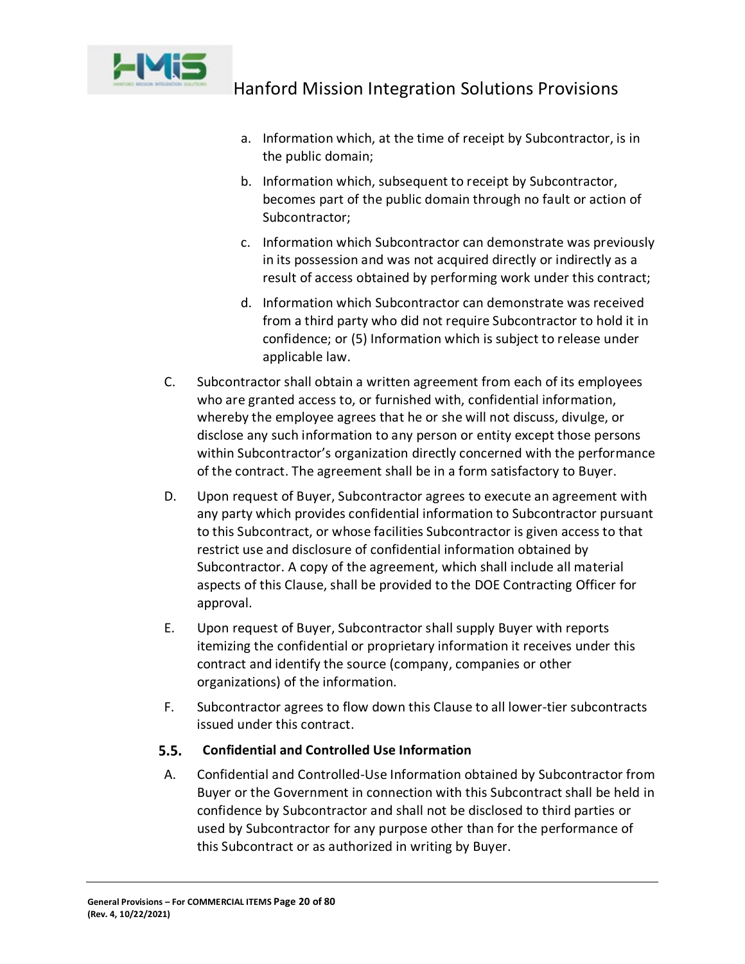

- a. Information which, at the time of receipt by Subcontractor, is in the public domain;
- b. Information which, subsequent to receipt by Subcontractor, becomes part of the public domain through no fault or action of Subcontractor;
- c. Information which Subcontractor can demonstrate was previously in its possession and was not acquired directly or indirectly as a result of access obtained by performing work under this contract;
- d. Information which Subcontractor can demonstrate was received from a third party who did not require Subcontractor to hold it in confidence; or (5) Information which is subject to release under applicable law.
- C. Subcontractor shall obtain a written agreement from each of its employees who are granted access to, or furnished with, confidential information, whereby the employee agrees that he or she will not discuss, divulge, or disclose any such information to any person or entity except those persons within Subcontractor's organization directly concerned with the performance of the contract. The agreement shall be in a form satisfactory to Buyer.
- D. Upon request of Buyer, Subcontractor agrees to execute an agreement with any party which provides confidential information to Subcontractor pursuant to this Subcontract, or whose facilities Subcontractor is given access to that restrict use and disclosure of confidential information obtained by Subcontractor. A copy of the agreement, which shall include all material aspects of this Clause, shall be provided to the DOE Contracting Officer for approval.
- E. Upon request of Buyer, Subcontractor shall supply Buyer with reports itemizing the confidential or proprietary information it receives under this contract and identify the source (company, companies or other organizations) of the information.
- F. Subcontractor agrees to flow down this Clause to all lower-tier subcontracts issued under this contract.

#### <span id="page-19-0"></span> $5.5.$ **Confidential and Controlled Use Information**

A. Confidential and Controlled-Use Information obtained by Subcontractor from Buyer or the Government in connection with this Subcontract shall be held in confidence by Subcontractor and shall not be disclosed to third parties or used by Subcontractor for any purpose other than for the performance of this Subcontract or as authorized in writing by Buyer.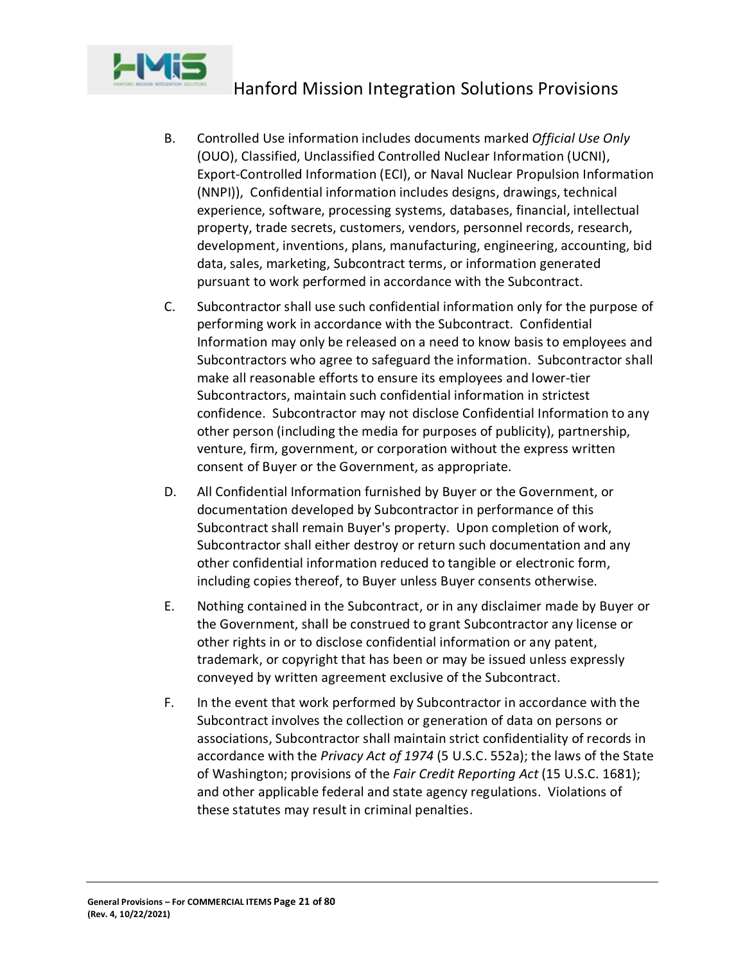

- B. Controlled Use information includes documents marked *Official Use Only* (OUO), Classified, Unclassified Controlled Nuclear Information (UCNI), Export-Controlled Information (ECI), or Naval Nuclear Propulsion Information (NNPI)), Confidential information includes designs, drawings, technical experience, software, processing systems, databases, financial, intellectual property, trade secrets, customers, vendors, personnel records, research, development, inventions, plans, manufacturing, engineering, accounting, bid data, sales, marketing, Subcontract terms, or information generated pursuant to work performed in accordance with the Subcontract.
- C. Subcontractor shall use such confidential information only for the purpose of performing work in accordance with the Subcontract. Confidential Information may only be released on a need to know basis to employees and Subcontractors who agree to safeguard the information. Subcontractor shall make all reasonable efforts to ensure its employees and lower-tier Subcontractors, maintain such confidential information in strictest confidence. Subcontractor may not disclose Confidential Information to any other person (including the media for purposes of publicity), partnership, venture, firm, government, or corporation without the express written consent of Buyer or the Government, as appropriate.
- D. All Confidential Information furnished by Buyer or the Government, or documentation developed by Subcontractor in performance of this Subcontract shall remain Buyer's property. Upon completion of work, Subcontractor shall either destroy or return such documentation and any other confidential information reduced to tangible or electronic form, including copies thereof, to Buyer unless Buyer consents otherwise.
- E. Nothing contained in the Subcontract, or in any disclaimer made by Buyer or the Government, shall be construed to grant Subcontractor any license or other rights in or to disclose confidential information or any patent, trademark, or copyright that has been or may be issued unless expressly conveyed by written agreement exclusive of the Subcontract.
- F. In the event that work performed by Subcontractor in accordance with the Subcontract involves the collection or generation of data on persons or associations, Subcontractor shall maintain strict confidentiality of records in accordance with the *Privacy Act of 1974* (5 U.S.C. 552a); the laws of the State of Washington; provisions of the *Fair Credit Reporting Act* (15 U.S.C. 1681); and other applicable federal and state agency regulations. Violations of these statutes may result in criminal penalties.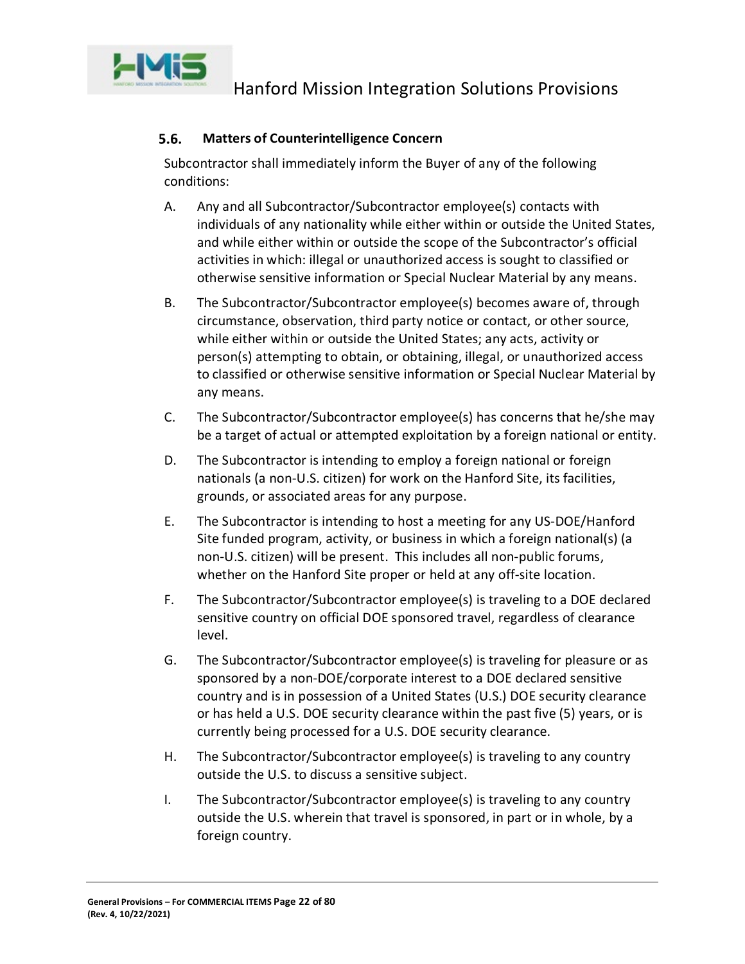

#### <span id="page-21-0"></span> $5.6.$ **Matters of Counterintelligence Concern**

Subcontractor shall immediately inform the Buyer of any of the following conditions:

- A. Any and all Subcontractor/Subcontractor employee(s) contacts with individuals of any nationality while either within or outside the United States, and while either within or outside the scope of the Subcontractor's official activities in which: illegal or unauthorized access is sought to classified or otherwise sensitive information or Special Nuclear Material by any means.
- B. The Subcontractor/Subcontractor employee(s) becomes aware of, through circumstance, observation, third party notice or contact, or other source, while either within or outside the United States; any acts, activity or person(s) attempting to obtain, or obtaining, illegal, or unauthorized access to classified or otherwise sensitive information or Special Nuclear Material by any means.
- C. The Subcontractor/Subcontractor employee(s) has concerns that he/she may be a target of actual or attempted exploitation by a foreign national or entity.
- D. The Subcontractor is intending to employ a foreign national or foreign nationals (a non-U.S. citizen) for work on the Hanford Site, its facilities, grounds, or associated areas for any purpose.
- E. The Subcontractor is intending to host a meeting for any US-DOE/Hanford Site funded program, activity, or business in which a foreign national(s) (a non-U.S. citizen) will be present. This includes all non-public forums, whether on the Hanford Site proper or held at any off-site location.
- F. The Subcontractor/Subcontractor employee(s) is traveling to a DOE declared sensitive country on official DOE sponsored travel, regardless of clearance level.
- G. The Subcontractor/Subcontractor employee(s) is traveling for pleasure or as sponsored by a non-DOE/corporate interest to a DOE declared sensitive country and is in possession of a United States (U.S.) DOE security clearance or has held a U.S. DOE security clearance within the past five (5) years, or is currently being processed for a U.S. DOE security clearance.
- H. The Subcontractor/Subcontractor employee(s) is traveling to any country outside the U.S. to discuss a sensitive subject.
- I. The Subcontractor/Subcontractor employee(s) is traveling to any country outside the U.S. wherein that travel is sponsored, in part or in whole, by a foreign country.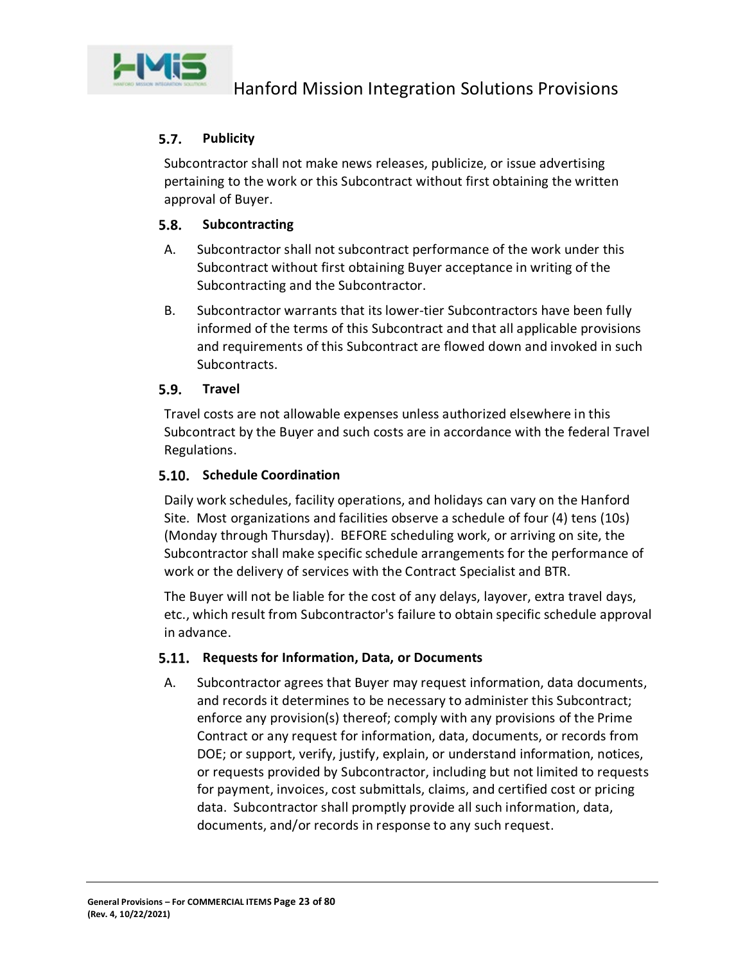

#### <span id="page-22-0"></span> $5.7.$ **Publicity**

Subcontractor shall not make news releases, publicize, or issue advertising pertaining to the work or this Subcontract without first obtaining the written approval of Buyer.

#### <span id="page-22-1"></span> $5.8.$ **Subcontracting**

- A. Subcontractor shall not subcontract performance of the work under this Subcontract without first obtaining Buyer acceptance in writing of the Subcontracting and the Subcontractor.
- B. Subcontractor warrants that its lower-tier Subcontractors have been fully informed of the terms of this Subcontract and that all applicable provisions and requirements of this Subcontract are flowed down and invoked in such Subcontracts.

#### <span id="page-22-2"></span> $5.9.$ **Travel**

Travel costs are not allowable expenses unless authorized elsewhere in this Subcontract by the Buyer and such costs are in accordance with the federal Travel Regulations.

### <span id="page-22-3"></span>**Schedule Coordination**

Daily work schedules, facility operations, and holidays can vary on the Hanford Site. Most organizations and facilities observe a schedule of four (4) tens (10s) (Monday through Thursday). BEFORE scheduling work, or arriving on site, the Subcontractor shall make specific schedule arrangements for the performance of work or the delivery of services with the Contract Specialist and BTR.

The Buyer will not be liable for the cost of any delays, layover, extra travel days, etc., which result from Subcontractor's failure to obtain specific schedule approval in advance.

### <span id="page-22-4"></span>**Requests for Information, Data, or Documents**

A. Subcontractor agrees that Buyer may request information, data documents, and records it determines to be necessary to administer this Subcontract; enforce any provision(s) thereof; comply with any provisions of the Prime Contract or any request for information, data, documents, or records from DOE; or support, verify, justify, explain, or understand information, notices, or requests provided by Subcontractor, including but not limited to requests for payment, invoices, cost submittals, claims, and certified cost or pricing data. Subcontractor shall promptly provide all such information, data, documents, and/or records in response to any such request.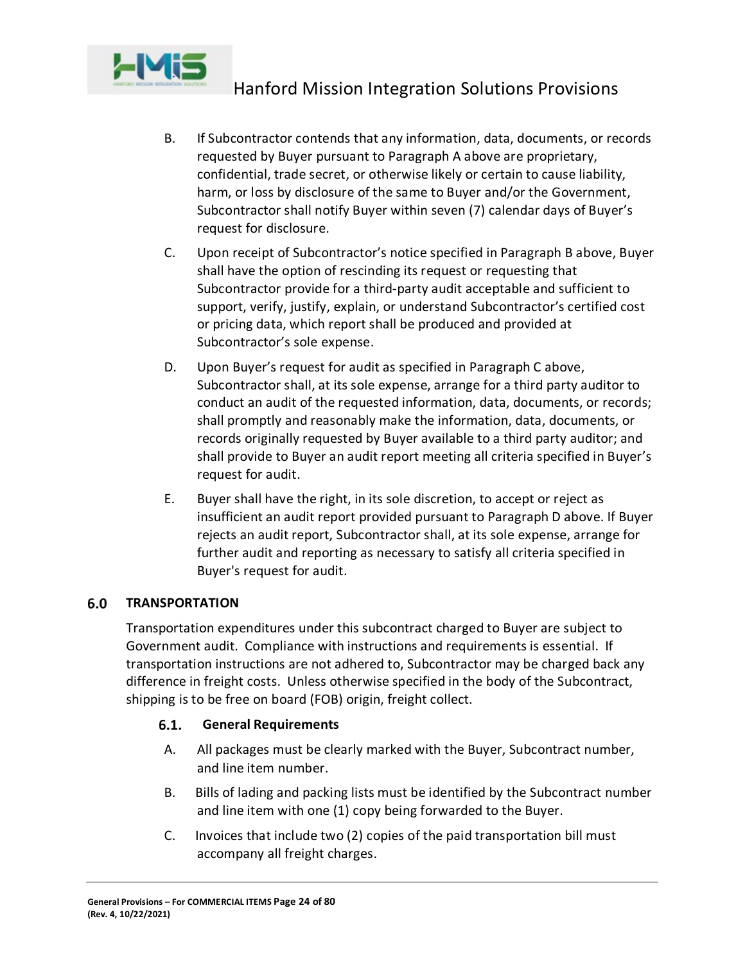

- B. If Subcontractor contends that any information, data, documents, or records requested by Buyer pursuant to Paragraph A above are proprietary, confidential, trade secret, or otherwise likely or certain to cause liability, harm, or loss by disclosure of the same to Buyer and/or the Government, Subcontractor shall notify Buyer within seven (7) calendar days of Buyer's request for disclosure.
- C. Upon receipt of Subcontractor's notice specified in Paragraph B above, Buyer shall have the option of rescinding its request or requesting that Subcontractor provide for a third-party audit acceptable and sufficient to support, verify, justify, explain, or understand Subcontractor's certified cost or pricing data, which report shall be produced and provided at Subcontractor's sole expense.
- D. Upon Buyer's request for audit as specified in Paragraph C above, Subcontractor shall, at its sole expense, arrange for a third party auditor to conduct an audit of the requested information, data, documents, or records; shall promptly and reasonably make the information, data, documents, or records originally requested by Buyer available to a third party auditor; and shall provide to Buyer an audit report meeting all criteria specified in Buyer's request for audit.
- E. Buyer shall have the right, in its sole discretion, to accept or reject as insufficient an audit report provided pursuant to Paragraph D above. If Buyer rejects an audit report, Subcontractor shall, at its sole expense, arrange for further audit and reporting as necessary to satisfy all criteria specified in Buyer's request for audit.

#### <span id="page-23-0"></span> $6.0$ **TRANSPORTATION**

Transportation expenditures under this subcontract charged to Buyer are subject to Government audit. Compliance with instructions and requirements is essential. If transportation instructions are not adhered to, Subcontractor may be charged back any difference in freight costs. Unless otherwise specified in the body of the Subcontract, shipping is to be free on board (FOB) origin, freight collect.

#### <span id="page-23-1"></span> $6.1.$ **General Requirements**

- A. All packages must be clearly marked with the Buyer, Subcontract number, and line item number.
- B. Bills of lading and packing lists must be identified by the Subcontract number and line item with one (1) copy being forwarded to the Buyer.
- C. Invoices that include two (2) copies of the paid transportation bill must accompany all freight charges.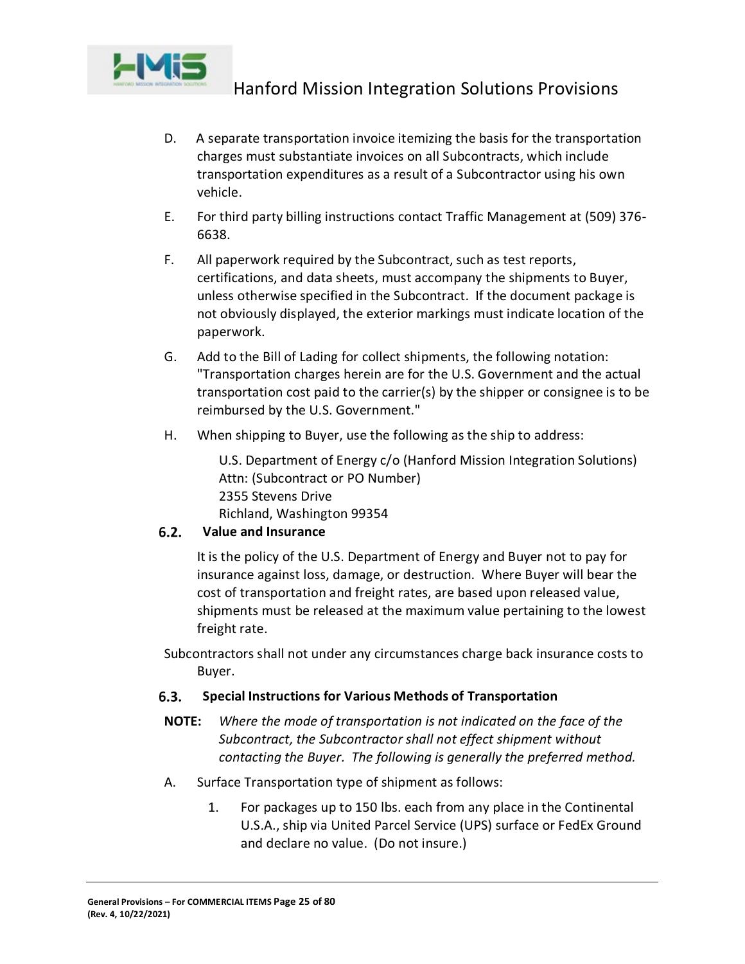

- D. A separate transportation invoice itemizing the basis for the transportation charges must substantiate invoices on all Subcontracts, which include transportation expenditures as a result of a Subcontractor using his own vehicle.
- E. For third party billing instructions contact Traffic Management at (509) 376- 6638.
- F. All paperwork required by the Subcontract, such as test reports, certifications, and data sheets, must accompany the shipments to Buyer, unless otherwise specified in the Subcontract. If the document package is not obviously displayed, the exterior markings must indicate location of the paperwork.
- G. Add to the Bill of Lading for collect shipments, the following notation: "Transportation charges herein are for the U.S. Government and the actual transportation cost paid to the carrier(s) by the shipper or consignee is to be reimbursed by the U.S. Government."
- H. When shipping to Buyer, use the following as the ship to address:

U.S. Department of Energy c/o (Hanford Mission Integration Solutions) Attn: (Subcontract or PO Number) 2355 Stevens Drive Richland, Washington 99354

#### <span id="page-24-0"></span> $6.2.$ **Value and Insurance**

It is the policy of the U.S. Department of Energy and Buyer not to pay for insurance against loss, damage, or destruction. Where Buyer will bear the cost of transportation and freight rates, are based upon released value, shipments must be released at the maximum value pertaining to the lowest freight rate.

Subcontractors shall not under any circumstances charge back insurance costs to Buyer.

#### <span id="page-24-1"></span> $6.3.$ **Special Instructions for Various Methods of Transportation**

- **NOTE:** *Where the mode of transportation is not indicated on the face of the Subcontract, the Subcontractor shall not effect shipment without contacting the Buyer. The following is generally the preferred method.*
- A. Surface Transportation type of shipment as follows:
	- 1. For packages up to 150 lbs. each from any place in the Continental U.S.A., ship via United Parcel Service (UPS) surface or FedEx Ground and declare no value. (Do not insure.)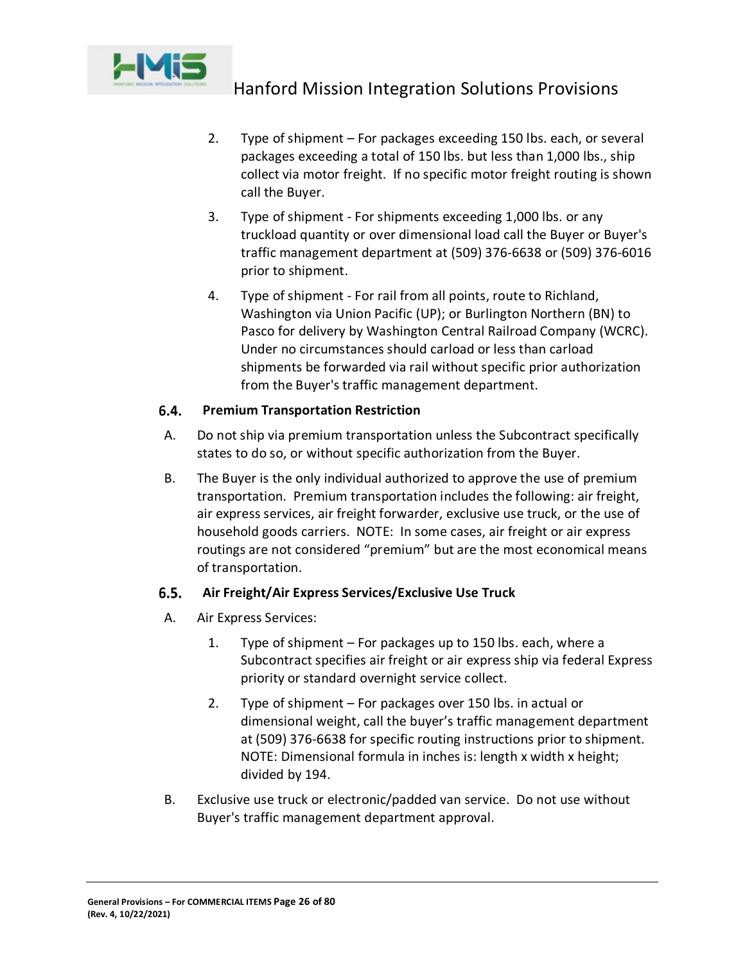

- 2. Type of shipment For packages exceeding 150 lbs. each, or several packages exceeding a total of 150 lbs. but less than 1,000 lbs., ship collect via motor freight. If no specific motor freight routing is shown call the Buyer.
- 3. Type of shipment For shipments exceeding 1,000 lbs. or any truckload quantity or over dimensional load call the Buyer or Buyer's traffic management department at (509) 376-6638 or (509) 376-6016 prior to shipment.
- 4. Type of shipment For rail from all points, route to Richland, Washington via Union Pacific (UP); or Burlington Northern (BN) to Pasco for delivery by Washington Central Railroad Company (WCRC). Under no circumstances should carload or less than carload shipments be forwarded via rail without specific prior authorization from the Buyer's traffic management department.

#### <span id="page-25-0"></span> $6.4.$ **Premium Transportation Restriction**

- A. Do not ship via premium transportation unless the Subcontract specifically states to do so, or without specific authorization from the Buyer.
- B. The Buyer is the only individual authorized to approve the use of premium transportation. Premium transportation includes the following: air freight, air express services, air freight forwarder, exclusive use truck, or the use of household goods carriers. NOTE: In some cases, air freight or air express routings are not considered "premium" but are the most economical means of transportation.

#### <span id="page-25-1"></span> $6.5.$ **Air Freight/Air Express Services/Exclusive Use Truck**

- A. Air Express Services:
	- 1. Type of shipment For packages up to 150 lbs. each, where a Subcontract specifies air freight or air express ship via federal Express priority or standard overnight service collect.
	- 2. Type of shipment For packages over 150 lbs. in actual or dimensional weight, call the buyer's traffic management department at (509) 376-6638 for specific routing instructions prior to shipment. NOTE: Dimensional formula in inches is: length x width x height; divided by 194.
- B. Exclusive use truck or electronic/padded van service. Do not use without Buyer's traffic management department approval.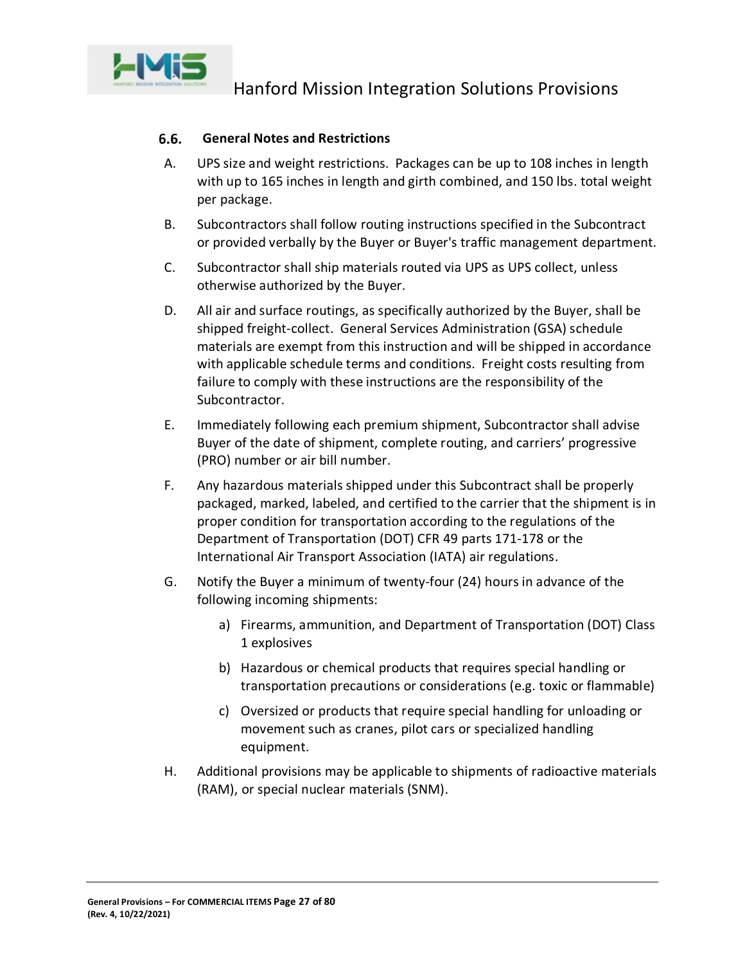

#### <span id="page-26-0"></span> $6.6.$ **General Notes and Restrictions**

- A. UPS size and weight restrictions. Packages can be up to 108 inches in length with up to 165 inches in length and girth combined, and 150 lbs. total weight per package.
- B. Subcontractors shall follow routing instructions specified in the Subcontract or provided verbally by the Buyer or Buyer's traffic management department.
- C. Subcontractor shall ship materials routed via UPS as UPS collect, unless otherwise authorized by the Buyer.
- D. All air and surface routings, as specifically authorized by the Buyer, shall be shipped freight-collect. General Services Administration (GSA) schedule materials are exempt from this instruction and will be shipped in accordance with applicable schedule terms and conditions. Freight costs resulting from failure to comply with these instructions are the responsibility of the Subcontractor.
- E. Immediately following each premium shipment, Subcontractor shall advise Buyer of the date of shipment, complete routing, and carriers' progressive (PRO) number or air bill number.
- F. Any hazardous materials shipped under this Subcontract shall be properly packaged, marked, labeled, and certified to the carrier that the shipment is in proper condition for transportation according to the regulations of the Department of Transportation (DOT) CFR 49 parts 171-178 or the International Air Transport Association (IATA) air regulations.
- G. Notify the Buyer a minimum of twenty-four (24) hours in advance of the following incoming shipments:
	- a) Firearms, ammunition, and Department of Transportation (DOT) Class 1 explosives
	- b) Hazardous or chemical products that requires special handling or transportation precautions or considerations (e.g. toxic or flammable)
	- c) Oversized or products that require special handling for unloading or movement such as cranes, pilot cars or specialized handling equipment.
- H. Additional provisions may be applicable to shipments of radioactive materials (RAM), or special nuclear materials (SNM).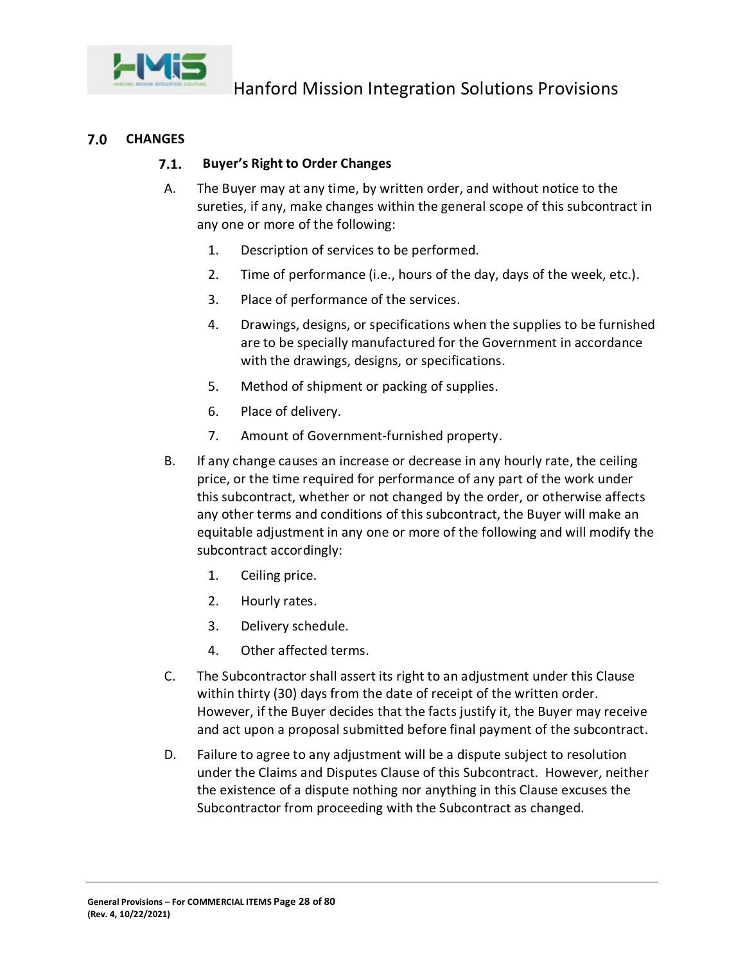

#### <span id="page-27-1"></span><span id="page-27-0"></span> $7.0$ **CHANGES**

#### $7.1.$ **Buyer's Right to Order Changes**

- A. The Buyer may at any time, by written order, and without notice to the sureties, if any, make changes within the general scope of this subcontract in any one or more of the following:
	- 1. Description of services to be performed.
	- 2. Time of performance (i.e., hours of the day, days of the week, etc.).
	- 3. Place of performance of the services.
	- 4. Drawings, designs, or specifications when the supplies to be furnished are to be specially manufactured for the Government in accordance with the drawings, designs, or specifications.
	- 5. Method of shipment or packing of supplies.
	- 6. Place of delivery.
	- 7. Amount of Government-furnished property.
- B. If any change causes an increase or decrease in any hourly rate, the ceiling price, or the time required for performance of any part of the work under this subcontract, whether or not changed by the order, or otherwise affects any other terms and conditions of this subcontract, the Buyer will make an equitable adjustment in any one or more of the following and will modify the subcontract accordingly:
	- 1. Ceiling price.
	- 2. Hourly rates.
	- 3. Delivery schedule.
	- 4. Other affected terms.
- C. The Subcontractor shall assert its right to an adjustment under this Clause within thirty (30) days from the date of receipt of the written order. However, if the Buyer decides that the facts justify it, the Buyer may receive and act upon a proposal submitted before final payment of the subcontract.
- D. Failure to agree to any adjustment will be a dispute subject to resolution under the Claims and Disputes Clause of this Subcontract. However, neither the existence of a dispute nothing nor anything in this Clause excuses the Subcontractor from proceeding with the Subcontract as changed.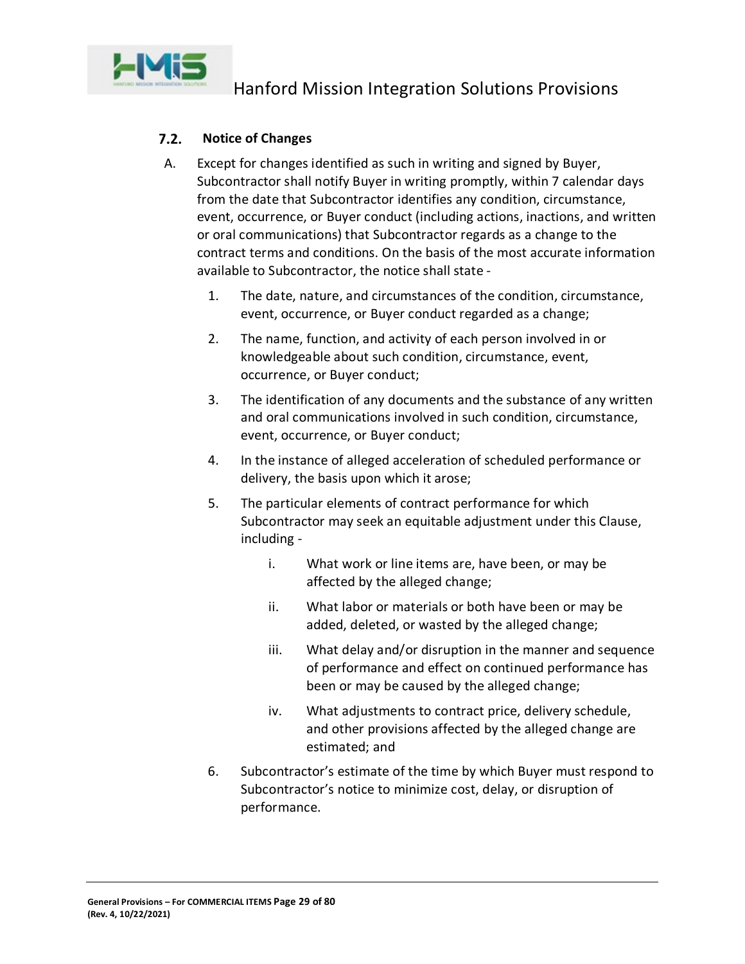

#### <span id="page-28-0"></span> $7.2.$ **Notice of Changes**

- A. Except for changes identified as such in writing and signed by Buyer, Subcontractor shall notify Buyer in writing promptly, within 7 calendar days from the date that Subcontractor identifies any condition, circumstance, event, occurrence, or Buyer conduct (including actions, inactions, and written or oral communications) that Subcontractor regards as a change to the contract terms and conditions. On the basis of the most accurate information available to Subcontractor, the notice shall state -
	- 1. The date, nature, and circumstances of the condition, circumstance, event, occurrence, or Buyer conduct regarded as a change;
	- 2. The name, function, and activity of each person involved in or knowledgeable about such condition, circumstance, event, occurrence, or Buyer conduct;
	- 3. The identification of any documents and the substance of any written and oral communications involved in such condition, circumstance, event, occurrence, or Buyer conduct;
	- 4. In the instance of alleged acceleration of scheduled performance or delivery, the basis upon which it arose;
	- 5. The particular elements of contract performance for which Subcontractor may seek an equitable adjustment under this Clause, including
		- i. What work or line items are, have been, or may be affected by the alleged change;
		- ii. What labor or materials or both have been or may be added, deleted, or wasted by the alleged change;
		- iii. What delay and/or disruption in the manner and sequence of performance and effect on continued performance has been or may be caused by the alleged change;
		- iv. What adjustments to contract price, delivery schedule, and other provisions affected by the alleged change are estimated; and
	- 6. Subcontractor's estimate of the time by which Buyer must respond to Subcontractor's notice to minimize cost, delay, or disruption of performance.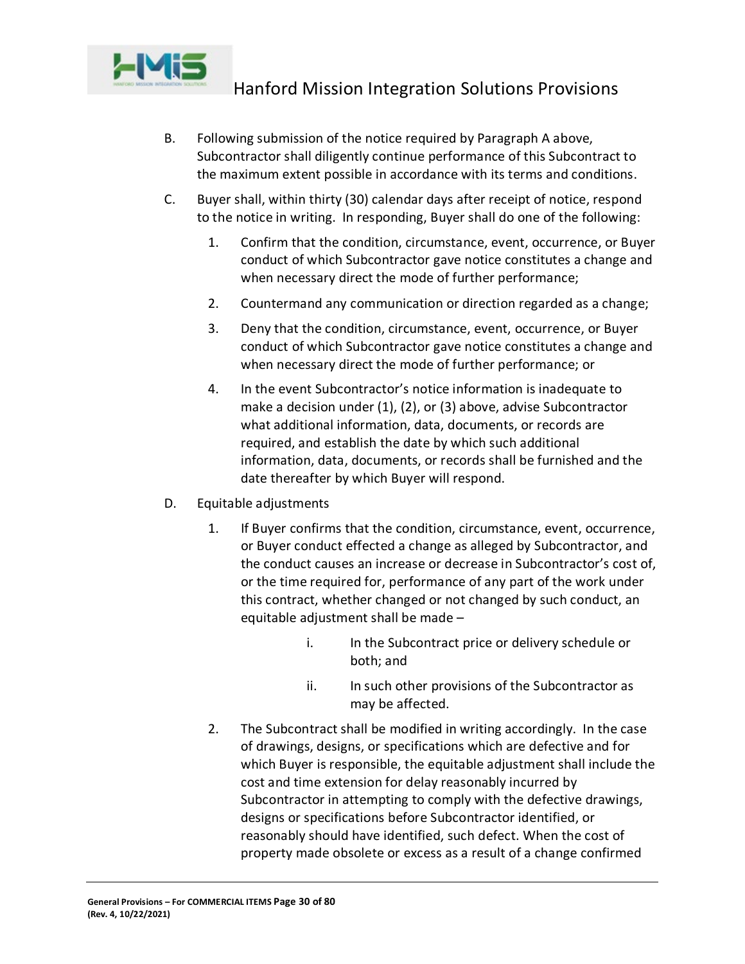

- B. Following submission of the notice required by Paragraph A above, Subcontractor shall diligently continue performance of this Subcontract to the maximum extent possible in accordance with its terms and conditions.
- C. Buyer shall, within thirty (30) calendar days after receipt of notice, respond to the notice in writing. In responding, Buyer shall do one of the following:
	- 1. Confirm that the condition, circumstance, event, occurrence, or Buyer conduct of which Subcontractor gave notice constitutes a change and when necessary direct the mode of further performance;
	- 2. Countermand any communication or direction regarded as a change;
	- 3. Deny that the condition, circumstance, event, occurrence, or Buyer conduct of which Subcontractor gave notice constitutes a change and when necessary direct the mode of further performance; or
	- 4. In the event Subcontractor's notice information is inadequate to make a decision under (1), (2), or (3) above, advise Subcontractor what additional information, data, documents, or records are required, and establish the date by which such additional information, data, documents, or records shall be furnished and the date thereafter by which Buyer will respond.
- D. Equitable adjustments
	- 1. If Buyer confirms that the condition, circumstance, event, occurrence, or Buyer conduct effected a change as alleged by Subcontractor, and the conduct causes an increase or decrease in Subcontractor's cost of, or the time required for, performance of any part of the work under this contract, whether changed or not changed by such conduct, an equitable adjustment shall be made –
		- i. In the Subcontract price or delivery schedule or both; and
		- ii. In such other provisions of the Subcontractor as may be affected.
	- 2. The Subcontract shall be modified in writing accordingly. In the case of drawings, designs, or specifications which are defective and for which Buyer is responsible, the equitable adjustment shall include the cost and time extension for delay reasonably incurred by Subcontractor in attempting to comply with the defective drawings, designs or specifications before Subcontractor identified, or reasonably should have identified, such defect. When the cost of property made obsolete or excess as a result of a change confirmed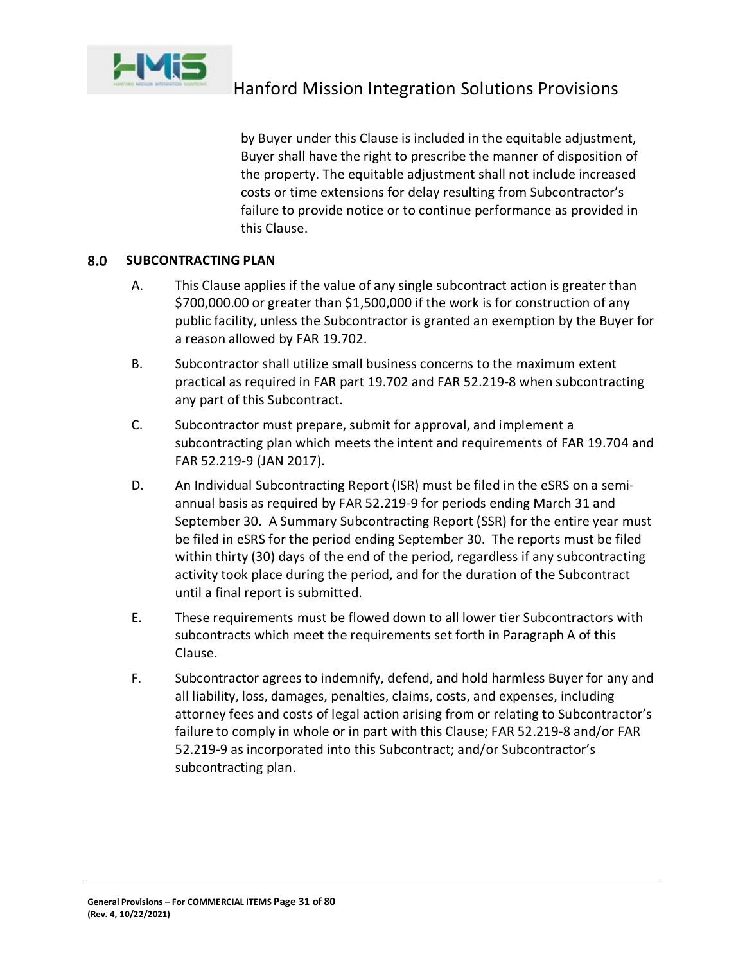

by Buyer under this Clause is included in the equitable adjustment, Buyer shall have the right to prescribe the manner of disposition of the property. The equitable adjustment shall not include increased costs or time extensions for delay resulting from Subcontractor's failure to provide notice or to continue performance as provided in this Clause.

#### <span id="page-30-0"></span>8.0 **SUBCONTRACTING PLAN**

- A. This Clause applies if the value of any single subcontract action is greater than \$700,000.00 or greater than \$1,500,000 if the work is for construction of any public facility, unless the Subcontractor is granted an exemption by the Buyer for a reason allowed by FAR 19.702.
- B. Subcontractor shall utilize small business concerns to the maximum extent practical as required in FAR part 19.702 and FAR 52.219-8 when subcontracting any part of this Subcontract.
- C. Subcontractor must prepare, submit for approval, and implement a subcontracting plan which meets the intent and requirements of FAR 19.704 and FAR 52.219-9 (JAN 2017).
- D. An Individual Subcontracting Report (ISR) must be filed in the eSRS on a semiannual basis as required by FAR 52.219-9 for periods ending March 31 and September 30. A Summary Subcontracting Report (SSR) for the entire year must be filed in eSRS for the period ending September 30. The reports must be filed within thirty (30) days of the end of the period, regardless if any subcontracting activity took place during the period, and for the duration of the Subcontract until a final report is submitted.
- E. These requirements must be flowed down to all lower tier Subcontractors with subcontracts which meet the requirements set forth in Paragraph A of this Clause.
- F. Subcontractor agrees to indemnify, defend, and hold harmless Buyer for any and all liability, loss, damages, penalties, claims, costs, and expenses, including attorney fees and costs of legal action arising from or relating to Subcontractor's failure to comply in whole or in part with this Clause; FAR 52.219-8 and/or FAR 52.219-9 as incorporated into this Subcontract; and/or Subcontractor's subcontracting plan.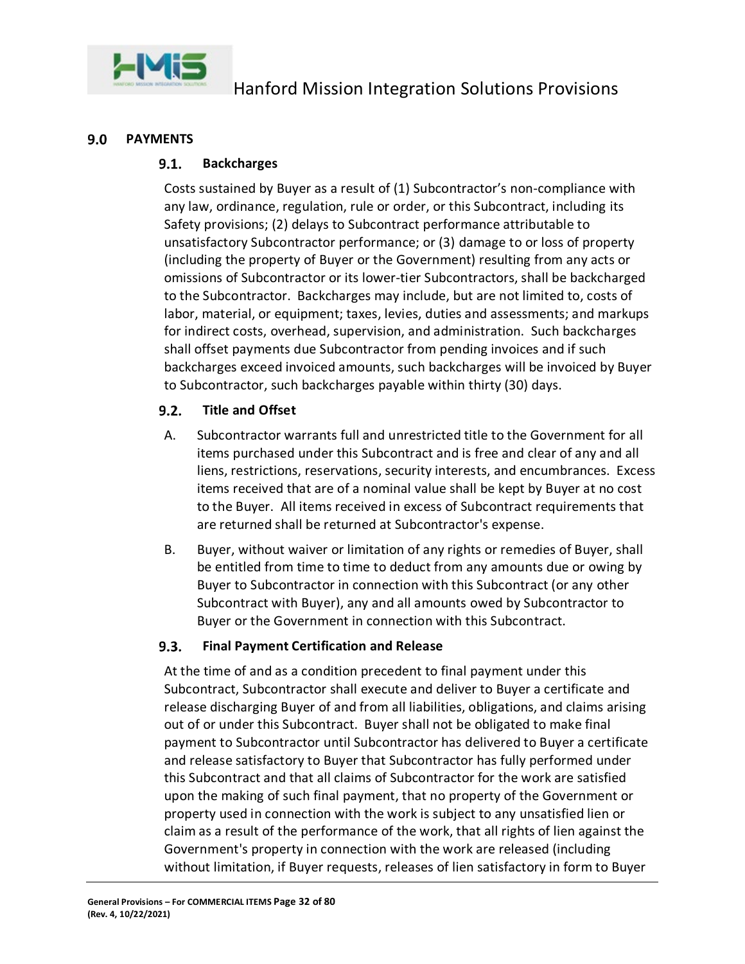

#### <span id="page-31-1"></span><span id="page-31-0"></span> $9.0$ **PAYMENTS**

#### $9.1.$ **Backcharges**

Costs sustained by Buyer as a result of (1) Subcontractor's non-compliance with any law, ordinance, regulation, rule or order, or this Subcontract, including its Safety provisions; (2) delays to Subcontract performance attributable to unsatisfactory Subcontractor performance; or (3) damage to or loss of property (including the property of Buyer or the Government) resulting from any acts or omissions of Subcontractor or its lower-tier Subcontractors, shall be backcharged to the Subcontractor. Backcharges may include, but are not limited to, costs of labor, material, or equipment; taxes, levies, duties and assessments; and markups for indirect costs, overhead, supervision, and administration. Such backcharges shall offset payments due Subcontractor from pending invoices and if such backcharges exceed invoiced amounts, such backcharges will be invoiced by Buyer to Subcontractor, such backcharges payable within thirty (30) days.

#### <span id="page-31-2"></span> $9.2.$ **Title and Offset**

- A. Subcontractor warrants full and unrestricted title to the Government for all items purchased under this Subcontract and is free and clear of any and all liens, restrictions, reservations, security interests, and encumbrances. Excess items received that are of a nominal value shall be kept by Buyer at no cost to the Buyer. All items received in excess of Subcontract requirements that are returned shall be returned at Subcontractor's expense.
- B. Buyer, without waiver or limitation of any rights or remedies of Buyer, shall be entitled from time to time to deduct from any amounts due or owing by Buyer to Subcontractor in connection with this Subcontract (or any other Subcontract with Buyer), any and all amounts owed by Subcontractor to Buyer or the Government in connection with this Subcontract.

#### <span id="page-31-3"></span> $9.3.$ **Final Payment Certification and Release**

At the time of and as a condition precedent to final payment under this Subcontract, Subcontractor shall execute and deliver to Buyer a certificate and release discharging Buyer of and from all liabilities, obligations, and claims arising out of or under this Subcontract. Buyer shall not be obligated to make final payment to Subcontractor until Subcontractor has delivered to Buyer a certificate and release satisfactory to Buyer that Subcontractor has fully performed under this Subcontract and that all claims of Subcontractor for the work are satisfied upon the making of such final payment, that no property of the Government or property used in connection with the work is subject to any unsatisfied lien or claim as a result of the performance of the work, that all rights of lien against the Government's property in connection with the work are released (including without limitation, if Buyer requests, releases of lien satisfactory in form to Buyer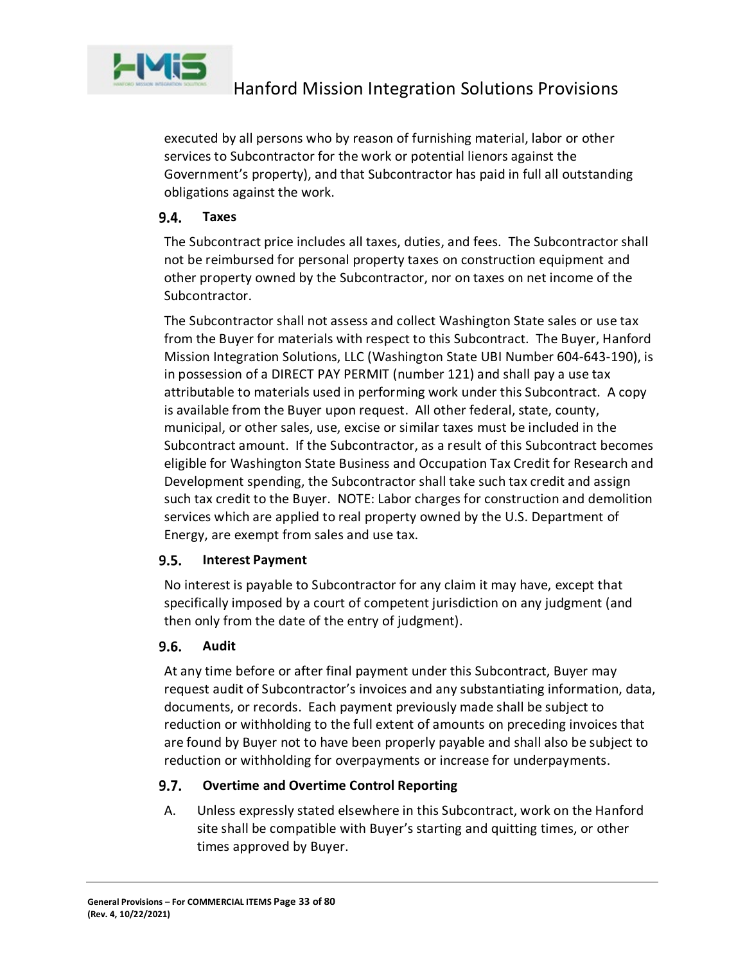

executed by all persons who by reason of furnishing material, labor or other services to Subcontractor for the work or potential lienors against the Government's property), and that Subcontractor has paid in full all outstanding obligations against the work.

#### <span id="page-32-0"></span> $9.4.$ **Taxes**

The Subcontract price includes all taxes, duties, and fees. The Subcontractor shall not be reimbursed for personal property taxes on construction equipment and other property owned by the Subcontractor, nor on taxes on net income of the Subcontractor.

The Subcontractor shall not assess and collect Washington State sales or use tax from the Buyer for materials with respect to this Subcontract. The Buyer, Hanford Mission Integration Solutions, LLC (Washington State UBI Number 604-643-190), is in possession of a DIRECT PAY PERMIT (number 121) and shall pay a use tax attributable to materials used in performing work under this Subcontract. A copy is available from the Buyer upon request. All other federal, state, county, municipal, or other sales, use, excise or similar taxes must be included in the Subcontract amount. If the Subcontractor, as a result of this Subcontract becomes eligible for Washington State Business and Occupation Tax Credit for Research and Development spending, the Subcontractor shall take such tax credit and assign such tax credit to the Buyer. NOTE: Labor charges for construction and demolition services which are applied to real property owned by the U.S. Department of Energy, are exempt from sales and use tax.

#### <span id="page-32-1"></span> $9.5.$ **Interest Payment**

No interest is payable to Subcontractor for any claim it may have, except that specifically imposed by a court of competent jurisdiction on any judgment (and then only from the date of the entry of judgment).

#### <span id="page-32-2"></span> $9.6.$ **Audit**

At any time before or after final payment under this Subcontract, Buyer may request audit of Subcontractor's invoices and any substantiating information, data, documents, or records. Each payment previously made shall be subject to reduction or withholding to the full extent of amounts on preceding invoices that are found by Buyer not to have been properly payable and shall also be subject to reduction or withholding for overpayments or increase for underpayments.

#### <span id="page-32-3"></span> $9.7.$ **Overtime and Overtime Control Reporting**

A. Unless expressly stated elsewhere in this Subcontract, work on the Hanford site shall be compatible with Buyer's starting and quitting times, or other times approved by Buyer.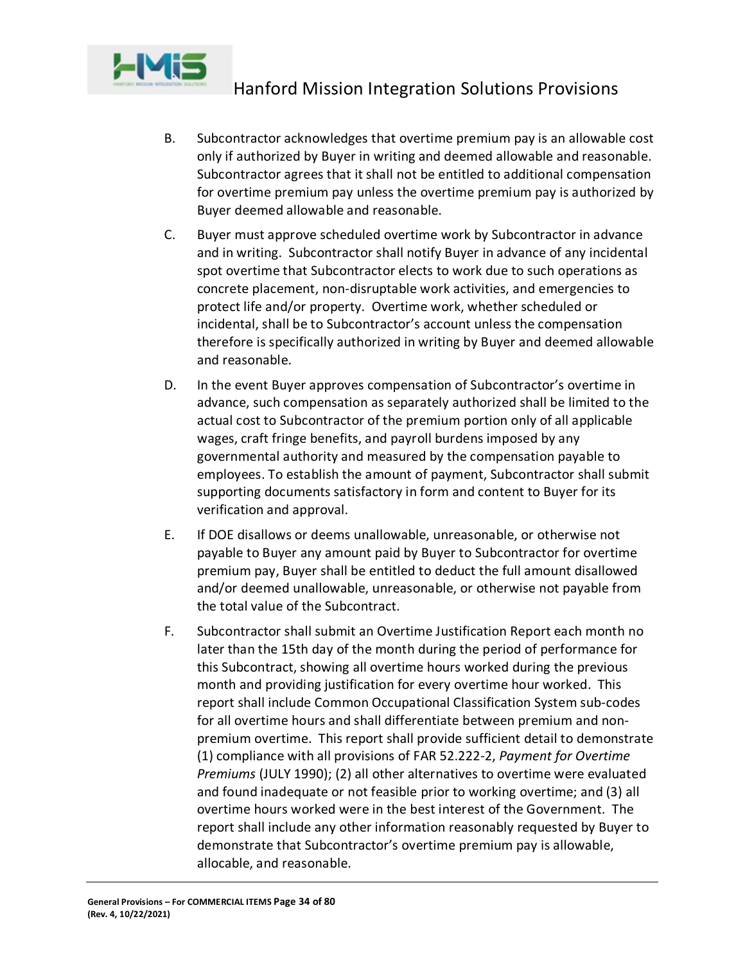

- B. Subcontractor acknowledges that overtime premium pay is an allowable cost only if authorized by Buyer in writing and deemed allowable and reasonable. Subcontractor agrees that it shall not be entitled to additional compensation for overtime premium pay unless the overtime premium pay is authorized by Buyer deemed allowable and reasonable.
- C. Buyer must approve scheduled overtime work by Subcontractor in advance and in writing. Subcontractor shall notify Buyer in advance of any incidental spot overtime that Subcontractor elects to work due to such operations as concrete placement, non-disruptable work activities, and emergencies to protect life and/or property. Overtime work, whether scheduled or incidental, shall be to Subcontractor's account unless the compensation therefore is specifically authorized in writing by Buyer and deemed allowable and reasonable.
- D. In the event Buyer approves compensation of Subcontractor's overtime in advance, such compensation as separately authorized shall be limited to the actual cost to Subcontractor of the premium portion only of all applicable wages, craft fringe benefits, and payroll burdens imposed by any governmental authority and measured by the compensation payable to employees. To establish the amount of payment, Subcontractor shall submit supporting documents satisfactory in form and content to Buyer for its verification and approval.
- E. If DOE disallows or deems unallowable, unreasonable, or otherwise not payable to Buyer any amount paid by Buyer to Subcontractor for overtime premium pay, Buyer shall be entitled to deduct the full amount disallowed and/or deemed unallowable, unreasonable, or otherwise not payable from the total value of the Subcontract.
- F. Subcontractor shall submit an Overtime Justification Report each month no later than the 15th day of the month during the period of performance for this Subcontract, showing all overtime hours worked during the previous month and providing justification for every overtime hour worked. This report shall include Common Occupational Classification System sub-codes for all overtime hours and shall differentiate between premium and nonpremium overtime. This report shall provide sufficient detail to demonstrate (1) compliance with all provisions of FAR 52.222-2, *Payment for Overtime Premiums* (JULY 1990); (2) all other alternatives to overtime were evaluated and found inadequate or not feasible prior to working overtime; and (3) all overtime hours worked were in the best interest of the Government. The report shall include any other information reasonably requested by Buyer to demonstrate that Subcontractor's overtime premium pay is allowable, allocable, and reasonable.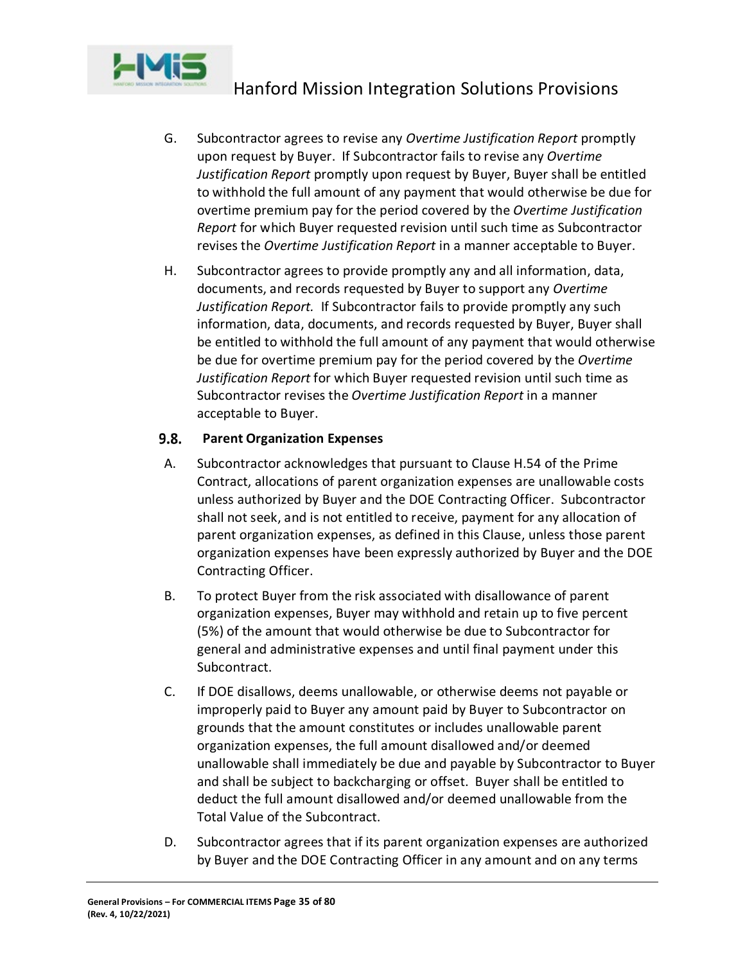

- G. Subcontractor agrees to revise any *Overtime Justification Report* promptly upon request by Buyer. If Subcontractor fails to revise any *Overtime Justification Report* promptly upon request by Buyer, Buyer shall be entitled to withhold the full amount of any payment that would otherwise be due for overtime premium pay for the period covered by the *Overtime Justification Report* for which Buyer requested revision until such time as Subcontractor revises the *Overtime Justification Report* in a manner acceptable to Buyer.
- H. Subcontractor agrees to provide promptly any and all information, data, documents, and records requested by Buyer to support any *Overtime Justification Report.* If Subcontractor fails to provide promptly any such information, data, documents, and records requested by Buyer, Buyer shall be entitled to withhold the full amount of any payment that would otherwise be due for overtime premium pay for the period covered by the *Overtime Justification Report* for which Buyer requested revision until such time as Subcontractor revises the *Overtime Justification Report* in a manner acceptable to Buyer.

#### <span id="page-34-0"></span> $9.8.$ **Parent Organization Expenses**

- A. Subcontractor acknowledges that pursuant to Clause H.54 of the Prime Contract, allocations of parent organization expenses are unallowable costs unless authorized by Buyer and the DOE Contracting Officer. Subcontractor shall not seek, and is not entitled to receive, payment for any allocation of parent organization expenses, as defined in this Clause, unless those parent organization expenses have been expressly authorized by Buyer and the DOE Contracting Officer.
- B. To protect Buyer from the risk associated with disallowance of parent organization expenses, Buyer may withhold and retain up to five percent (5%) of the amount that would otherwise be due to Subcontractor for general and administrative expenses and until final payment under this Subcontract.
- C. If DOE disallows, deems unallowable, or otherwise deems not payable or improperly paid to Buyer any amount paid by Buyer to Subcontractor on grounds that the amount constitutes or includes unallowable parent organization expenses, the full amount disallowed and/or deemed unallowable shall immediately be due and payable by Subcontractor to Buyer and shall be subject to backcharging or offset. Buyer shall be entitled to deduct the full amount disallowed and/or deemed unallowable from the Total Value of the Subcontract.
- D. Subcontractor agrees that if its parent organization expenses are authorized by Buyer and the DOE Contracting Officer in any amount and on any terms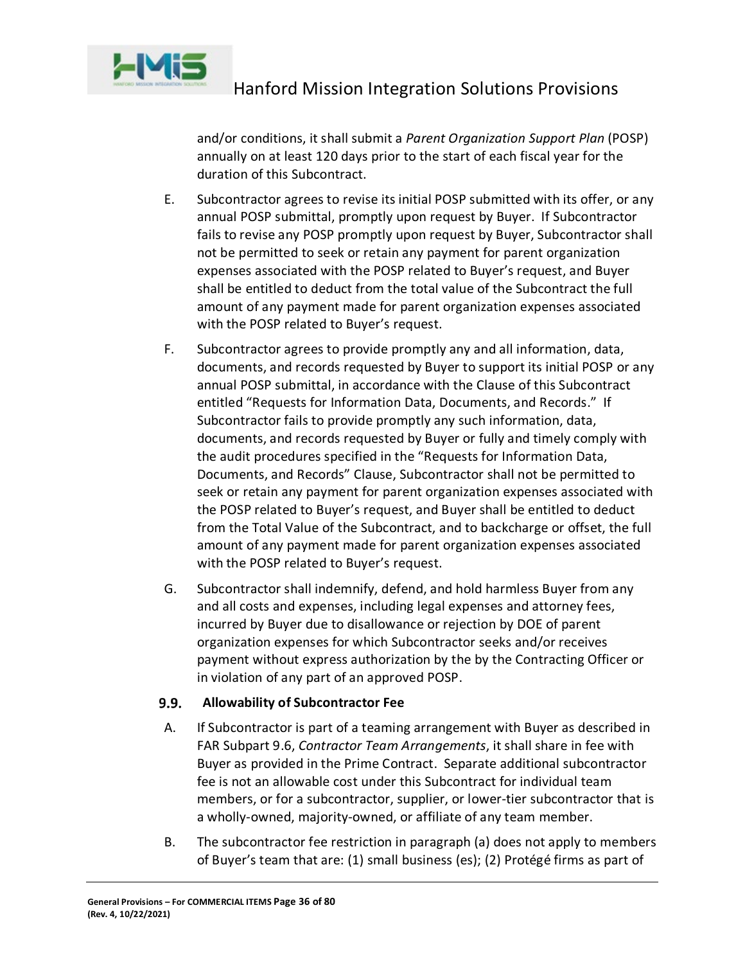

and/or conditions, it shall submit a *Parent Organization Support Plan* (POSP) annually on at least 120 days prior to the start of each fiscal year for the duration of this Subcontract.

- E. Subcontractor agrees to revise its initial POSP submitted with its offer, or any annual POSP submittal, promptly upon request by Buyer. If Subcontractor fails to revise any POSP promptly upon request by Buyer, Subcontractor shall not be permitted to seek or retain any payment for parent organization expenses associated with the POSP related to Buyer's request, and Buyer shall be entitled to deduct from the total value of the Subcontract the full amount of any payment made for parent organization expenses associated with the POSP related to Buyer's request.
- F. Subcontractor agrees to provide promptly any and all information, data, documents, and records requested by Buyer to support its initial POSP or any annual POSP submittal, in accordance with the Clause of this Subcontract entitled "Requests for Information Data, Documents, and Records." If Subcontractor fails to provide promptly any such information, data, documents, and records requested by Buyer or fully and timely comply with the audit procedures specified in the "Requests for Information Data, Documents, and Records" Clause, Subcontractor shall not be permitted to seek or retain any payment for parent organization expenses associated with the POSP related to Buyer's request, and Buyer shall be entitled to deduct from the Total Value of the Subcontract, and to backcharge or offset, the full amount of any payment made for parent organization expenses associated with the POSP related to Buyer's request.
- G. Subcontractor shall indemnify, defend, and hold harmless Buyer from any and all costs and expenses, including legal expenses and attorney fees, incurred by Buyer due to disallowance or rejection by DOE of parent organization expenses for which Subcontractor seeks and/or receives payment without express authorization by the by the Contracting Officer or in violation of any part of an approved POSP.

#### <span id="page-35-0"></span> $9.9.$ **Allowability of Subcontractor Fee**

- A. If Subcontractor is part of a teaming arrangement with Buyer as described in FAR Subpart 9.6, *Contractor Team Arrangements*, it shall share in fee with Buyer as provided in the Prime Contract. Separate additional subcontractor fee is not an allowable cost under this Subcontract for individual team members, or for a subcontractor, supplier, or lower-tier subcontractor that is a wholly-owned, majority-owned, or affiliate of any team member.
- B. The subcontractor fee restriction in paragraph (a) does not apply to members of Buyer's team that are: (1) small business (es); (2) Protégé firms as part of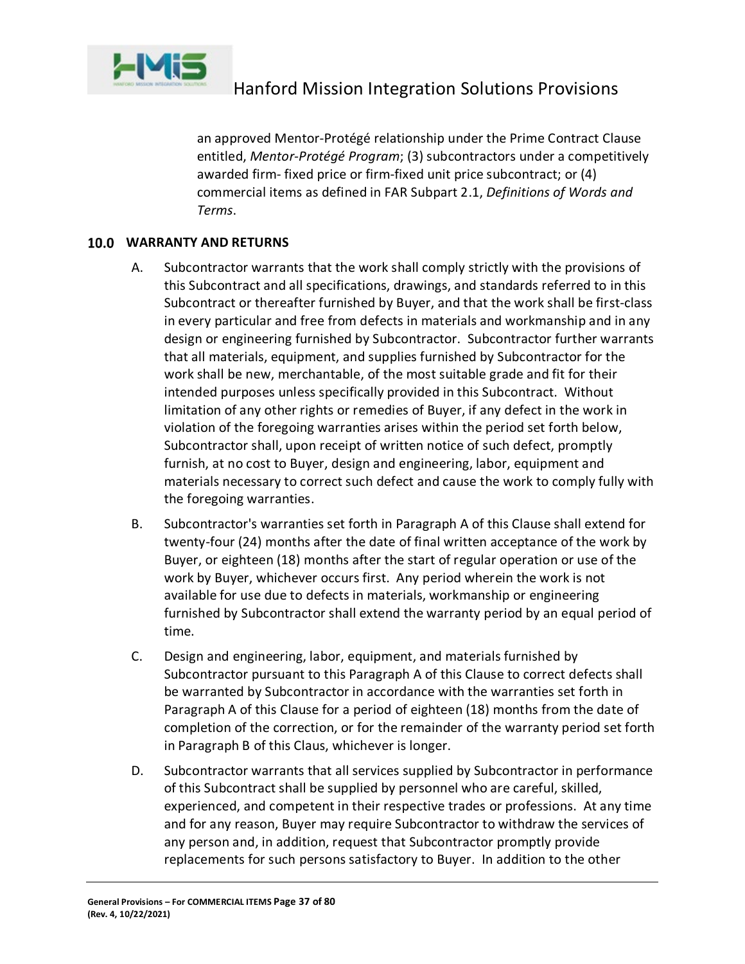

an approved Mentor-Protégé relationship under the Prime Contract Clause entitled, *Mentor-Protégé Program*; (3) subcontractors under a competitively awarded firm- fixed price or firm-fixed unit price subcontract; or (4) commercial items as defined in FAR Subpart 2.1, *Definitions of Words and Terms*.

#### **WARRANTY AND RETURNS**

- A. Subcontractor warrants that the work shall comply strictly with the provisions of this Subcontract and all specifications, drawings, and standards referred to in this Subcontract or thereafter furnished by Buyer, and that the work shall be first-class in every particular and free from defects in materials and workmanship and in any design or engineering furnished by Subcontractor. Subcontractor further warrants that all materials, equipment, and supplies furnished by Subcontractor for the work shall be new, merchantable, of the most suitable grade and fit for their intended purposes unless specifically provided in this Subcontract. Without limitation of any other rights or remedies of Buyer, if any defect in the work in violation of the foregoing warranties arises within the period set forth below, Subcontractor shall, upon receipt of written notice of such defect, promptly furnish, at no cost to Buyer, design and engineering, labor, equipment and materials necessary to correct such defect and cause the work to comply fully with the foregoing warranties.
- B. Subcontractor's warranties set forth in Paragraph A of this Clause shall extend for twenty-four (24) months after the date of final written acceptance of the work by Buyer, or eighteen (18) months after the start of regular operation or use of the work by Buyer, whichever occurs first. Any period wherein the work is not available for use due to defects in materials, workmanship or engineering furnished by Subcontractor shall extend the warranty period by an equal period of time.
- C. Design and engineering, labor, equipment, and materials furnished by Subcontractor pursuant to this Paragraph A of this Clause to correct defects shall be warranted by Subcontractor in accordance with the warranties set forth in Paragraph A of this Clause for a period of eighteen (18) months from the date of completion of the correction, or for the remainder of the warranty period set forth in Paragraph B of this Claus, whichever is longer.
- D. Subcontractor warrants that all services supplied by Subcontractor in performance of this Subcontract shall be supplied by personnel who are careful, skilled, experienced, and competent in their respective trades or professions. At any time and for any reason, Buyer may require Subcontractor to withdraw the services of any person and, in addition, request that Subcontractor promptly provide replacements for such persons satisfactory to Buyer. In addition to the other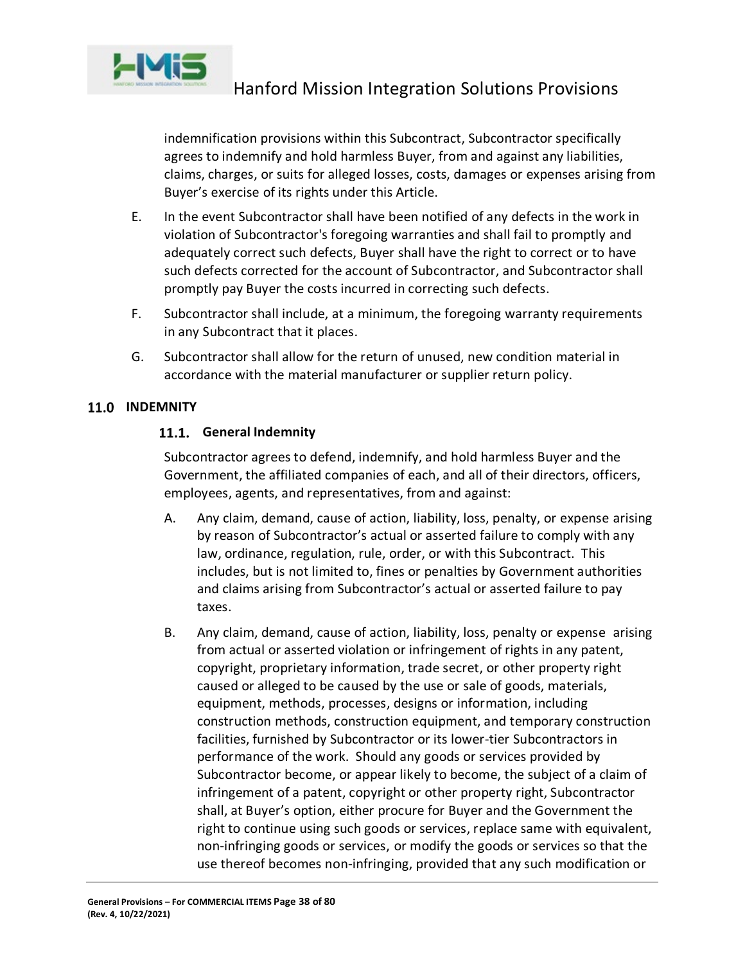

indemnification provisions within this Subcontract, Subcontractor specifically agrees to indemnify and hold harmless Buyer, from and against any liabilities, claims, charges, or suits for alleged losses, costs, damages or expenses arising from Buyer's exercise of its rights under this Article.

- E. In the event Subcontractor shall have been notified of any defects in the work in violation of Subcontractor's foregoing warranties and shall fail to promptly and adequately correct such defects, Buyer shall have the right to correct or to have such defects corrected for the account of Subcontractor, and Subcontractor shall promptly pay Buyer the costs incurred in correcting such defects.
- F. Subcontractor shall include, at a minimum, the foregoing warranty requirements in any Subcontract that it places.
- G. Subcontractor shall allow for the return of unused, new condition material in accordance with the material manufacturer or supplier return policy.

# 11.0 INDEMNITY

# **General Indemnity**

Subcontractor agrees to defend, indemnify, and hold harmless Buyer and the Government, the affiliated companies of each, and all of their directors, officers, employees, agents, and representatives, from and against:

- A. Any claim, demand, cause of action, liability, loss, penalty, or expense arising by reason of Subcontractor's actual or asserted failure to comply with any law, ordinance, regulation, rule, order, or with this Subcontract. This includes, but is not limited to, fines or penalties by Government authorities and claims arising from Subcontractor's actual or asserted failure to pay taxes.
- B. Any claim, demand, cause of action, liability, loss, penalty or expense arising from actual or asserted violation or infringement of rights in any patent, copyright, proprietary information, trade secret, or other property right caused or alleged to be caused by the use or sale of goods, materials, equipment, methods, processes, designs or information, including construction methods, construction equipment, and temporary construction facilities, furnished by Subcontractor or its lower-tier Subcontractors in performance of the work. Should any goods or services provided by Subcontractor become, or appear likely to become, the subject of a claim of infringement of a patent, copyright or other property right, Subcontractor shall, at Buyer's option, either procure for Buyer and the Government the right to continue using such goods or services, replace same with equivalent, non-infringing goods or services, or modify the goods or services so that the use thereof becomes non-infringing, provided that any such modification or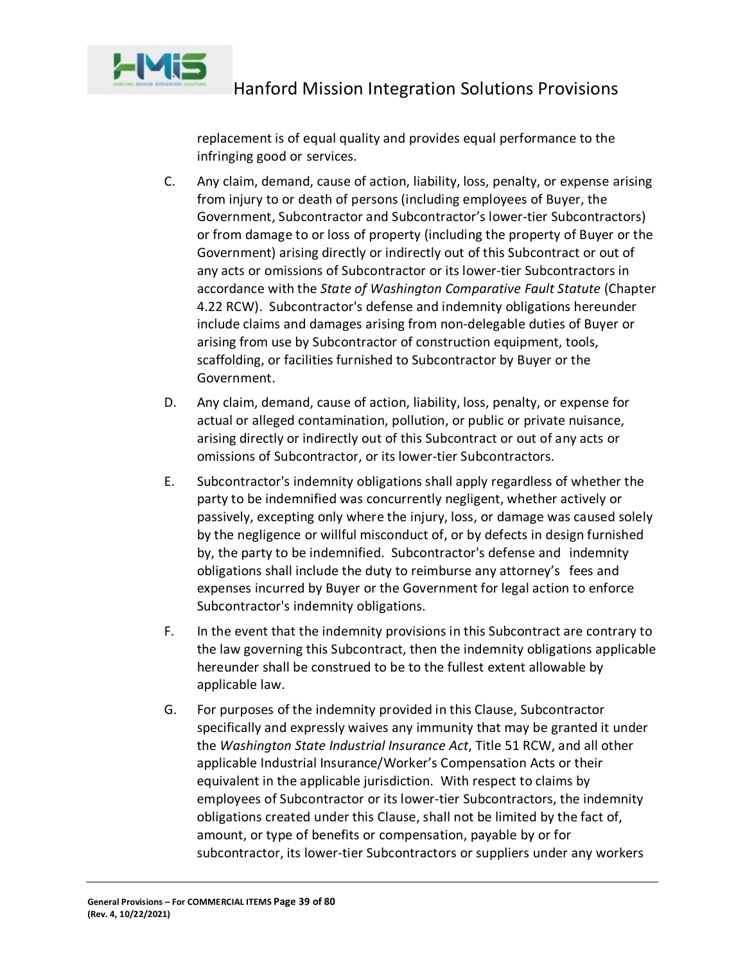

replacement is of equal quality and provides equal performance to the infringing good or services.

- C. Any claim, demand, cause of action, liability, loss, penalty, or expense arising from injury to or death of persons (including employees of Buyer, the Government, Subcontractor and Subcontractor's lower-tier Subcontractors) or from damage to or loss of property (including the property of Buyer or the Government) arising directly or indirectly out of this Subcontract or out of any acts or omissions of Subcontractor or its lower-tier Subcontractors in accordance with the *State of Washington Comparative Fault Statute* (Chapter 4.22 RCW). Subcontractor's defense and indemnity obligations hereunder include claims and damages arising from non-delegable duties of Buyer or arising from use by Subcontractor of construction equipment, tools, scaffolding, or facilities furnished to Subcontractor by Buyer or the Government.
- D. Any claim, demand, cause of action, liability, loss, penalty, or expense for actual or alleged contamination, pollution, or public or private nuisance, arising directly or indirectly out of this Subcontract or out of any acts or omissions of Subcontractor, or its lower-tier Subcontractors.
- E. Subcontractor's indemnity obligations shall apply regardless of whether the party to be indemnified was concurrently negligent, whether actively or passively, excepting only where the injury, loss, or damage was caused solely by the negligence or willful misconduct of, or by defects in design furnished by, the party to be indemnified. Subcontractor's defense and indemnity obligations shall include the duty to reimburse any attorney's fees and expenses incurred by Buyer or the Government for legal action to enforce Subcontractor's indemnity obligations.
- F. In the event that the indemnity provisions in this Subcontract are contrary to the law governing this Subcontract, then the indemnity obligations applicable hereunder shall be construed to be to the fullest extent allowable by applicable law.
- G. For purposes of the indemnity provided in this Clause, Subcontractor specifically and expressly waives any immunity that may be granted it under the *Washington State Industrial Insurance Act*, Title 51 RCW, and all other applicable Industrial Insurance/Worker's Compensation Acts or their equivalent in the applicable jurisdiction. With respect to claims by employees of Subcontractor or its lower-tier Subcontractors, the indemnity obligations created under this Clause, shall not be limited by the fact of, amount, or type of benefits or compensation, payable by or for subcontractor, its lower-tier Subcontractors or suppliers under any workers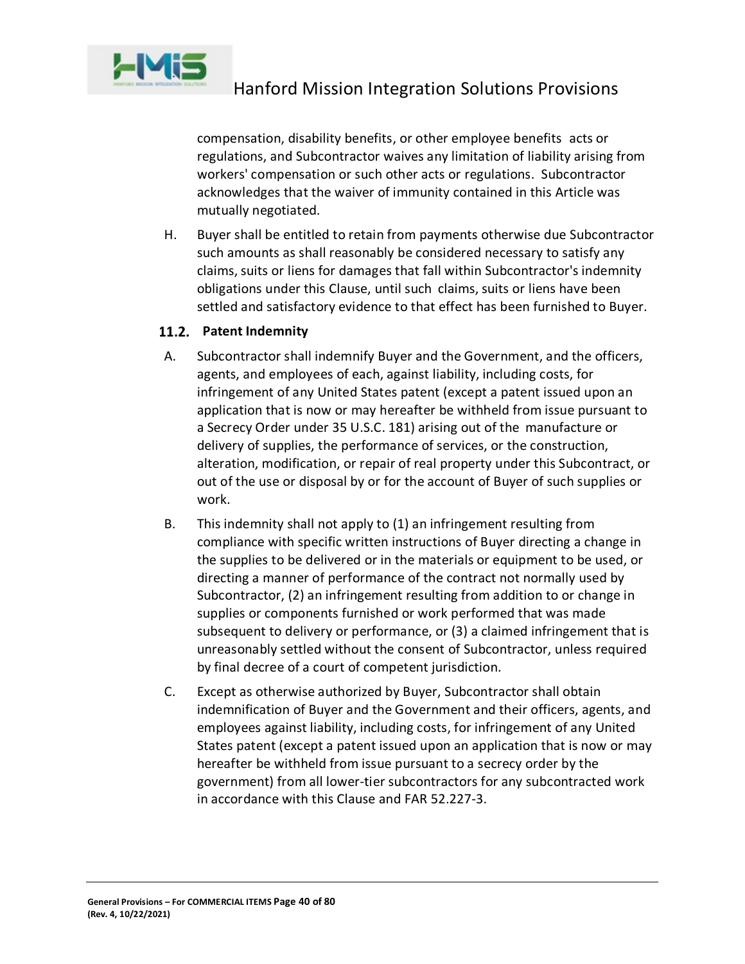

compensation, disability benefits, or other employee benefits acts or regulations, and Subcontractor waives any limitation of liability arising from workers' compensation or such other acts or regulations. Subcontractor acknowledges that the waiver of immunity contained in this Article was mutually negotiated.

H. Buyer shall be entitled to retain from payments otherwise due Subcontractor such amounts as shall reasonably be considered necessary to satisfy any claims, suits or liens for damages that fall within Subcontractor's indemnity obligations under this Clause, until such claims, suits or liens have been settled and satisfactory evidence to that effect has been furnished to Buyer.

# 11.2. Patent Indemnity

- A. Subcontractor shall indemnify Buyer and the Government, and the officers, agents, and employees of each, against liability, including costs, for infringement of any United States patent (except a patent issued upon an application that is now or may hereafter be withheld from issue pursuant to a Secrecy Order under 35 U.S.C. 181) arising out of the manufacture or delivery of supplies, the performance of services, or the construction, alteration, modification, or repair of real property under this Subcontract, or out of the use or disposal by or for the account of Buyer of such supplies or work.
- B. This indemnity shall not apply to (1) an infringement resulting from compliance with specific written instructions of Buyer directing a change in the supplies to be delivered or in the materials or equipment to be used, or directing a manner of performance of the contract not normally used by Subcontractor, (2) an infringement resulting from addition to or change in supplies or components furnished or work performed that was made subsequent to delivery or performance, or (3) a claimed infringement that is unreasonably settled without the consent of Subcontractor, unless required by final decree of a court of competent jurisdiction.
- C. Except as otherwise authorized by Buyer, Subcontractor shall obtain indemnification of Buyer and the Government and their officers, agents, and employees against liability, including costs, for infringement of any United States patent (except a patent issued upon an application that is now or may hereafter be withheld from issue pursuant to a secrecy order by the government) from all lower-tier subcontractors for any subcontracted work in accordance with this Clause and FAR 52.227-3.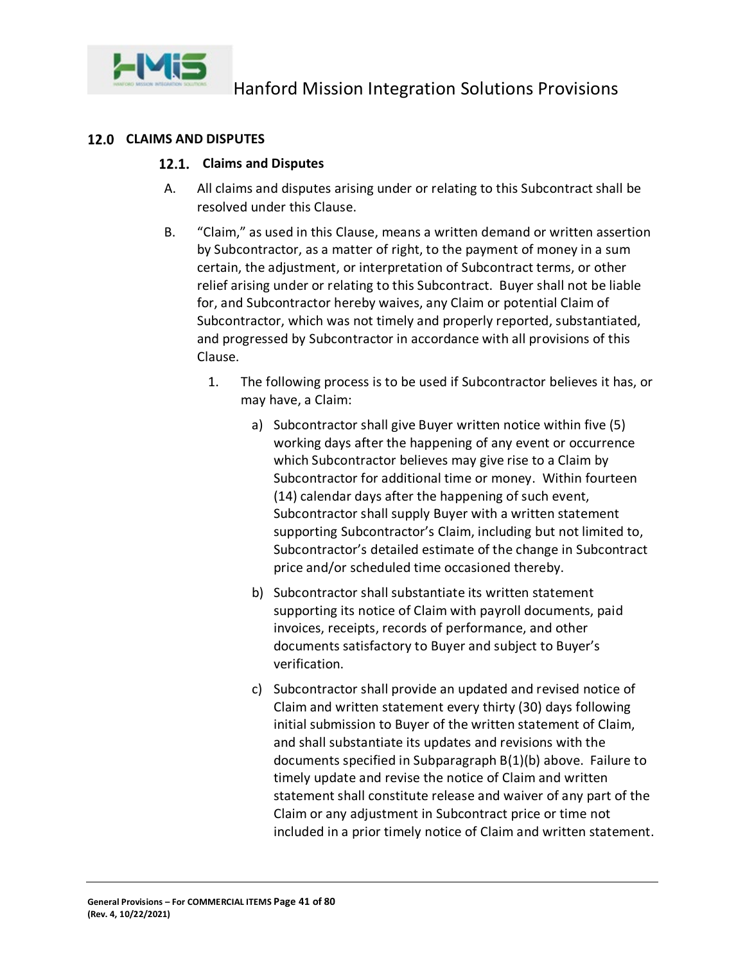

#### **CLAIMS AND DISPUTES**

#### **Claims and Disputes**

- A. All claims and disputes arising under or relating to this Subcontract shall be resolved under this Clause.
- B. "Claim," as used in this Clause, means a written demand or written assertion by Subcontractor, as a matter of right, to the payment of money in a sum certain, the adjustment, or interpretation of Subcontract terms, or other relief arising under or relating to this Subcontract. Buyer shall not be liable for, and Subcontractor hereby waives, any Claim or potential Claim of Subcontractor, which was not timely and properly reported, substantiated, and progressed by Subcontractor in accordance with all provisions of this Clause.
	- 1. The following process is to be used if Subcontractor believes it has, or may have, a Claim:
		- a) Subcontractor shall give Buyer written notice within five (5) working days after the happening of any event or occurrence which Subcontractor believes may give rise to a Claim by Subcontractor for additional time or money. Within fourteen (14) calendar days after the happening of such event, Subcontractor shall supply Buyer with a written statement supporting Subcontractor's Claim, including but not limited to, Subcontractor's detailed estimate of the change in Subcontract price and/or scheduled time occasioned thereby.
		- b) Subcontractor shall substantiate its written statement supporting its notice of Claim with payroll documents, paid invoices, receipts, records of performance, and other documents satisfactory to Buyer and subject to Buyer's verification.
		- c) Subcontractor shall provide an updated and revised notice of Claim and written statement every thirty (30) days following initial submission to Buyer of the written statement of Claim, and shall substantiate its updates and revisions with the documents specified in Subparagraph B(1)(b) above. Failure to timely update and revise the notice of Claim and written statement shall constitute release and waiver of any part of the Claim or any adjustment in Subcontract price or time not included in a prior timely notice of Claim and written statement.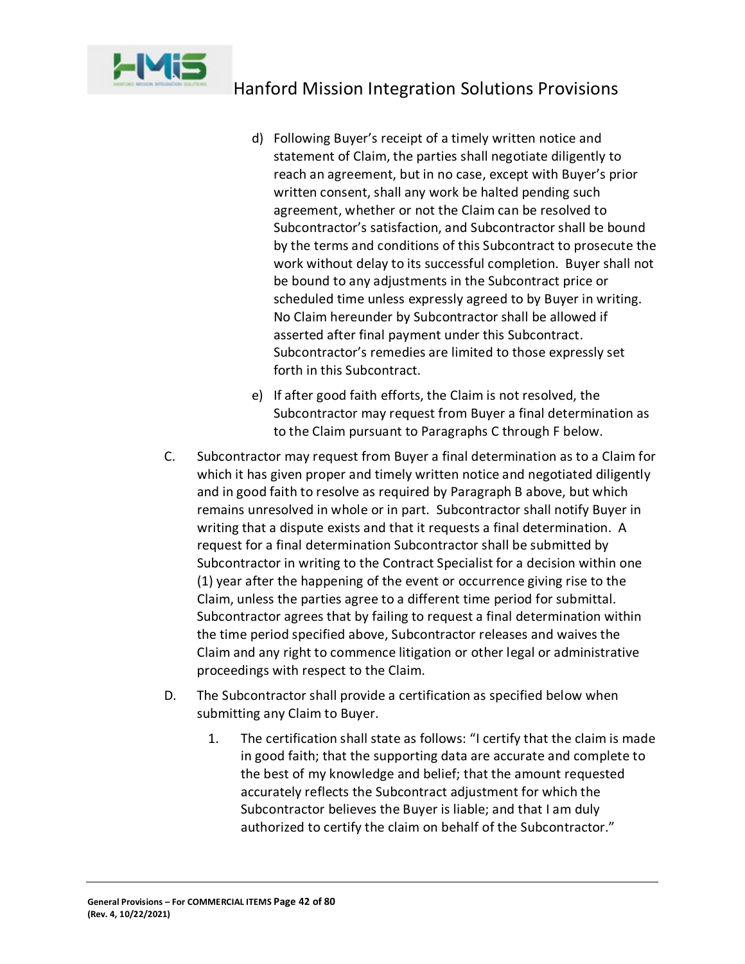

- d) Following Buyer's receipt of a timely written notice and statement of Claim, the parties shall negotiate diligently to reach an agreement, but in no case, except with Buyer's prior written consent, shall any work be halted pending such agreement, whether or not the Claim can be resolved to Subcontractor's satisfaction, and Subcontractor shall be bound by the terms and conditions of this Subcontract to prosecute the work without delay to its successful completion. Buyer shall not be bound to any adjustments in the Subcontract price or scheduled time unless expressly agreed to by Buyer in writing. No Claim hereunder by Subcontractor shall be allowed if asserted after final payment under this Subcontract. Subcontractor's remedies are limited to those expressly set forth in this Subcontract.
- e) If after good faith efforts, the Claim is not resolved, the Subcontractor may request from Buyer a final determination as to the Claim pursuant to Paragraphs C through F below.
- C. Subcontractor may request from Buyer a final determination as to a Claim for which it has given proper and timely written notice and negotiated diligently and in good faith to resolve as required by Paragraph B above, but which remains unresolved in whole or in part. Subcontractor shall notify Buyer in writing that a dispute exists and that it requests a final determination. A request for a final determination Subcontractor shall be submitted by Subcontractor in writing to the Contract Specialist for a decision within one (1) year after the happening of the event or occurrence giving rise to the Claim, unless the parties agree to a different time period for submittal. Subcontractor agrees that by failing to request a final determination within the time period specified above, Subcontractor releases and waives the Claim and any right to commence litigation or other legal or administrative proceedings with respect to the Claim.
- D. The Subcontractor shall provide a certification as specified below when submitting any Claim to Buyer.
	- 1. The certification shall state as follows: "I certify that the claim is made in good faith; that the supporting data are accurate and complete to the best of my knowledge and belief; that the amount requested accurately reflects the Subcontract adjustment for which the Subcontractor believes the Buyer is liable; and that I am duly authorized to certify the claim on behalf of the Subcontractor."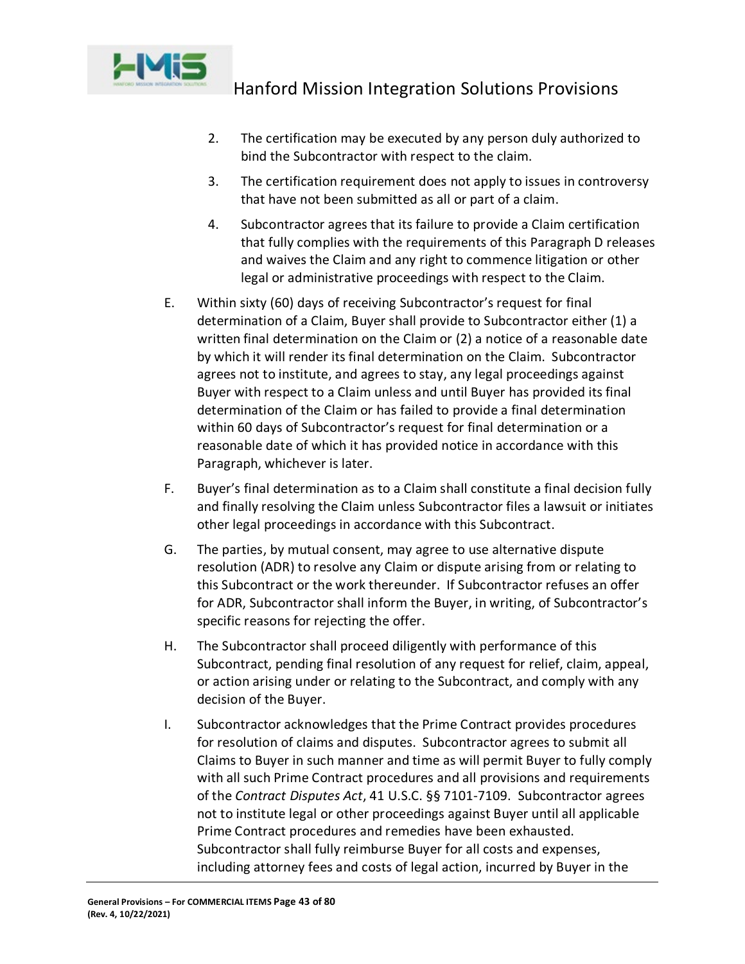

- 2. The certification may be executed by any person duly authorized to bind the Subcontractor with respect to the claim.
- 3. The certification requirement does not apply to issues in controversy that have not been submitted as all or part of a claim.
- 4. Subcontractor agrees that its failure to provide a Claim certification that fully complies with the requirements of this Paragraph D releases and waives the Claim and any right to commence litigation or other legal or administrative proceedings with respect to the Claim.
- E. Within sixty (60) days of receiving Subcontractor's request for final determination of a Claim, Buyer shall provide to Subcontractor either (1) a written final determination on the Claim or (2) a notice of a reasonable date by which it will render its final determination on the Claim. Subcontractor agrees not to institute, and agrees to stay, any legal proceedings against Buyer with respect to a Claim unless and until Buyer has provided its final determination of the Claim or has failed to provide a final determination within 60 days of Subcontractor's request for final determination or a reasonable date of which it has provided notice in accordance with this Paragraph, whichever is later.
- F. Buyer's final determination as to a Claim shall constitute a final decision fully and finally resolving the Claim unless Subcontractor files a lawsuit or initiates other legal proceedings in accordance with this Subcontract.
- G. The parties, by mutual consent, may agree to use alternative dispute resolution (ADR) to resolve any Claim or dispute arising from or relating to this Subcontract or the work thereunder. If Subcontractor refuses an offer for ADR, Subcontractor shall inform the Buyer, in writing, of Subcontractor's specific reasons for rejecting the offer.
- H. The Subcontractor shall proceed diligently with performance of this Subcontract, pending final resolution of any request for relief, claim, appeal, or action arising under or relating to the Subcontract, and comply with any decision of the Buyer.
- I. Subcontractor acknowledges that the Prime Contract provides procedures for resolution of claims and disputes. Subcontractor agrees to submit all Claims to Buyer in such manner and time as will permit Buyer to fully comply with all such Prime Contract procedures and all provisions and requirements of the *Contract Disputes Act*, 41 U.S.C. §§ 7101-7109. Subcontractor agrees not to institute legal or other proceedings against Buyer until all applicable Prime Contract procedures and remedies have been exhausted. Subcontractor shall fully reimburse Buyer for all costs and expenses, including attorney fees and costs of legal action, incurred by Buyer in the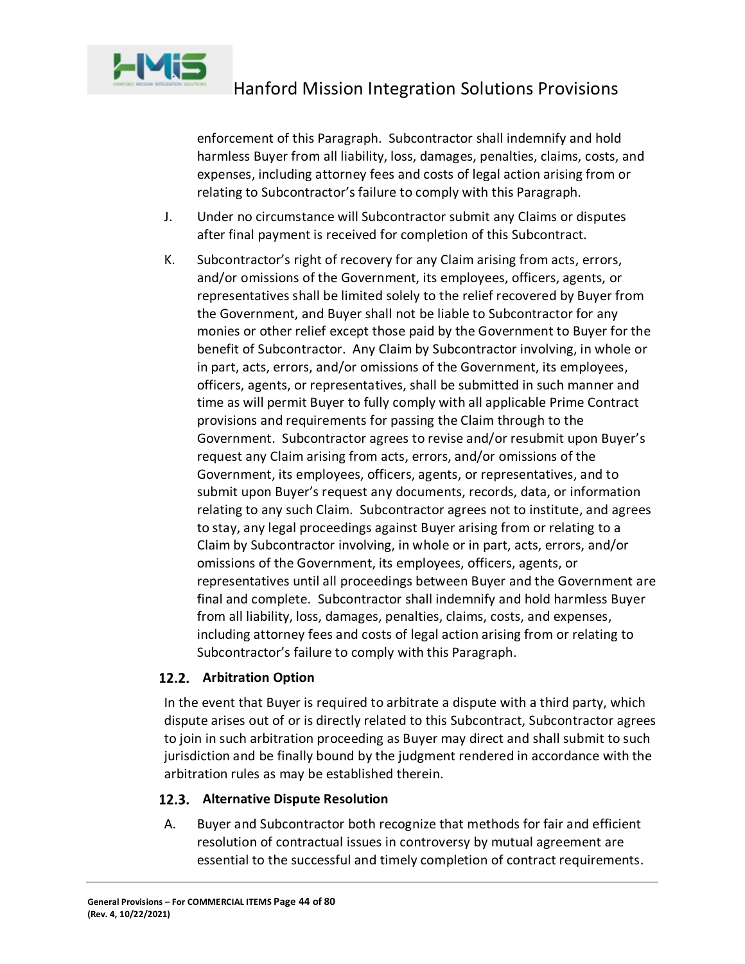

enforcement of this Paragraph. Subcontractor shall indemnify and hold harmless Buyer from all liability, loss, damages, penalties, claims, costs, and expenses, including attorney fees and costs of legal action arising from or relating to Subcontractor's failure to comply with this Paragraph.

- J. Under no circumstance will Subcontractor submit any Claims or disputes after final payment is received for completion of this Subcontract.
- K. Subcontractor's right of recovery for any Claim arising from acts, errors, and/or omissions of the Government, its employees, officers, agents, or representatives shall be limited solely to the relief recovered by Buyer from the Government, and Buyer shall not be liable to Subcontractor for any monies or other relief except those paid by the Government to Buyer for the benefit of Subcontractor. Any Claim by Subcontractor involving, in whole or in part, acts, errors, and/or omissions of the Government, its employees, officers, agents, or representatives, shall be submitted in such manner and time as will permit Buyer to fully comply with all applicable Prime Contract provisions and requirements for passing the Claim through to the Government. Subcontractor agrees to revise and/or resubmit upon Buyer's request any Claim arising from acts, errors, and/or omissions of the Government, its employees, officers, agents, or representatives, and to submit upon Buyer's request any documents, records, data, or information relating to any such Claim. Subcontractor agrees not to institute, and agrees to stay, any legal proceedings against Buyer arising from or relating to a Claim by Subcontractor involving, in whole or in part, acts, errors, and/or omissions of the Government, its employees, officers, agents, or representatives until all proceedings between Buyer and the Government are final and complete. Subcontractor shall indemnify and hold harmless Buyer from all liability, loss, damages, penalties, claims, costs, and expenses, including attorney fees and costs of legal action arising from or relating to Subcontractor's failure to comply with this Paragraph.

# **Arbitration Option**

In the event that Buyer is required to arbitrate a dispute with a third party, which dispute arises out of or is directly related to this Subcontract, Subcontractor agrees to join in such arbitration proceeding as Buyer may direct and shall submit to such jurisdiction and be finally bound by the judgment rendered in accordance with the arbitration rules as may be established therein.

# **Alternative Dispute Resolution**

A. Buyer and Subcontractor both recognize that methods for fair and efficient resolution of contractual issues in controversy by mutual agreement are essential to the successful and timely completion of contract requirements.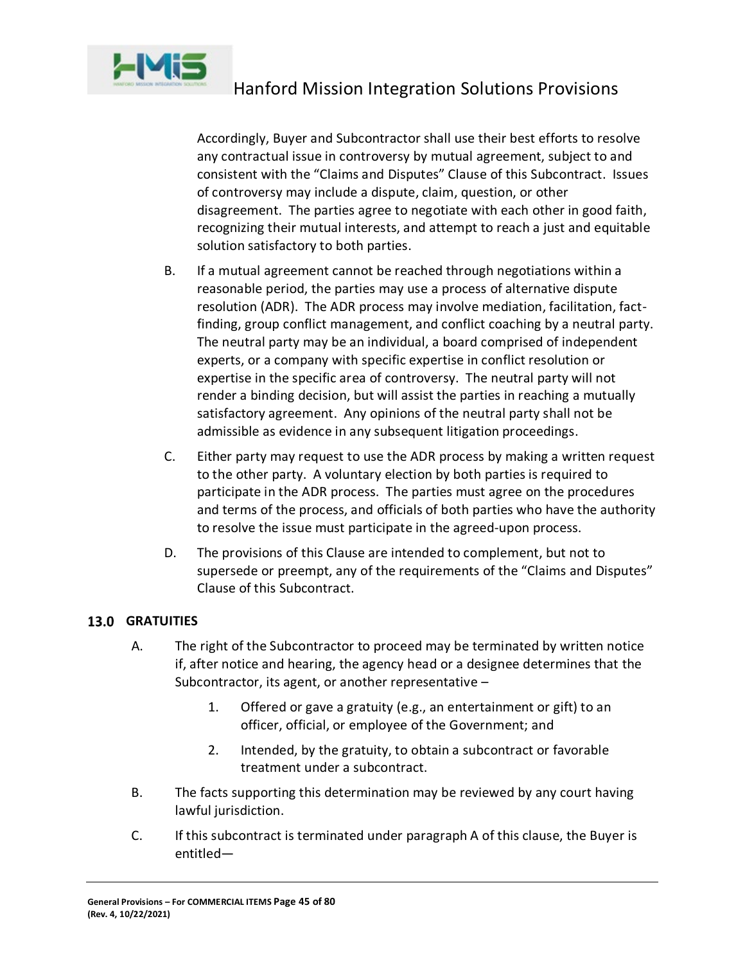

Accordingly, Buyer and Subcontractor shall use their best efforts to resolve any contractual issue in controversy by mutual agreement, subject to and consistent with the "Claims and Disputes" Clause of this Subcontract. Issues of controversy may include a dispute, claim, question, or other disagreement. The parties agree to negotiate with each other in good faith, recognizing their mutual interests, and attempt to reach a just and equitable solution satisfactory to both parties.

- B. If a mutual agreement cannot be reached through negotiations within a reasonable period, the parties may use a process of alternative dispute resolution (ADR). The ADR process may involve mediation, facilitation, factfinding, group conflict management, and conflict coaching by a neutral party. The neutral party may be an individual, a board comprised of independent experts, or a company with specific expertise in conflict resolution or expertise in the specific area of controversy. The neutral party will not render a binding decision, but will assist the parties in reaching a mutually satisfactory agreement. Any opinions of the neutral party shall not be admissible as evidence in any subsequent litigation proceedings.
- C. Either party may request to use the ADR process by making a written request to the other party. A voluntary election by both parties is required to participate in the ADR process. The parties must agree on the procedures and terms of the process, and officials of both parties who have the authority to resolve the issue must participate in the agreed-upon process.
- D. The provisions of this Clause are intended to complement, but not to supersede or preempt, any of the requirements of the "Claims and Disputes" Clause of this Subcontract.

# **GRATUITIES**

- A. The right of the Subcontractor to proceed may be terminated by written notice if, after notice and hearing, the agency head or a designee determines that the Subcontractor, its agent, or another representative –
	- 1. Offered or gave a gratuity (e.g., an entertainment or gift) to an officer, official, or employee of the Government; and
	- 2. Intended, by the gratuity, to obtain a subcontract or favorable treatment under a subcontract.
- B. The facts supporting this determination may be reviewed by any court having lawful jurisdiction.
- C. If this subcontract is terminated under paragraph A of this clause, the Buyer is entitled—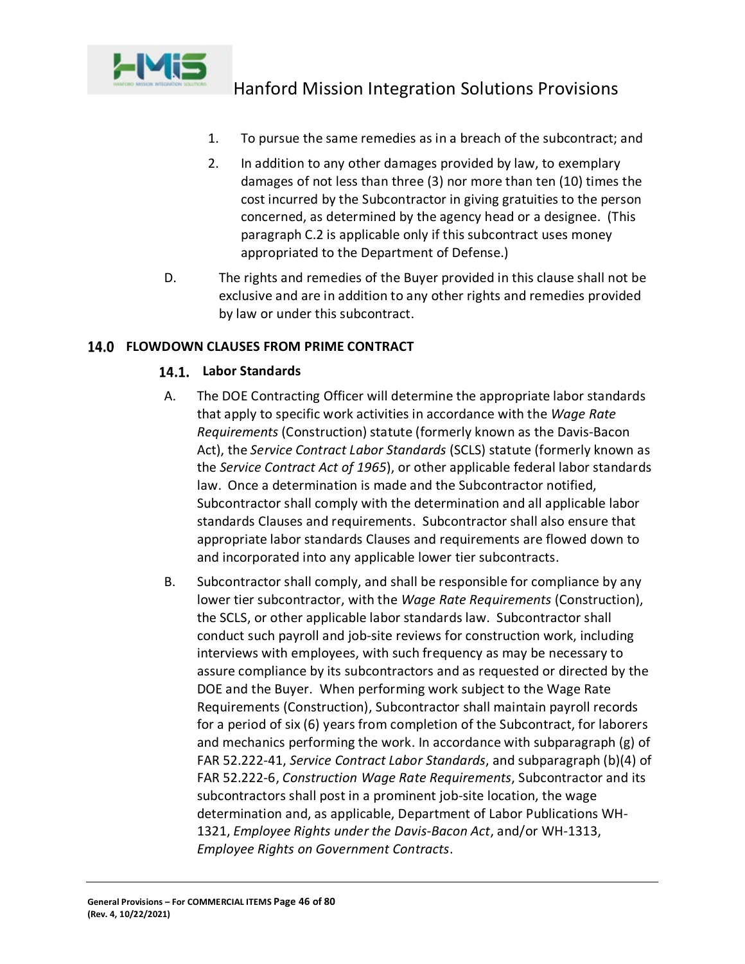

- 1. To pursue the same remedies as in a breach of the subcontract; and
- 2. In addition to any other damages provided by law, to exemplary damages of not less than three (3) nor more than ten (10) times the cost incurred by the Subcontractor in giving gratuities to the person concerned, as determined by the agency head or a designee. (This paragraph C.2 is applicable only if this subcontract uses money appropriated to the Department of Defense.)
- D. The rights and remedies of the Buyer provided in this clause shall not be exclusive and are in addition to any other rights and remedies provided by law or under this subcontract.

# **FLOWDOWN CLAUSES FROM PRIME CONTRACT**

# **Labor Standards**

- A. The DOE Contracting Officer will determine the appropriate labor standards that apply to specific work activities in accordance with the *Wage Rate Requirements* (Construction) statute (formerly known as the Davis-Bacon Act), the *Service Contract Labor Standards* (SCLS) statute (formerly known as the *Service Contract Act of 1965*), or other applicable federal labor standards law. Once a determination is made and the Subcontractor notified, Subcontractor shall comply with the determination and all applicable labor standards Clauses and requirements. Subcontractor shall also ensure that appropriate labor standards Clauses and requirements are flowed down to and incorporated into any applicable lower tier subcontracts.
- B. Subcontractor shall comply, and shall be responsible for compliance by any lower tier subcontractor, with the *Wage Rate Requirements* (Construction), the SCLS, or other applicable labor standards law. Subcontractor shall conduct such payroll and job-site reviews for construction work, including interviews with employees, with such frequency as may be necessary to assure compliance by its subcontractors and as requested or directed by the DOE and the Buyer. When performing work subject to the Wage Rate Requirements (Construction), Subcontractor shall maintain payroll records for a period of six (6) years from completion of the Subcontract, for laborers and mechanics performing the work. In accordance with subparagraph (g) of FAR 52.222-41, *Service Contract Labor Standards*, and subparagraph (b)(4) of FAR 52.222-6, *Construction Wage Rate Requirements*, Subcontractor and its subcontractors shall post in a prominent job-site location, the wage determination and, as applicable, Department of Labor Publications WH-1321, *Employee Rights under the Davis-Bacon Act*, and/or WH-1313, *Employee Rights on Government Contracts*.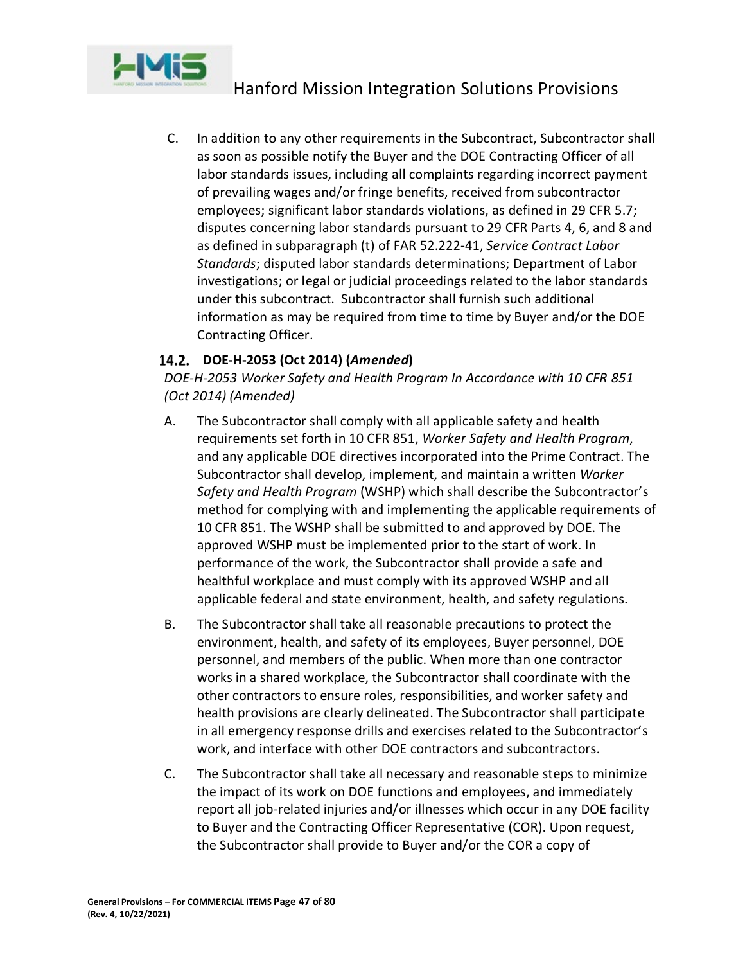

C. In addition to any other requirements in the Subcontract, Subcontractor shall as soon as possible notify the Buyer and the DOE Contracting Officer of all labor standards issues, including all complaints regarding incorrect payment of prevailing wages and/or fringe benefits, received from subcontractor employees; significant labor standards violations, as defined in 29 CFR 5.7; disputes concerning labor standards pursuant to 29 CFR Parts 4, 6, and 8 and as defined in subparagraph (t) of FAR 52.222-41, *Service Contract Labor Standards*; disputed labor standards determinations; Department of Labor investigations; or legal or judicial proceedings related to the labor standards under this subcontract. Subcontractor shall furnish such additional information as may be required from time to time by Buyer and/or the DOE Contracting Officer.

# **DOE-H-2053 (Oct 2014) (***Amended***)**

*DOE-H-2053 Worker Safety and Health Program In Accordance with 10 CFR 851 (Oct 2014) (Amended)*

- A. The Subcontractor shall comply with all applicable safety and health requirements set forth in 10 CFR 851, *Worker Safety and Health Program*, and any applicable DOE directives incorporated into the Prime Contract. The Subcontractor shall develop, implement, and maintain a written *Worker Safety and Health Program* (WSHP) which shall describe the Subcontractor's method for complying with and implementing the applicable requirements of 10 CFR 851. The WSHP shall be submitted to and approved by DOE. The approved WSHP must be implemented prior to the start of work. In performance of the work, the Subcontractor shall provide a safe and healthful workplace and must comply with its approved WSHP and all applicable federal and state environment, health, and safety regulations.
- B. The Subcontractor shall take all reasonable precautions to protect the environment, health, and safety of its employees, Buyer personnel, DOE personnel, and members of the public. When more than one contractor works in a shared workplace, the Subcontractor shall coordinate with the other contractors to ensure roles, responsibilities, and worker safety and health provisions are clearly delineated. The Subcontractor shall participate in all emergency response drills and exercises related to the Subcontractor's work, and interface with other DOE contractors and subcontractors.
- C. The Subcontractor shall take all necessary and reasonable steps to minimize the impact of its work on DOE functions and employees, and immediately report all job-related injuries and/or illnesses which occur in any DOE facility to Buyer and the Contracting Officer Representative (COR). Upon request, the Subcontractor shall provide to Buyer and/or the COR a copy of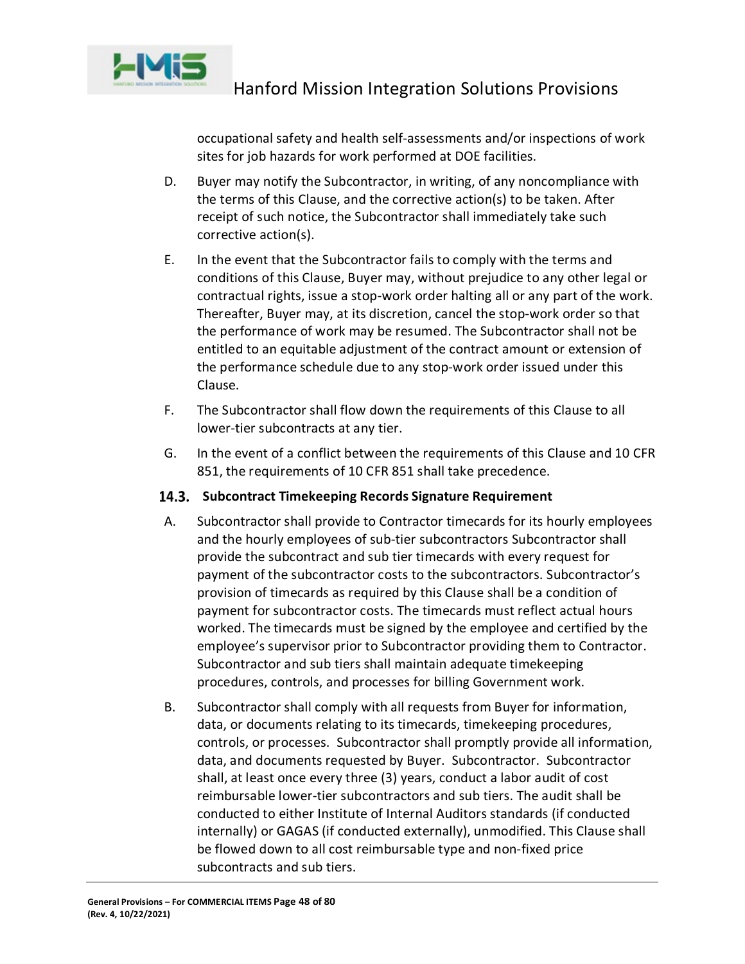

occupational safety and health self-assessments and/or inspections of work sites for job hazards for work performed at DOE facilities.

- D. Buyer may notify the Subcontractor, in writing, of any noncompliance with the terms of this Clause, and the corrective action(s) to be taken. After receipt of such notice, the Subcontractor shall immediately take such corrective action(s).
- E. In the event that the Subcontractor fails to comply with the terms and conditions of this Clause, Buyer may, without prejudice to any other legal or contractual rights, issue a stop-work order halting all or any part of the work. Thereafter, Buyer may, at its discretion, cancel the stop-work order so that the performance of work may be resumed. The Subcontractor shall not be entitled to an equitable adjustment of the contract amount or extension of the performance schedule due to any stop-work order issued under this Clause.
- F. The Subcontractor shall flow down the requirements of this Clause to all lower-tier subcontracts at any tier.
- G. In the event of a conflict between the requirements of this Clause and 10 CFR 851, the requirements of 10 CFR 851 shall take precedence.

# 14.3. Subcontract Timekeeping Records Signature Requirement

- A. Subcontractor shall provide to Contractor timecards for its hourly employees and the hourly employees of sub-tier subcontractors Subcontractor shall provide the subcontract and sub tier timecards with every request for payment of the subcontractor costs to the subcontractors. Subcontractor's provision of timecards as required by this Clause shall be a condition of payment for subcontractor costs. The timecards must reflect actual hours worked. The timecards must be signed by the employee and certified by the employee's supervisor prior to Subcontractor providing them to Contractor. Subcontractor and sub tiers shall maintain adequate timekeeping procedures, controls, and processes for billing Government work.
- B. Subcontractor shall comply with all requests from Buyer for information, data, or documents relating to its timecards, timekeeping procedures, controls, or processes. Subcontractor shall promptly provide all information, data, and documents requested by Buyer. Subcontractor. Subcontractor shall, at least once every three (3) years, conduct a labor audit of cost reimbursable lower-tier subcontractors and sub tiers. The audit shall be conducted to either Institute of Internal Auditors standards (if conducted internally) or GAGAS (if conducted externally), unmodified. This Clause shall be flowed down to all cost reimbursable type and non-fixed price subcontracts and sub tiers.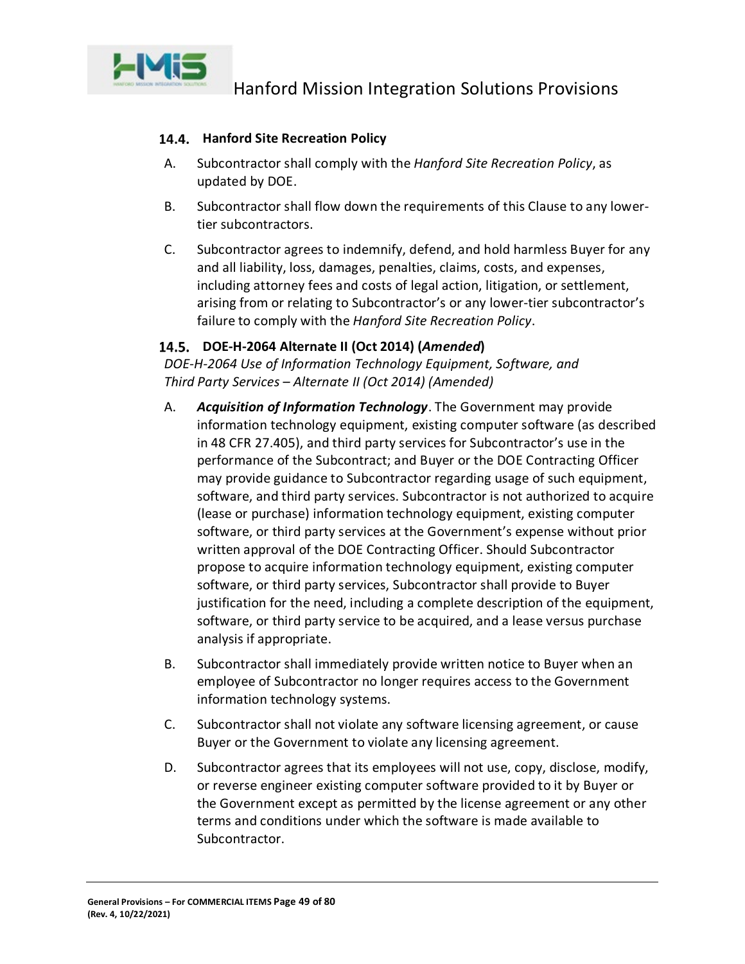

# **Hanford Site Recreation Policy**

- A. Subcontractor shall comply with the *Hanford Site Recreation Policy*, as updated by DOE.
- B. Subcontractor shall flow down the requirements of this Clause to any lowertier subcontractors.
- C. Subcontractor agrees to indemnify, defend, and hold harmless Buyer for any and all liability, loss, damages, penalties, claims, costs, and expenses, including attorney fees and costs of legal action, litigation, or settlement, arising from or relating to Subcontractor's or any lower-tier subcontractor's failure to comply with the *Hanford Site Recreation Policy*.

# **DOE-H-2064 Alternate II (Oct 2014) (***Amended***)**

*DOE-H-2064 Use of Information Technology Equipment, Software, and Third Party Services – Alternate II (Oct 2014) (Amended)*

- A. *Acquisition of Information Technology*. The Government may provide information technology equipment, existing computer software (as described in 48 CFR 27.405), and third party services for Subcontractor's use in the performance of the Subcontract; and Buyer or the DOE Contracting Officer may provide guidance to Subcontractor regarding usage of such equipment, software, and third party services. Subcontractor is not authorized to acquire (lease or purchase) information technology equipment, existing computer software, or third party services at the Government's expense without prior written approval of the DOE Contracting Officer. Should Subcontractor propose to acquire information technology equipment, existing computer software, or third party services, Subcontractor shall provide to Buyer justification for the need, including a complete description of the equipment, software, or third party service to be acquired, and a lease versus purchase analysis if appropriate.
- B. Subcontractor shall immediately provide written notice to Buyer when an employee of Subcontractor no longer requires access to the Government information technology systems.
- C. Subcontractor shall not violate any software licensing agreement, or cause Buyer or the Government to violate any licensing agreement.
- D. Subcontractor agrees that its employees will not use, copy, disclose, modify, or reverse engineer existing computer software provided to it by Buyer or the Government except as permitted by the license agreement or any other terms and conditions under which the software is made available to Subcontractor.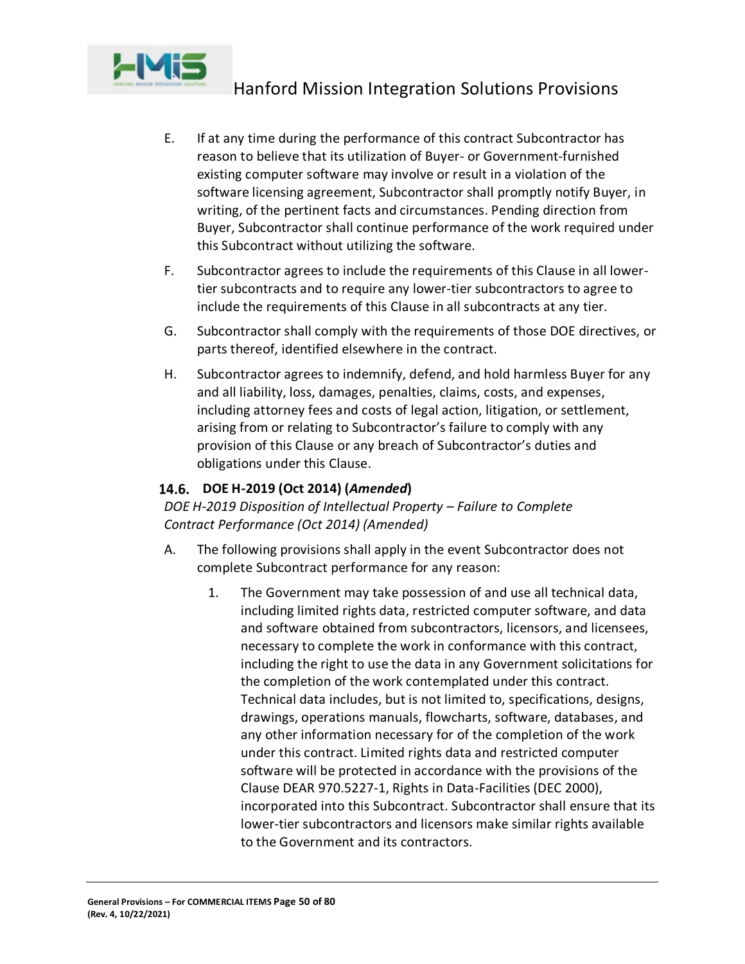

- E. If at any time during the performance of this contract Subcontractor has reason to believe that its utilization of Buyer- or Government-furnished existing computer software may involve or result in a violation of the software licensing agreement, Subcontractor shall promptly notify Buyer, in writing, of the pertinent facts and circumstances. Pending direction from Buyer, Subcontractor shall continue performance of the work required under this Subcontract without utilizing the software.
- F. Subcontractor agrees to include the requirements of this Clause in all lowertier subcontracts and to require any lower-tier subcontractors to agree to include the requirements of this Clause in all subcontracts at any tier.
- G. Subcontractor shall comply with the requirements of those DOE directives, or parts thereof, identified elsewhere in the contract.
- H. Subcontractor agrees to indemnify, defend, and hold harmless Buyer for any and all liability, loss, damages, penalties, claims, costs, and expenses, including attorney fees and costs of legal action, litigation, or settlement, arising from or relating to Subcontractor's failure to comply with any provision of this Clause or any breach of Subcontractor's duties and obligations under this Clause.

# **DOE H-2019 (Oct 2014) (***Amended***)**

# *DOE H-2019 Disposition of Intellectual Property – Failure to Complete Contract Performance (Oct 2014) (Amended)*

- A. The following provisions shall apply in the event Subcontractor does not complete Subcontract performance for any reason:
	- 1. The Government may take possession of and use all technical data, including limited rights data, restricted computer software, and data and software obtained from subcontractors, licensors, and licensees, necessary to complete the work in conformance with this contract, including the right to use the data in any Government solicitations for the completion of the work contemplated under this contract. Technical data includes, but is not limited to, specifications, designs, drawings, operations manuals, flowcharts, software, databases, and any other information necessary for of the completion of the work under this contract. Limited rights data and restricted computer software will be protected in accordance with the provisions of the Clause DEAR 970.5227-1, Rights in Data-Facilities (DEC 2000), incorporated into this Subcontract. Subcontractor shall ensure that its lower-tier subcontractors and licensors make similar rights available to the Government and its contractors.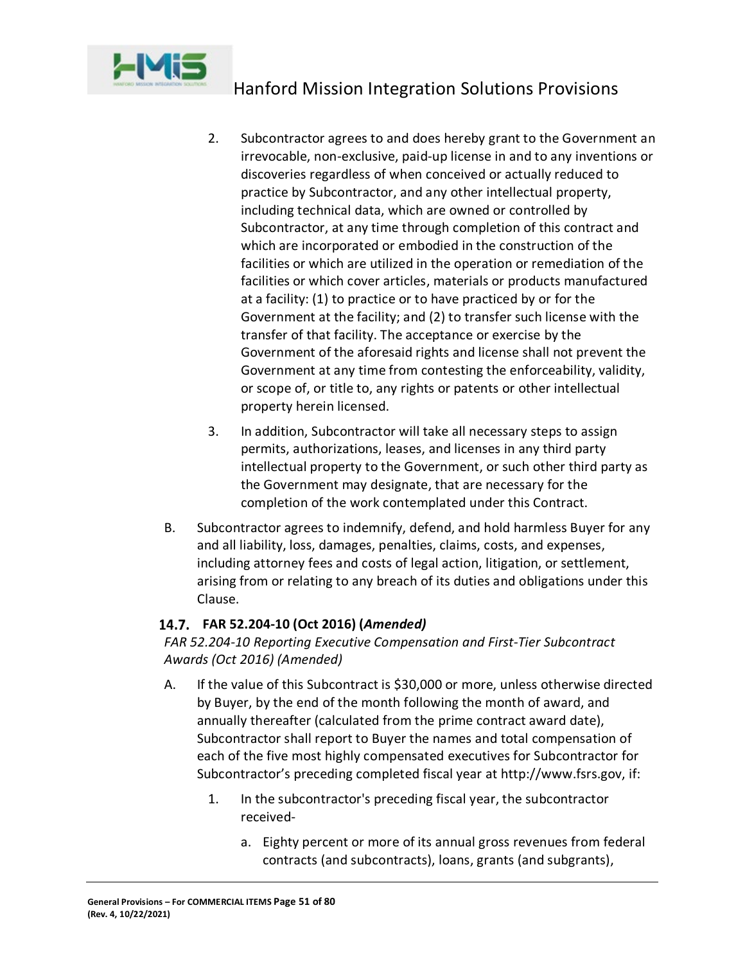

- 2. Subcontractor agrees to and does hereby grant to the Government an irrevocable, non-exclusive, paid-up license in and to any inventions or discoveries regardless of when conceived or actually reduced to practice by Subcontractor, and any other intellectual property, including technical data, which are owned or controlled by Subcontractor, at any time through completion of this contract and which are incorporated or embodied in the construction of the facilities or which are utilized in the operation or remediation of the facilities or which cover articles, materials or products manufactured at a facility: (1) to practice or to have practiced by or for the Government at the facility; and (2) to transfer such license with the transfer of that facility. The acceptance or exercise by the Government of the aforesaid rights and license shall not prevent the Government at any time from contesting the enforceability, validity, or scope of, or title to, any rights or patents or other intellectual property herein licensed.
- 3. In addition, Subcontractor will take all necessary steps to assign permits, authorizations, leases, and licenses in any third party intellectual property to the Government, or such other third party as the Government may designate, that are necessary for the completion of the work contemplated under this Contract.
- B. Subcontractor agrees to indemnify, defend, and hold harmless Buyer for any and all liability, loss, damages, penalties, claims, costs, and expenses, including attorney fees and costs of legal action, litigation, or settlement, arising from or relating to any breach of its duties and obligations under this Clause.

# **FAR 52.204-10 (Oct 2016) (***Amended)*

*FAR 52.204-10 Reporting Executive Compensation and First-Tier Subcontract Awards (Oct 2016) (Amended)*

- A. If the value of this Subcontract is \$30,000 or more, unless otherwise directed by Buyer, by the end of the month following the month of award, and annually thereafter (calculated from the prime contract award date), Subcontractor shall report to Buyer the names and total compensation of each of the five most highly compensated executives for Subcontractor for Subcontractor's preceding completed fiscal year at http://www.fsrs.gov, if:
	- 1. In the subcontractor's preceding fiscal year, the subcontractor received
		- a. Eighty percent or more of its annual gross revenues from federal contracts (and subcontracts), loans, grants (and subgrants),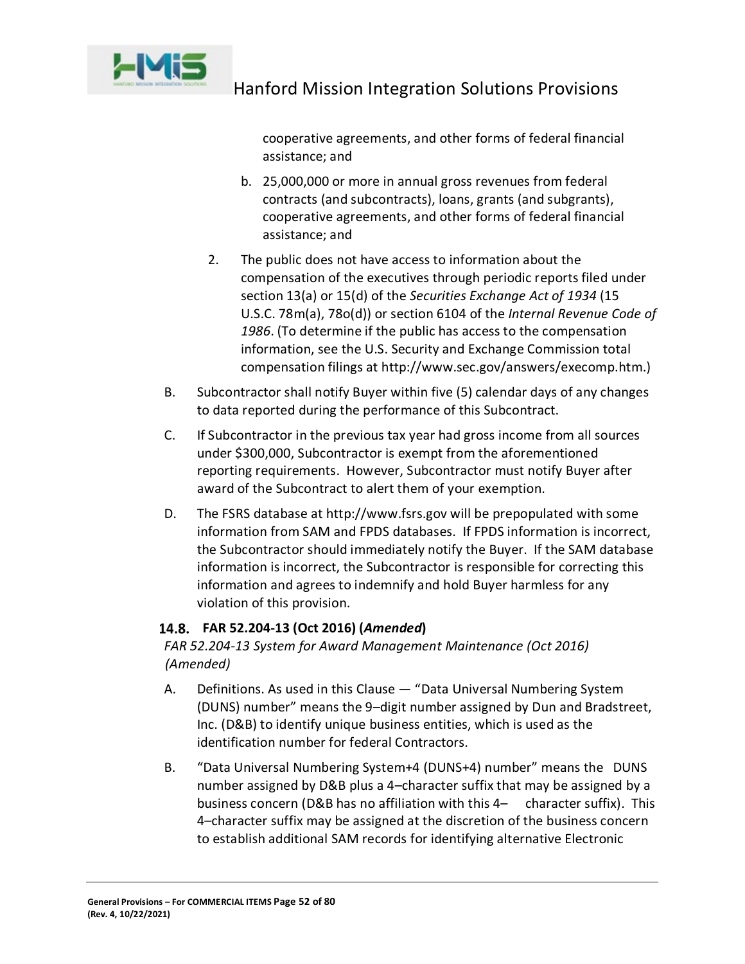

cooperative agreements, and other forms of federal financial assistance; and

- b. 25,000,000 or more in annual gross revenues from federal contracts (and subcontracts), loans, grants (and subgrants), cooperative agreements, and other forms of federal financial assistance; and
- 2. The public does not have access to information about the compensation of the executives through periodic reports filed under section 13(a) or 15(d) of the *Securities Exchange Act of 1934* (15 U.S.C. 78m(a), 78o(d)) or section 6104 of the *Internal Revenue Code of 1986*. (To determine if the public has access to the compensation information, see the U.S. Security and Exchange Commission total compensation filings at http://www.sec.gov/answers/execomp.htm.)
- B. Subcontractor shall notify Buyer within five (5) calendar days of any changes to data reported during the performance of this Subcontract.
- C. If Subcontractor in the previous tax year had gross income from all sources under \$300,000, Subcontractor is exempt from the aforementioned reporting requirements. However, Subcontractor must notify Buyer after award of the Subcontract to alert them of your exemption.
- D. The FSRS database at http://www.fsrs.gov will be prepopulated with some information from SAM and FPDS databases. If FPDS information is incorrect, the Subcontractor should immediately notify the Buyer. If the SAM database information is incorrect, the Subcontractor is responsible for correcting this information and agrees to indemnify and hold Buyer harmless for any violation of this provision.

# **FAR 52.204-13 (Oct 2016) (***Amended***)**

*FAR 52.204-13 System for Award Management Maintenance (Oct 2016) (Amended)*

- A. Definitions. As used in this Clause "Data Universal Numbering System (DUNS) number" means the 9–digit number assigned by Dun and Bradstreet, Inc. (D&B) to identify unique business entities, which is used as the identification number for federal Contractors.
- B. "Data Universal Numbering System+4 (DUNS+4) number" means the DUNS number assigned by D&B plus a 4–character suffix that may be assigned by a business concern (D&B has no affiliation with this 4– character suffix). This 4–character suffix may be assigned at the discretion of the business concern to establish additional SAM records for identifying alternative Electronic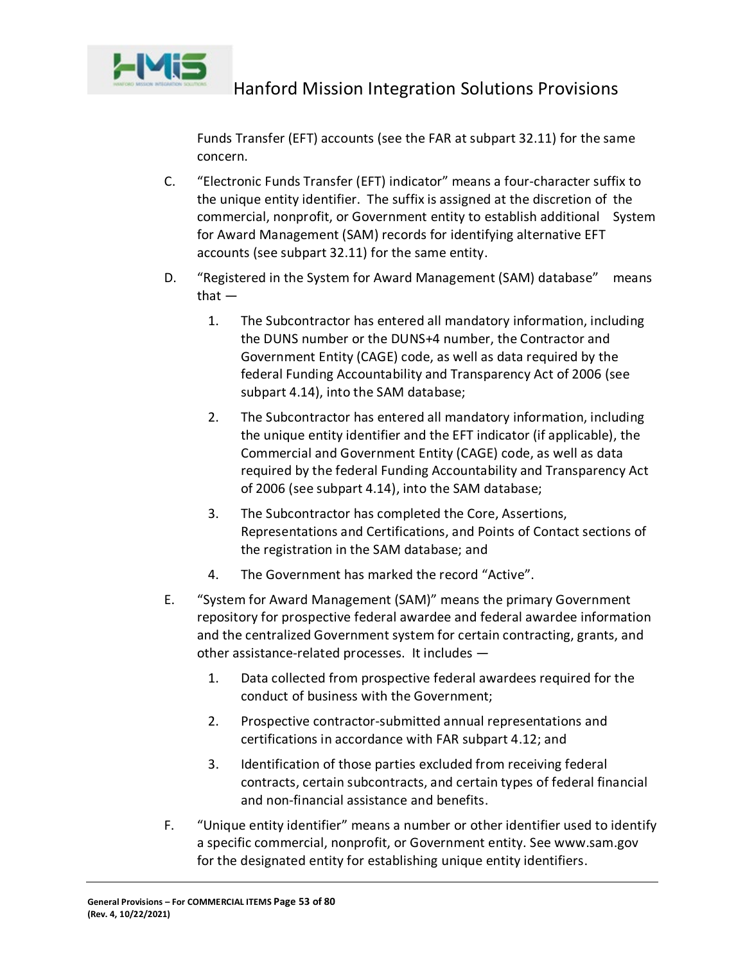

Funds Transfer (EFT) accounts (see the FAR at subpart 32.11) for the same concern.

- C. "Electronic Funds Transfer (EFT) indicator" means a four-character suffix to the unique entity identifier. The suffix is assigned at the discretion of the commercial, nonprofit, or Government entity to establish additional System for Award Management (SAM) records for identifying alternative EFT accounts (see subpart 32.11) for the same entity.
- D. "Registered in the System for Award Management (SAM) database" means that —
	- 1. The Subcontractor has entered all mandatory information, including the DUNS number or the DUNS+4 number, the Contractor and Government Entity (CAGE) code, as well as data required by the federal Funding Accountability and Transparency Act of 2006 (see subpart 4.14), into the SAM database;
	- 2. The Subcontractor has entered all mandatory information, including the unique entity identifier and the EFT indicator (if applicable), the Commercial and Government Entity (CAGE) code, as well as data required by the federal Funding Accountability and Transparency Act of 2006 (see subpart 4.14), into the SAM database;
	- 3. The Subcontractor has completed the Core, Assertions, Representations and Certifications, and Points of Contact sections of the registration in the SAM database; and
	- 4. The Government has marked the record "Active".
- E. "System for Award Management (SAM)" means the primary Government repository for prospective federal awardee and federal awardee information and the centralized Government system for certain contracting, grants, and other assistance-related processes. It includes —
	- 1. Data collected from prospective federal awardees required for the conduct of business with the Government;
	- 2. Prospective contractor-submitted annual representations and certifications in accordance with FAR subpart 4.12; and
	- 3. Identification of those parties excluded from receiving federal contracts, certain subcontracts, and certain types of federal financial and non-financial assistance and benefits.
- F. "Unique entity identifier" means a number or other identifier used to identify a specific commercial, nonprofit, or Government entity. See www.sam.gov for the designated entity for establishing unique entity identifiers.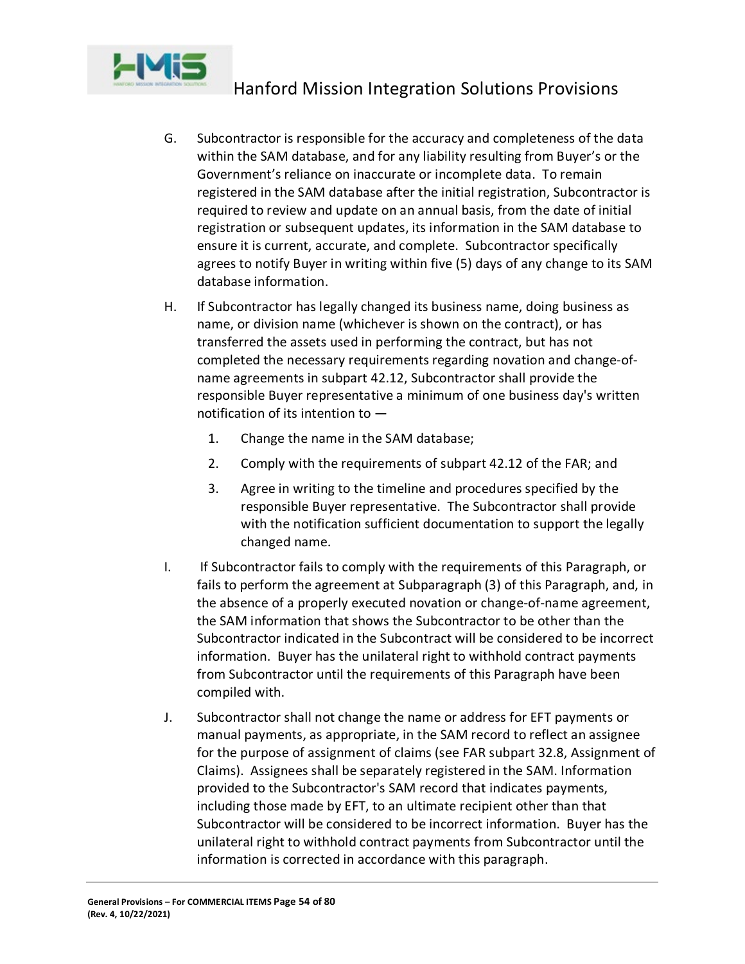

- G. Subcontractor is responsible for the accuracy and completeness of the data within the SAM database, and for any liability resulting from Buyer's or the Government's reliance on inaccurate or incomplete data. To remain registered in the SAM database after the initial registration, Subcontractor is required to review and update on an annual basis, from the date of initial registration or subsequent updates, its information in the SAM database to ensure it is current, accurate, and complete. Subcontractor specifically agrees to notify Buyer in writing within five (5) days of any change to its SAM database information.
- H. If Subcontractor has legally changed its business name, doing business as name, or division name (whichever is shown on the contract), or has transferred the assets used in performing the contract, but has not completed the necessary requirements regarding novation and change-ofname agreements in subpart 42.12, Subcontractor shall provide the responsible Buyer representative a minimum of one business day's written notification of its intention to —
	- 1. Change the name in the SAM database;
	- 2. Comply with the requirements of subpart 42.12 of the FAR; and
	- 3. Agree in writing to the timeline and procedures specified by the responsible Buyer representative. The Subcontractor shall provide with the notification sufficient documentation to support the legally changed name.
- I. If Subcontractor fails to comply with the requirements of this Paragraph, or fails to perform the agreement at Subparagraph (3) of this Paragraph, and, in the absence of a properly executed novation or change-of-name agreement, the SAM information that shows the Subcontractor to be other than the Subcontractor indicated in the Subcontract will be considered to be incorrect information. Buyer has the unilateral right to withhold contract payments from Subcontractor until the requirements of this Paragraph have been compiled with.
- J. Subcontractor shall not change the name or address for EFT payments or manual payments, as appropriate, in the SAM record to reflect an assignee for the purpose of assignment of claims (see FAR subpart 32.8, Assignment of Claims). Assignees shall be separately registered in the SAM. Information provided to the Subcontractor's SAM record that indicates payments, including those made by EFT, to an ultimate recipient other than that Subcontractor will be considered to be incorrect information. Buyer has the unilateral right to withhold contract payments from Subcontractor until the information is corrected in accordance with this paragraph.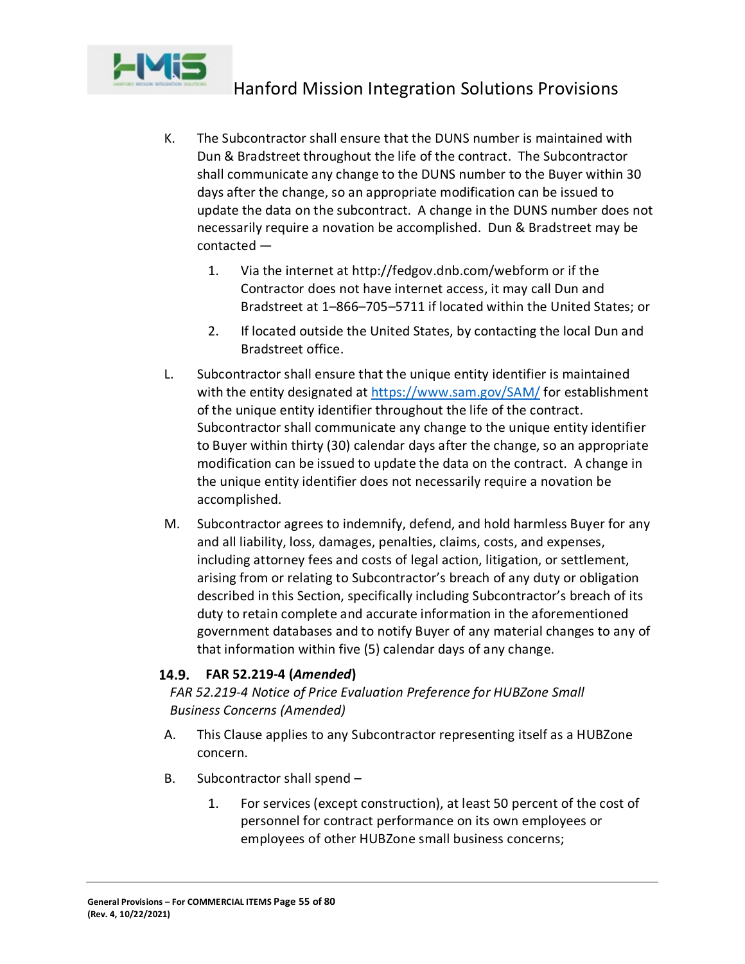

- K. The Subcontractor shall ensure that the DUNS number is maintained with Dun & Bradstreet throughout the life of the contract. The Subcontractor shall communicate any change to the DUNS number to the Buyer within 30 days after the change, so an appropriate modification can be issued to update the data on the subcontract. A change in the DUNS number does not necessarily require a novation be accomplished. Dun & Bradstreet may be contacted —
	- 1. Via the internet at http://fedgov.dnb.com/webform or if the Contractor does not have internet access, it may call Dun and Bradstreet at 1–866–705–5711 if located within the United States; or
	- 2. If located outside the United States, by contacting the local Dun and Bradstreet office.
- L. Subcontractor shall ensure that the unique entity identifier is maintained with the entity designated at<https://www.sam.gov/SAM/> for establishment of the unique entity identifier throughout the life of the contract. Subcontractor shall communicate any change to the unique entity identifier to Buyer within thirty (30) calendar days after the change, so an appropriate modification can be issued to update the data on the contract. A change in the unique entity identifier does not necessarily require a novation be accomplished.
- M. Subcontractor agrees to indemnify, defend, and hold harmless Buyer for any and all liability, loss, damages, penalties, claims, costs, and expenses, including attorney fees and costs of legal action, litigation, or settlement, arising from or relating to Subcontractor's breach of any duty or obligation described in this Section, specifically including Subcontractor's breach of its duty to retain complete and accurate information in the aforementioned government databases and to notify Buyer of any material changes to any of that information within five (5) calendar days of any change.

# **FAR 52.219-4 (***Amended***)**

*FAR 52.219-4 Notice of Price Evaluation Preference for HUBZone Small Business Concerns (Amended)*

- A. This Clause applies to any Subcontractor representing itself as a HUBZone concern.
- B. Subcontractor shall spend
	- 1. For services (except construction), at least 50 percent of the cost of personnel for contract performance on its own employees or employees of other HUBZone small business concerns;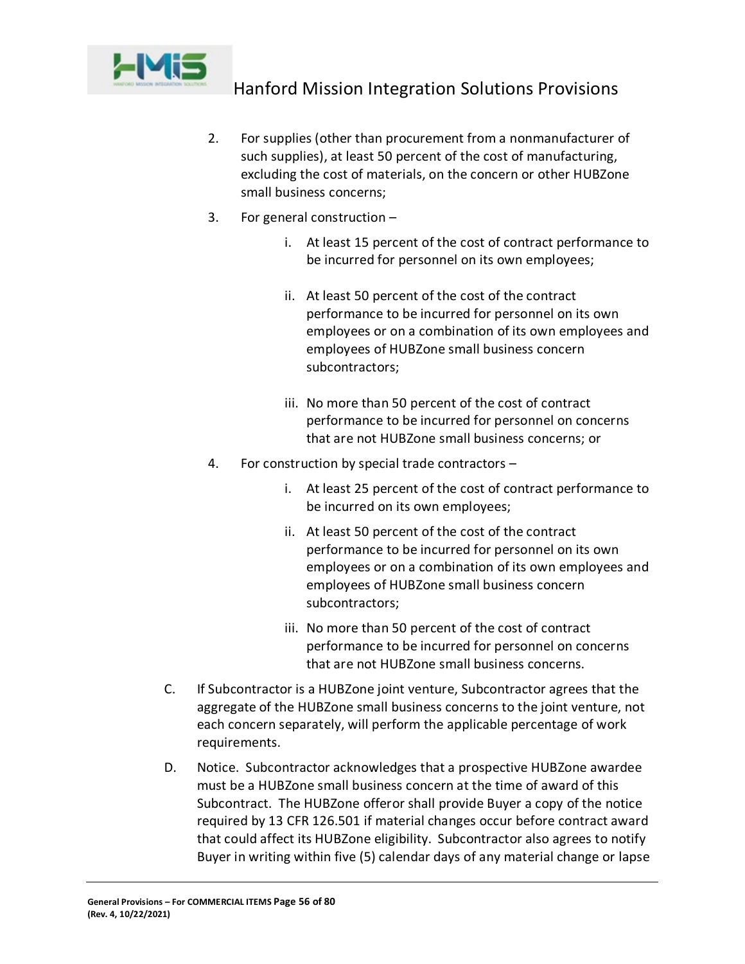

- 2. For supplies (other than procurement from a nonmanufacturer of such supplies), at least 50 percent of the cost of manufacturing, excluding the cost of materials, on the concern or other HUBZone small business concerns;
- 3. For general construction
	- i. At least 15 percent of the cost of contract performance to be incurred for personnel on its own employees;
	- ii. At least 50 percent of the cost of the contract performance to be incurred for personnel on its own employees or on a combination of its own employees and employees of HUBZone small business concern subcontractors;
	- iii. No more than 50 percent of the cost of contract performance to be incurred for personnel on concerns that are not HUBZone small business concerns; or
- 4. For construction by special trade contractors
	- i. At least 25 percent of the cost of contract performance to be incurred on its own employees;
	- ii. At least 50 percent of the cost of the contract performance to be incurred for personnel on its own employees or on a combination of its own employees and employees of HUBZone small business concern subcontractors;
	- iii. No more than 50 percent of the cost of contract performance to be incurred for personnel on concerns that are not HUBZone small business concerns.
- C. If Subcontractor is a HUBZone joint venture, Subcontractor agrees that the aggregate of the HUBZone small business concerns to the joint venture, not each concern separately, will perform the applicable percentage of work requirements.
- D. Notice. Subcontractor acknowledges that a prospective HUBZone awardee must be a HUBZone small business concern at the time of award of this Subcontract. The HUBZone offeror shall provide Buyer a copy of the notice required by 13 CFR 126.501 if material changes occur before contract award that could affect its HUBZone eligibility. Subcontractor also agrees to notify Buyer in writing within five (5) calendar days of any material change or lapse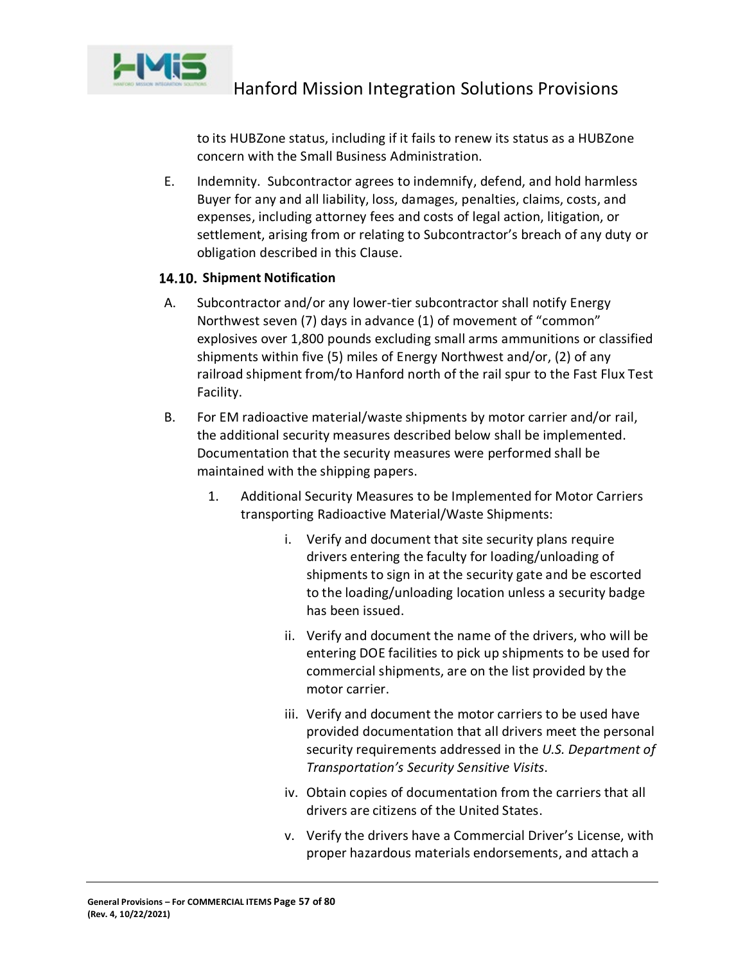

to its HUBZone status, including if it fails to renew its status as a HUBZone concern with the Small Business Administration.

E. Indemnity. Subcontractor agrees to indemnify, defend, and hold harmless Buyer for any and all liability, loss, damages, penalties, claims, costs, and expenses, including attorney fees and costs of legal action, litigation, or settlement, arising from or relating to Subcontractor's breach of any duty or obligation described in this Clause.

# **14.10. Shipment Notification**

- A. Subcontractor and/or any lower-tier subcontractor shall notify Energy Northwest seven (7) days in advance (1) of movement of "common" explosives over 1,800 pounds excluding small arms ammunitions or classified shipments within five (5) miles of Energy Northwest and/or, (2) of any railroad shipment from/to Hanford north of the rail spur to the Fast Flux Test Facility.
- B. For EM radioactive material/waste shipments by motor carrier and/or rail, the additional security measures described below shall be implemented. Documentation that the security measures were performed shall be maintained with the shipping papers.
	- 1. Additional Security Measures to be Implemented for Motor Carriers transporting Radioactive Material/Waste Shipments:
		- i. Verify and document that site security plans require drivers entering the faculty for loading/unloading of shipments to sign in at the security gate and be escorted to the loading/unloading location unless a security badge has been issued.
		- ii. Verify and document the name of the drivers, who will be entering DOE facilities to pick up shipments to be used for commercial shipments, are on the list provided by the motor carrier.
		- iii. Verify and document the motor carriers to be used have provided documentation that all drivers meet the personal security requirements addressed in the *U.S. Department of Transportation's Security Sensitive Visits*.
		- iv. Obtain copies of documentation from the carriers that all drivers are citizens of the United States.
		- v. Verify the drivers have a Commercial Driver's License, with proper hazardous materials endorsements, and attach a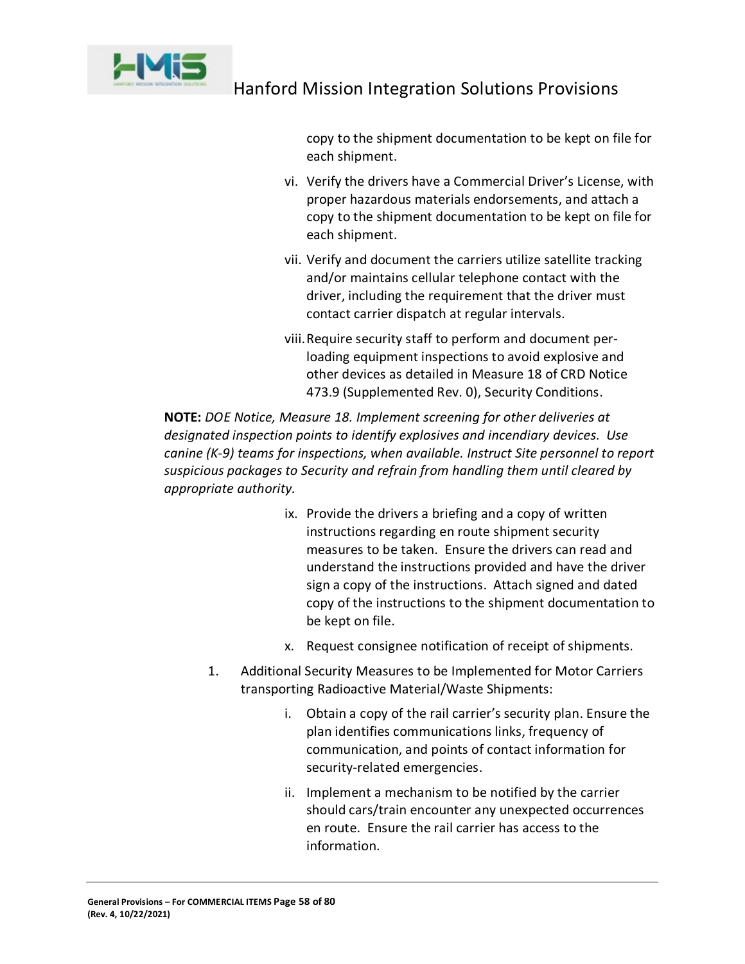

copy to the shipment documentation to be kept on file for each shipment.

- vi. Verify the drivers have a Commercial Driver's License, with proper hazardous materials endorsements, and attach a copy to the shipment documentation to be kept on file for each shipment.
- vii. Verify and document the carriers utilize satellite tracking and/or maintains cellular telephone contact with the driver, including the requirement that the driver must contact carrier dispatch at regular intervals.
- viii.Require security staff to perform and document perloading equipment inspections to avoid explosive and other devices as detailed in Measure 18 of CRD Notice 473.9 (Supplemented Rev. 0), Security Conditions.

**NOTE:** *DOE Notice, Measure 18. Implement screening for other deliveries at designated inspection points to identify explosives and incendiary devices. Use canine (K-9) teams for inspections, when available. Instruct Site personnel to report suspicious packages to Security and refrain from handling them until cleared by appropriate authority.*

- ix. Provide the drivers a briefing and a copy of written instructions regarding en route shipment security measures to be taken. Ensure the drivers can read and understand the instructions provided and have the driver sign a copy of the instructions. Attach signed and dated copy of the instructions to the shipment documentation to be kept on file.
- x. Request consignee notification of receipt of shipments.
- 1. Additional Security Measures to be Implemented for Motor Carriers transporting Radioactive Material/Waste Shipments:
	- i. Obtain a copy of the rail carrier's security plan. Ensure the plan identifies communications links, frequency of communication, and points of contact information for security-related emergencies.
	- ii. Implement a mechanism to be notified by the carrier should cars/train encounter any unexpected occurrences en route. Ensure the rail carrier has access to the information.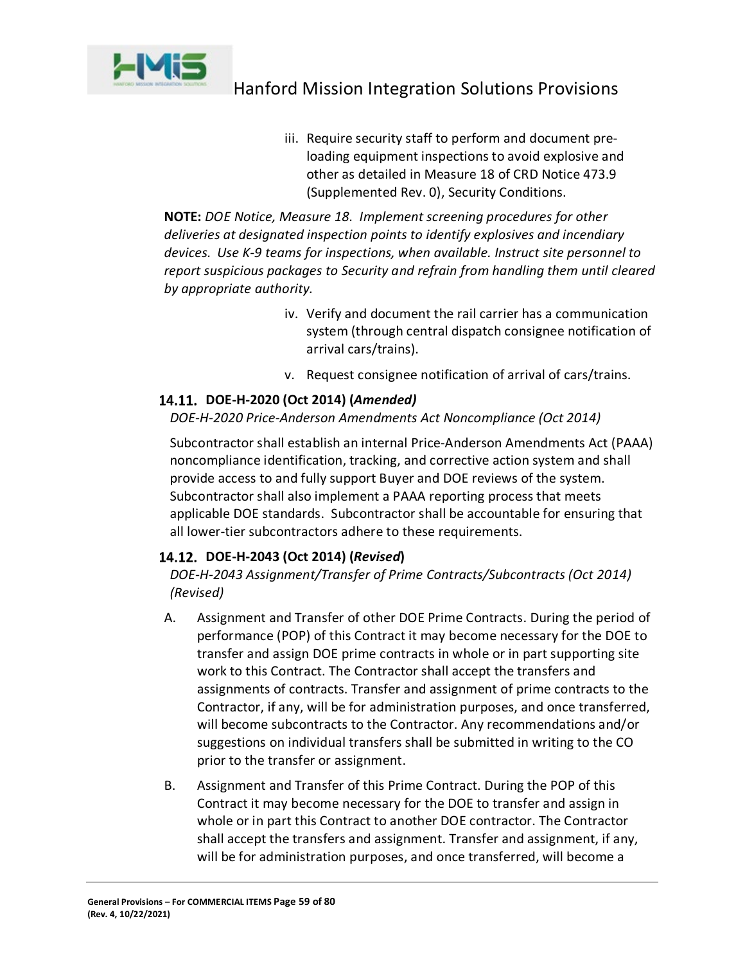

iii. Require security staff to perform and document preloading equipment inspections to avoid explosive and other as detailed in Measure 18 of CRD Notice 473.9 (Supplemented Rev. 0), Security Conditions.

**NOTE:** *DOE Notice, Measure 18. Implement screening procedures for other deliveries at designated inspection points to identify explosives and incendiary devices. Use K-9 teams for inspections, when available. Instruct site personnel to report suspicious packages to Security and refrain from handling them until cleared by appropriate authority.*

- iv. Verify and document the rail carrier has a communication system (through central dispatch consignee notification of arrival cars/trains).
- v. Request consignee notification of arrival of cars/trains.

# **DOE-H-2020 (Oct 2014) (***Amended)*

# *DOE-H-2020 Price-Anderson Amendments Act Noncompliance (Oct 2014)*

Subcontractor shall establish an internal Price-Anderson Amendments Act (PAAA) noncompliance identification, tracking, and corrective action system and shall provide access to and fully support Buyer and DOE reviews of the system. Subcontractor shall also implement a PAAA reporting process that meets applicable DOE standards. Subcontractor shall be accountable for ensuring that all lower-tier subcontractors adhere to these requirements.

# **DOE-H-2043 (Oct 2014) (***Revised***)**

*DOE-H-2043 Assignment/Transfer of Prime Contracts/Subcontracts (Oct 2014) (Revised)*

- A. Assignment and Transfer of other DOE Prime Contracts. During the period of performance (POP) of this Contract it may become necessary for the DOE to transfer and assign DOE prime contracts in whole or in part supporting site work to this Contract. The Contractor shall accept the transfers and assignments of contracts. Transfer and assignment of prime contracts to the Contractor, if any, will be for administration purposes, and once transferred, will become subcontracts to the Contractor. Any recommendations and/or suggestions on individual transfers shall be submitted in writing to the CO prior to the transfer or assignment.
- B. Assignment and Transfer of this Prime Contract. During the POP of this Contract it may become necessary for the DOE to transfer and assign in whole or in part this Contract to another DOE contractor. The Contractor shall accept the transfers and assignment. Transfer and assignment, if any, will be for administration purposes, and once transferred, will become a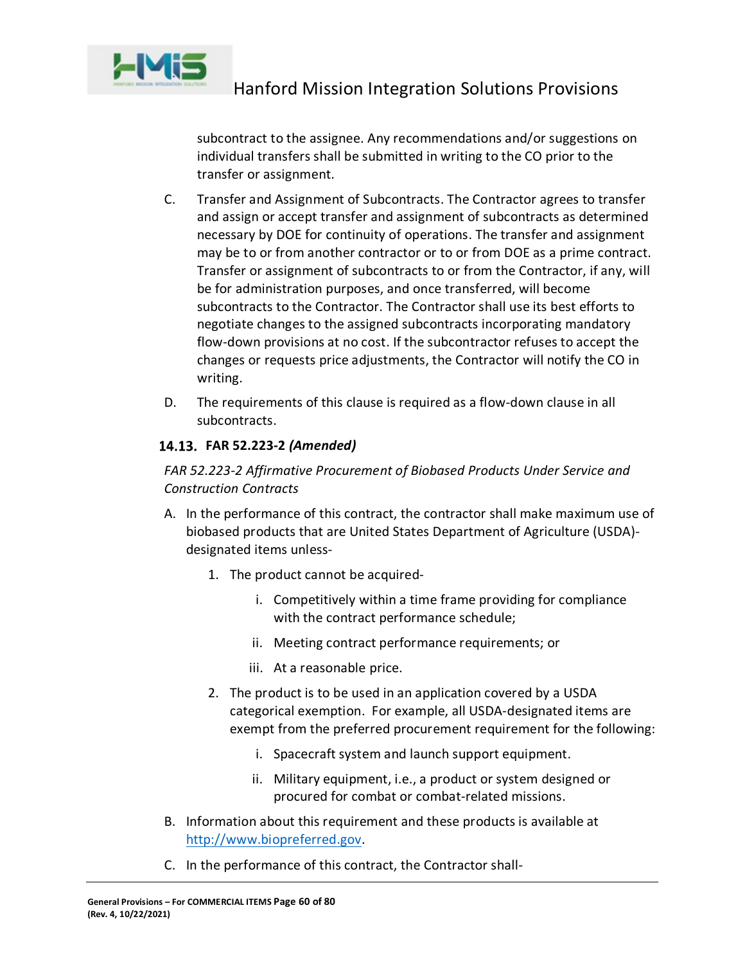

subcontract to the assignee. Any recommendations and/or suggestions on individual transfers shall be submitted in writing to the CO prior to the transfer or assignment.

- C. Transfer and Assignment of Subcontracts. The Contractor agrees to transfer and assign or accept transfer and assignment of subcontracts as determined necessary by DOE for continuity of operations. The transfer and assignment may be to or from another contractor or to or from DOE as a prime contract. Transfer or assignment of subcontracts to or from the Contractor, if any, will be for administration purposes, and once transferred, will become subcontracts to the Contractor. The Contractor shall use its best efforts to negotiate changes to the assigned subcontracts incorporating mandatory flow-down provisions at no cost. If the subcontractor refuses to accept the changes or requests price adjustments, the Contractor will notify the CO in writing.
- D. The requirements of this clause is required as a flow-down clause in all subcontracts.

# **FAR 52.223-2** *(Amended)*

# *FAR 52.223-2 Affirmative Procurement of Biobased Products Under Service and Construction Contracts*

- A. In the performance of this contract, the contractor shall make maximum use of biobased products that are United States Department of Agriculture (USDA) designated items unless-
	- 1. The product cannot be acquired
		- i. Competitively within a time frame providing for compliance with the contract performance schedule;
		- ii. Meeting contract performance requirements; or
		- iii. At a reasonable price.
	- 2. The product is to be used in an application covered by a USDA categorical exemption. For example, all USDA-designated items are exempt from the preferred procurement requirement for the following:
		- i. Spacecraft system and launch support equipment.
		- ii. Military equipment, i.e., a product or system designed or procured for combat or combat-related missions.
- B. Information about this requirement and these products is available at [http://www.biopreferred.gov.](http://www.biopreferred.gov/)
- C. In the performance of this contract, the Contractor shall-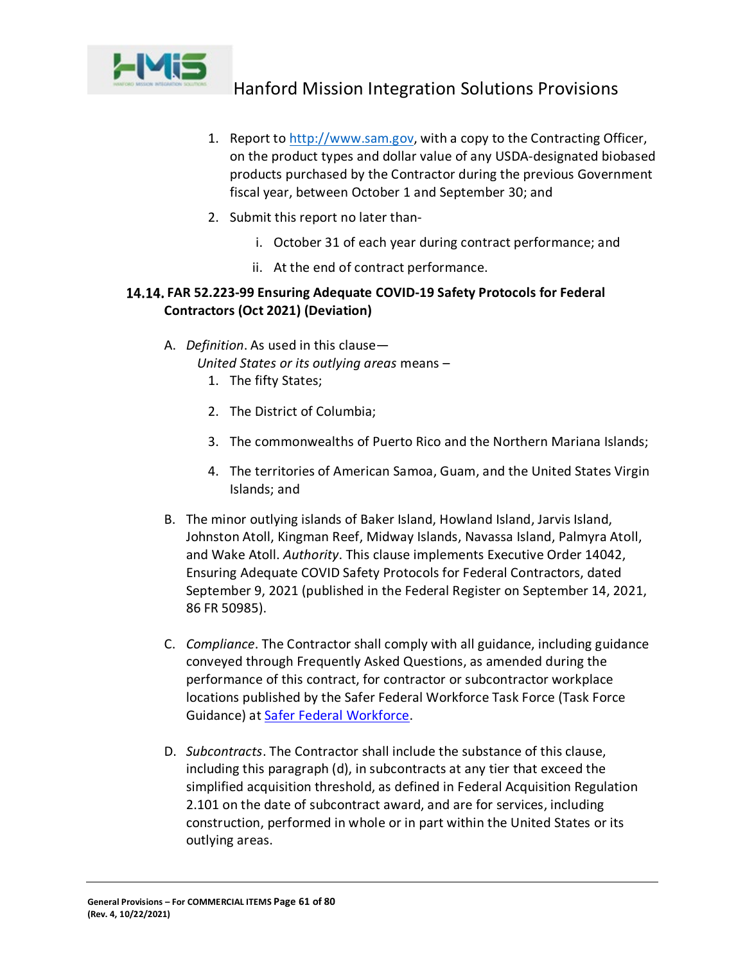

- 1. Report to [http://www.sam.gov,](http://www.sam.gov/) with a copy to the Contracting Officer, on the product types and dollar value of any USDA-designated biobased products purchased by the Contractor during the previous Government fiscal year, between October 1 and September 30; and
- 2. Submit this report no later than
	- i. October 31 of each year during contract performance; and
	- ii. At the end of contract performance.

# **FAR 52.223-99 Ensuring Adequate COVID-19 Safety Protocols for Federal Contractors (Oct 2021) (Deviation)**

A. *Definition*. As used in this clause—

 *United States or its outlying areas* means –

- 1. The fifty States;
- 2. The District of Columbia;
- 3. The commonwealths of Puerto Rico and the Northern Mariana Islands;
- 4. The territories of American Samoa, Guam, and the United States Virgin Islands; and
- B. The minor outlying islands of Baker Island, Howland Island, Jarvis Island, Johnston Atoll, Kingman Reef, Midway Islands, Navassa Island, Palmyra Atoll, and Wake Atoll. *Authority*. This clause implements Executive Order 14042, Ensuring Adequate COVID Safety Protocols for Federal Contractors, dated September 9, 2021 (published in the Federal Register on September 14, 2021, 86 FR 50985).
- C. *Compliance*. The Contractor shall comply with all guidance, including guidance conveyed through Frequently Asked Questions, as amended during the performance of this contract, for contractor or subcontractor workplace locations published by the Safer Federal Workforce Task Force (Task Force Guidance) at [Safer Federal Workforce.](https://www.saferfederalworkforce.gov/)
- D. *Subcontracts*. The Contractor shall include the substance of this clause, including this paragraph (d), in subcontracts at any tier that exceed the simplified acquisition threshold, as defined in Federal Acquisition Regulation 2.101 on the date of subcontract award, and are for services, including construction, performed in whole or in part within the United States or its outlying areas.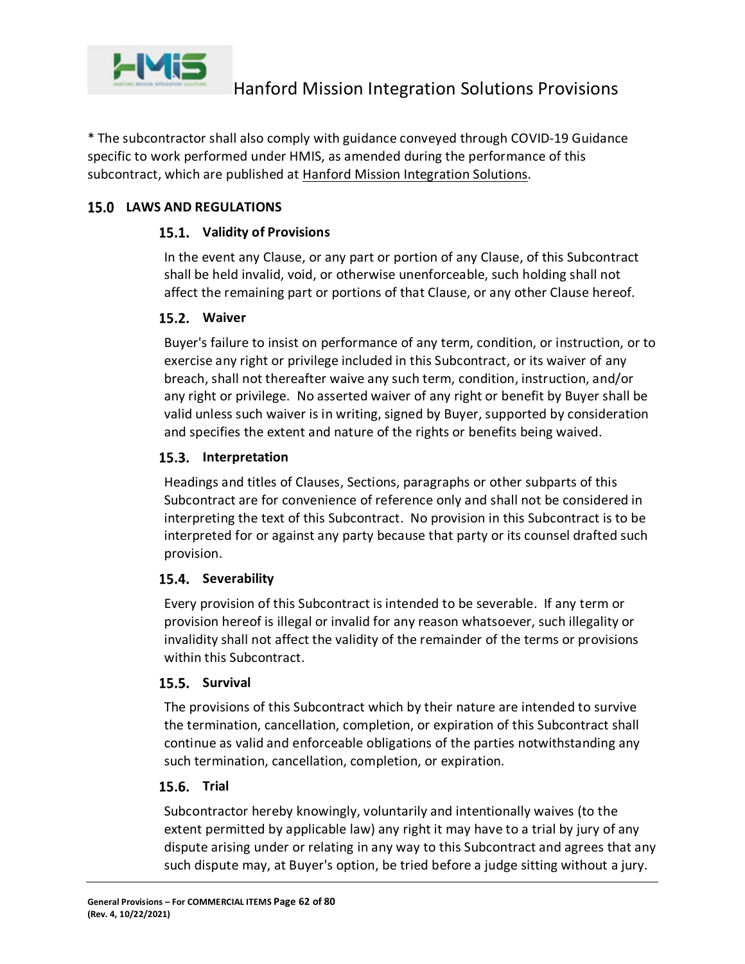

\* The subcontractor shall also comply with guidance conveyed through COVID-19 Guidance specific to work performed under HMIS, as amended during the performance of this subcontract, which are published at [Hanford Mission Integration Solutions.](https://hmis.hanford.gov/page.cfm/SolicitationsandNotices)

# **LAWS AND REGULATIONS**

# **Validity of Provisions**

In the event any Clause, or any part or portion of any Clause, of this Subcontract shall be held invalid, void, or otherwise unenforceable, such holding shall not affect the remaining part or portions of that Clause, or any other Clause hereof.

# **Waiver**

Buyer's failure to insist on performance of any term, condition, or instruction, or to exercise any right or privilege included in this Subcontract, or its waiver of any breach, shall not thereafter waive any such term, condition, instruction, and/or any right or privilege. No asserted waiver of any right or benefit by Buyer shall be valid unless such waiver is in writing, signed by Buyer, supported by consideration and specifies the extent and nature of the rights or benefits being waived.

# 15.3. Interpretation

Headings and titles of Clauses, Sections, paragraphs or other subparts of this Subcontract are for convenience of reference only and shall not be considered in interpreting the text of this Subcontract. No provision in this Subcontract is to be interpreted for or against any party because that party or its counsel drafted such provision.

# 15.4. Severability

Every provision of this Subcontract is intended to be severable. If any term or provision hereof is illegal or invalid for any reason whatsoever, such illegality or invalidity shall not affect the validity of the remainder of the terms or provisions within this Subcontract.

# 15.5. Survival

The provisions of this Subcontract which by their nature are intended to survive the termination, cancellation, completion, or expiration of this Subcontract shall continue as valid and enforceable obligations of the parties notwithstanding any such termination, cancellation, completion, or expiration.

# **15.6. Trial**

Subcontractor hereby knowingly, voluntarily and intentionally waives (to the extent permitted by applicable law) any right it may have to a trial by jury of any dispute arising under or relating in any way to this Subcontract and agrees that any such dispute may, at Buyer's option, be tried before a judge sitting without a jury.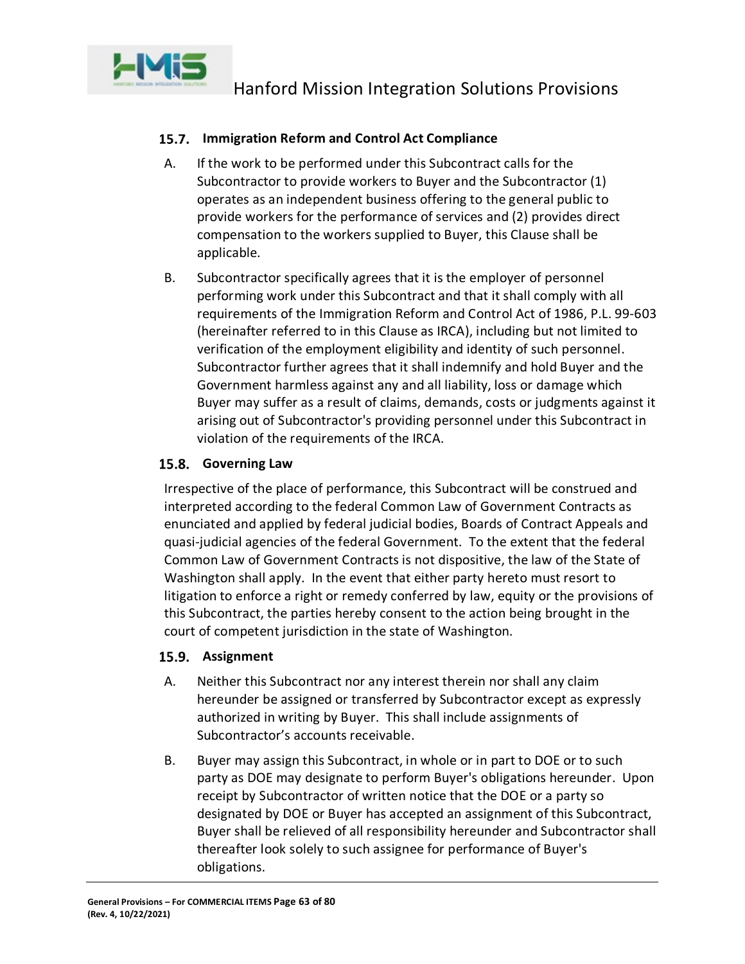

# **15.7. Immigration Reform and Control Act Compliance**

- A. If the work to be performed under this Subcontract calls for the Subcontractor to provide workers to Buyer and the Subcontractor (1) operates as an independent business offering to the general public to provide workers for the performance of services and (2) provides direct compensation to the workers supplied to Buyer, this Clause shall be applicable.
- B. Subcontractor specifically agrees that it is the employer of personnel performing work under this Subcontract and that it shall comply with all requirements of the Immigration Reform and Control Act of 1986, P.L. 99-603 (hereinafter referred to in this Clause as IRCA), including but not limited to verification of the employment eligibility and identity of such personnel. Subcontractor further agrees that it shall indemnify and hold Buyer and the Government harmless against any and all liability, loss or damage which Buyer may suffer as a result of claims, demands, costs or judgments against it arising out of Subcontractor's providing personnel under this Subcontract in violation of the requirements of the IRCA.

# 15.8. Governing Law

Irrespective of the place of performance, this Subcontract will be construed and interpreted according to the federal Common Law of Government Contracts as enunciated and applied by federal judicial bodies, Boards of Contract Appeals and quasi-judicial agencies of the federal Government. To the extent that the federal Common Law of Government Contracts is not dispositive, the law of the State of Washington shall apply. In the event that either party hereto must resort to litigation to enforce a right or remedy conferred by law, equity or the provisions of this Subcontract, the parties hereby consent to the action being brought in the court of competent jurisdiction in the state of Washington.

# 15.9. Assignment

- A. Neither this Subcontract nor any interest therein nor shall any claim hereunder be assigned or transferred by Subcontractor except as expressly authorized in writing by Buyer. This shall include assignments of Subcontractor's accounts receivable.
- B. Buyer may assign this Subcontract, in whole or in part to DOE or to such party as DOE may designate to perform Buyer's obligations hereunder. Upon receipt by Subcontractor of written notice that the DOE or a party so designated by DOE or Buyer has accepted an assignment of this Subcontract, Buyer shall be relieved of all responsibility hereunder and Subcontractor shall thereafter look solely to such assignee for performance of Buyer's obligations.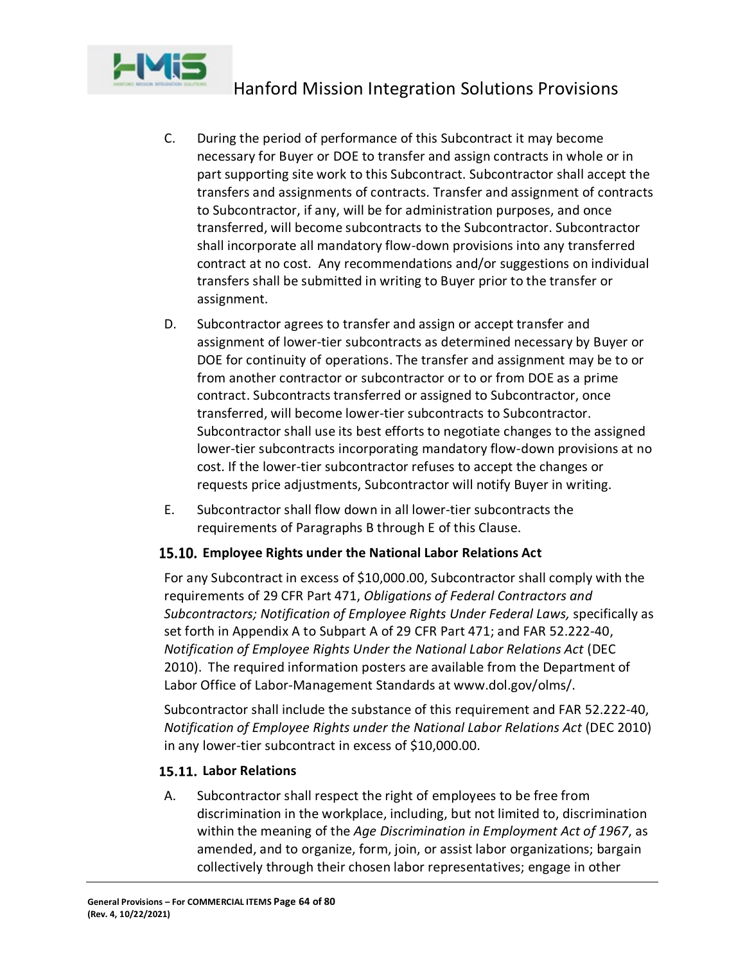

- C. During the period of performance of this Subcontract it may become necessary for Buyer or DOE to transfer and assign contracts in whole or in part supporting site work to this Subcontract. Subcontractor shall accept the transfers and assignments of contracts. Transfer and assignment of contracts to Subcontractor, if any, will be for administration purposes, and once transferred, will become subcontracts to the Subcontractor. Subcontractor shall incorporate all mandatory flow-down provisions into any transferred contract at no cost. Any recommendations and/or suggestions on individual transfers shall be submitted in writing to Buyer prior to the transfer or assignment.
- D. Subcontractor agrees to transfer and assign or accept transfer and assignment of lower-tier subcontracts as determined necessary by Buyer or DOE for continuity of operations. The transfer and assignment may be to or from another contractor or subcontractor or to or from DOE as a prime contract. Subcontracts transferred or assigned to Subcontractor, once transferred, will become lower-tier subcontracts to Subcontractor. Subcontractor shall use its best efforts to negotiate changes to the assigned lower-tier subcontracts incorporating mandatory flow-down provisions at no cost. If the lower-tier subcontractor refuses to accept the changes or requests price adjustments, Subcontractor will notify Buyer in writing.
- E. Subcontractor shall flow down in all lower-tier subcontracts the requirements of Paragraphs B through E of this Clause.

# **Employee Rights under the National Labor Relations Act**

For any Subcontract in excess of \$10,000.00, Subcontractor shall comply with the requirements of 29 CFR Part 471, *Obligations of Federal Contractors and Subcontractors; Notification of Employee Rights Under Federal Laws,* specifically as set forth in Appendix A to Subpart A of 29 CFR Part 471; and FAR 52.222-40, *Notification of Employee Rights Under the National Labor Relations Act* (DEC 2010). The required information posters are available from the Department of Labor Office of Labor-Management Standards at www.dol.gov/olms/.

Subcontractor shall include the substance of this requirement and FAR 52.222-40, *Notification of Employee Rights under the National Labor Relations Act* (DEC 2010) in any lower-tier subcontract in excess of \$10,000.00.

# **Labor Relations**

A. Subcontractor shall respect the right of employees to be free from discrimination in the workplace, including, but not limited to, discrimination within the meaning of the *Age Discrimination in Employment Act of 1967*, as amended, and to organize, form, join, or assist labor organizations; bargain collectively through their chosen labor representatives; engage in other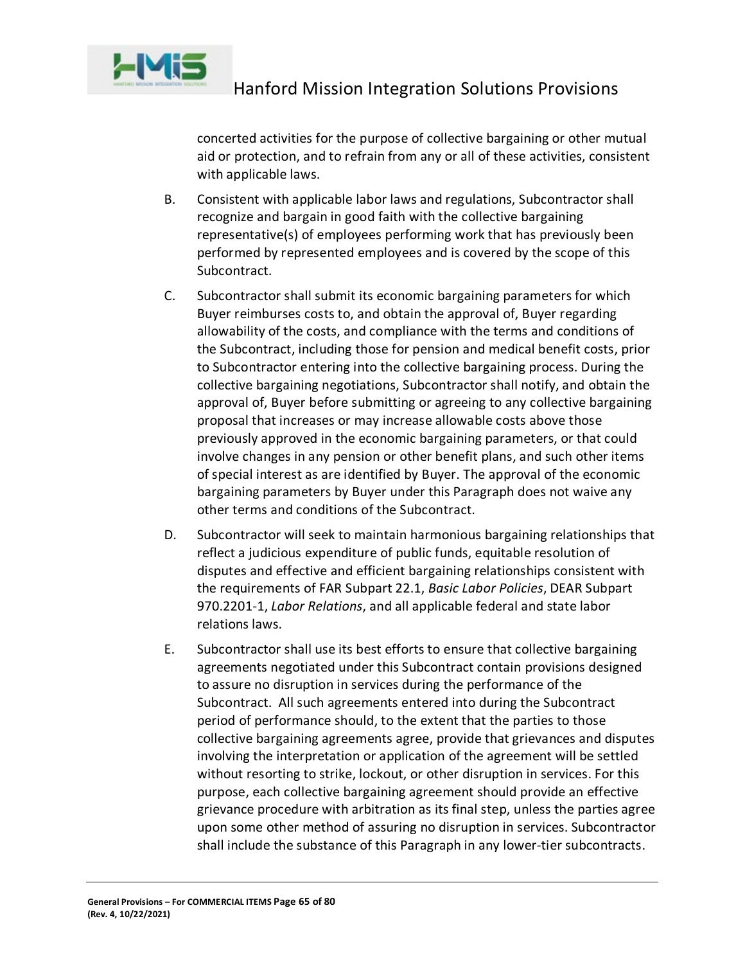

concerted activities for the purpose of collective bargaining or other mutual aid or protection, and to refrain from any or all of these activities, consistent with applicable laws.

- B. Consistent with applicable labor laws and regulations, Subcontractor shall recognize and bargain in good faith with the collective bargaining representative(s) of employees performing work that has previously been performed by represented employees and is covered by the scope of this Subcontract.
- C. Subcontractor shall submit its economic bargaining parameters for which Buyer reimburses costs to, and obtain the approval of, Buyer regarding allowability of the costs, and compliance with the terms and conditions of the Subcontract, including those for pension and medical benefit costs, prior to Subcontractor entering into the collective bargaining process. During the collective bargaining negotiations, Subcontractor shall notify, and obtain the approval of, Buyer before submitting or agreeing to any collective bargaining proposal that increases or may increase allowable costs above those previously approved in the economic bargaining parameters, or that could involve changes in any pension or other benefit plans, and such other items of special interest as are identified by Buyer. The approval of the economic bargaining parameters by Buyer under this Paragraph does not waive any other terms and conditions of the Subcontract.
- D. Subcontractor will seek to maintain harmonious bargaining relationships that reflect a judicious expenditure of public funds, equitable resolution of disputes and effective and efficient bargaining relationships consistent with the requirements of FAR Subpart 22.1, *Basic Labor Policies*, DEAR Subpart 970.2201-1, *Labor Relations*, and all applicable federal and state labor relations laws.
- E. Subcontractor shall use its best efforts to ensure that collective bargaining agreements negotiated under this Subcontract contain provisions designed to assure no disruption in services during the performance of the Subcontract. All such agreements entered into during the Subcontract period of performance should, to the extent that the parties to those collective bargaining agreements agree, provide that grievances and disputes involving the interpretation or application of the agreement will be settled without resorting to strike, lockout, or other disruption in services. For this purpose, each collective bargaining agreement should provide an effective grievance procedure with arbitration as its final step, unless the parties agree upon some other method of assuring no disruption in services. Subcontractor shall include the substance of this Paragraph in any lower-tier subcontracts.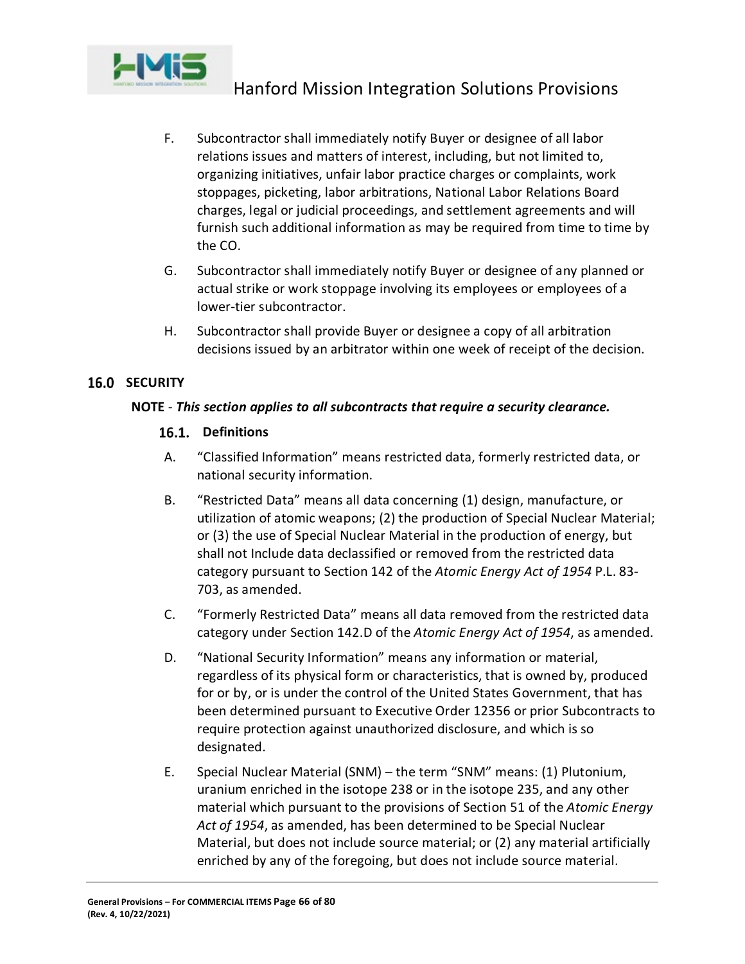

- F. Subcontractor shall immediately notify Buyer or designee of all labor relations issues and matters of interest, including, but not limited to, organizing initiatives, unfair labor practice charges or complaints, work stoppages, picketing, labor arbitrations, National Labor Relations Board charges, legal or judicial proceedings, and settlement agreements and will furnish such additional information as may be required from time to time by the CO.
- G. Subcontractor shall immediately notify Buyer or designee of any planned or actual strike or work stoppage involving its employees or employees of a lower-tier subcontractor.
- H. Subcontractor shall provide Buyer or designee a copy of all arbitration decisions issued by an arbitrator within one week of receipt of the decision.

# **16.0 SECURITY**

#### **NOTE** - *This section applies to all subcontracts that require a security clearance.*

# 16.1. Definitions

- A. "Classified Information" means restricted data, formerly restricted data, or national security information.
- B. "Restricted Data" means all data concerning (1) design, manufacture, or utilization of atomic weapons; (2) the production of Special Nuclear Material; or (3) the use of Special Nuclear Material in the production of energy, but shall not Include data declassified or removed from the restricted data category pursuant to Section 142 of the *Atomic Energy Act of 1954* P.L. 83- 703, as amended.
- C. "Formerly Restricted Data" means all data removed from the restricted data category under Section 142.D of the *Atomic Energy Act of 1954*, as amended.
- D. "National Security Information" means any information or material, regardless of its physical form or characteristics, that is owned by, produced for or by, or is under the control of the United States Government, that has been determined pursuant to Executive Order 12356 or prior Subcontracts to require protection against unauthorized disclosure, and which is so designated.
- E. Special Nuclear Material (SNM) the term "SNM" means: (1) Plutonium, uranium enriched in the isotope 238 or in the isotope 235, and any other material which pursuant to the provisions of Section 51 of the *Atomic Energy Act of 1954*, as amended, has been determined to be Special Nuclear Material, but does not include source material; or (2) any material artificially enriched by any of the foregoing, but does not include source material.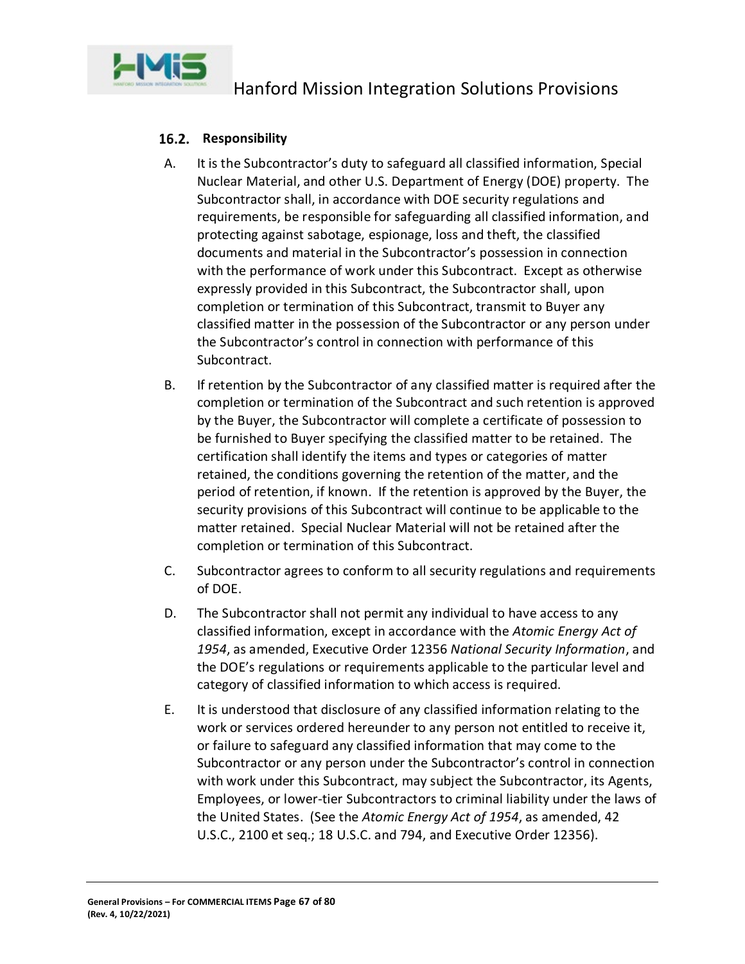

# 16.2. Responsibility

- A. It is the Subcontractor's duty to safeguard all classified information, Special Nuclear Material, and other U.S. Department of Energy (DOE) property. The Subcontractor shall, in accordance with DOE security regulations and requirements, be responsible for safeguarding all classified information, and protecting against sabotage, espionage, loss and theft, the classified documents and material in the Subcontractor's possession in connection with the performance of work under this Subcontract. Except as otherwise expressly provided in this Subcontract, the Subcontractor shall, upon completion or termination of this Subcontract, transmit to Buyer any classified matter in the possession of the Subcontractor or any person under the Subcontractor's control in connection with performance of this Subcontract.
- B. If retention by the Subcontractor of any classified matter is required after the completion or termination of the Subcontract and such retention is approved by the Buyer, the Subcontractor will complete a certificate of possession to be furnished to Buyer specifying the classified matter to be retained. The certification shall identify the items and types or categories of matter retained, the conditions governing the retention of the matter, and the period of retention, if known. If the retention is approved by the Buyer, the security provisions of this Subcontract will continue to be applicable to the matter retained. Special Nuclear Material will not be retained after the completion or termination of this Subcontract.
- C. Subcontractor agrees to conform to all security regulations and requirements of DOE.
- D. The Subcontractor shall not permit any individual to have access to any classified information, except in accordance with the *Atomic Energy Act of 1954*, as amended, Executive Order 12356 *National Security Information*, and the DOE's regulations or requirements applicable to the particular level and category of classified information to which access is required.
- E. It is understood that disclosure of any classified information relating to the work or services ordered hereunder to any person not entitled to receive it, or failure to safeguard any classified information that may come to the Subcontractor or any person under the Subcontractor's control in connection with work under this Subcontract, may subject the Subcontractor, its Agents, Employees, or lower-tier Subcontractors to criminal liability under the laws of the United States. (See the *Atomic Energy Act of 1954*, as amended, 42 U.S.C., 2100 et seq.; 18 U.S.C. and 794, and Executive Order 12356).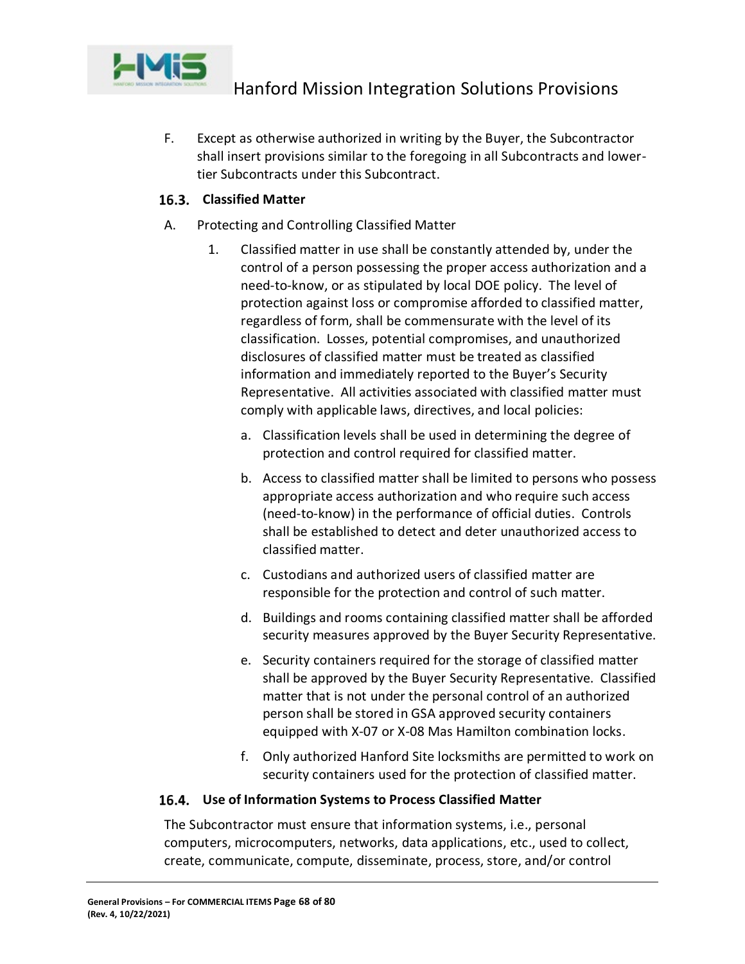

F. Except as otherwise authorized in writing by the Buyer, the Subcontractor shall insert provisions similar to the foregoing in all Subcontracts and lowertier Subcontracts under this Subcontract.

# **Classified Matter**

- A. Protecting and Controlling Classified Matter
	- 1. Classified matter in use shall be constantly attended by, under the control of a person possessing the proper access authorization and a need-to-know, or as stipulated by local DOE policy. The level of protection against loss or compromise afforded to classified matter, regardless of form, shall be commensurate with the level of its classification. Losses, potential compromises, and unauthorized disclosures of classified matter must be treated as classified information and immediately reported to the Buyer's Security Representative. All activities associated with classified matter must comply with applicable laws, directives, and local policies:
		- a. Classification levels shall be used in determining the degree of protection and control required for classified matter.
		- b. Access to classified matter shall be limited to persons who possess appropriate access authorization and who require such access (need-to-know) in the performance of official duties. Controls shall be established to detect and deter unauthorized access to classified matter.
		- c. Custodians and authorized users of classified matter are responsible for the protection and control of such matter.
		- d. Buildings and rooms containing classified matter shall be afforded security measures approved by the Buyer Security Representative.
		- e. Security containers required for the storage of classified matter shall be approved by the Buyer Security Representative. Classified matter that is not under the personal control of an authorized person shall be stored in GSA approved security containers equipped with X-07 or X-08 Mas Hamilton combination locks.
		- f. Only authorized Hanford Site locksmiths are permitted to work on security containers used for the protection of classified matter.

# **Use of Information Systems to Process Classified Matter**

The Subcontractor must ensure that information systems, i.e., personal computers, microcomputers, networks, data applications, etc., used to collect, create, communicate, compute, disseminate, process, store, and/or control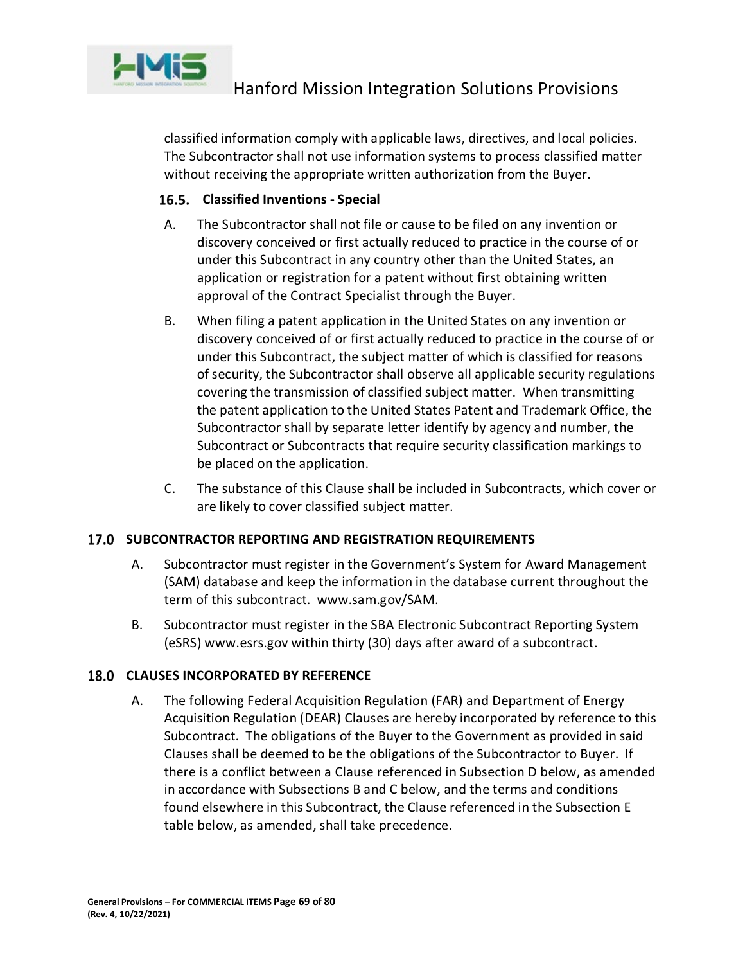

classified information comply with applicable laws, directives, and local policies. The Subcontractor shall not use information systems to process classified matter without receiving the appropriate written authorization from the Buyer.

# **Classified Inventions - Special**

- A. The Subcontractor shall not file or cause to be filed on any invention or discovery conceived or first actually reduced to practice in the course of or under this Subcontract in any country other than the United States, an application or registration for a patent without first obtaining written approval of the Contract Specialist through the Buyer.
- B. When filing a patent application in the United States on any invention or discovery conceived of or first actually reduced to practice in the course of or under this Subcontract, the subject matter of which is classified for reasons of security, the Subcontractor shall observe all applicable security regulations covering the transmission of classified subject matter. When transmitting the patent application to the United States Patent and Trademark Office, the Subcontractor shall by separate letter identify by agency and number, the Subcontract or Subcontracts that require security classification markings to be placed on the application.
- C. The substance of this Clause shall be included in Subcontracts, which cover or are likely to cover classified subject matter.

# **17.0 SUBCONTRACTOR REPORTING AND REGISTRATION REQUIREMENTS**

- A. Subcontractor must register in the Government's System for Award Management (SAM) database and keep the information in the database current throughout the term of this subcontract. [www.sam.gov/SAM.](http://www.sam.gov/SAM)
- B. Subcontractor must register in the SBA Electronic Subcontract Reporting System (eSRS) www.esrs.gov within thirty (30) days after award of a subcontract.

# **18.0 CLAUSES INCORPORATED BY REFERENCE**

A. The following Federal Acquisition Regulation (FAR) and Department of Energy Acquisition Regulation (DEAR) Clauses are hereby incorporated by reference to this Subcontract. The obligations of the Buyer to the Government as provided in said Clauses shall be deemed to be the obligations of the Subcontractor to Buyer. If there is a conflict between a Clause referenced in Subsection D below, as amended in accordance with Subsections B and C below, and the terms and conditions found elsewhere in this Subcontract, the Clause referenced in the Subsection E table below, as amended, shall take precedence.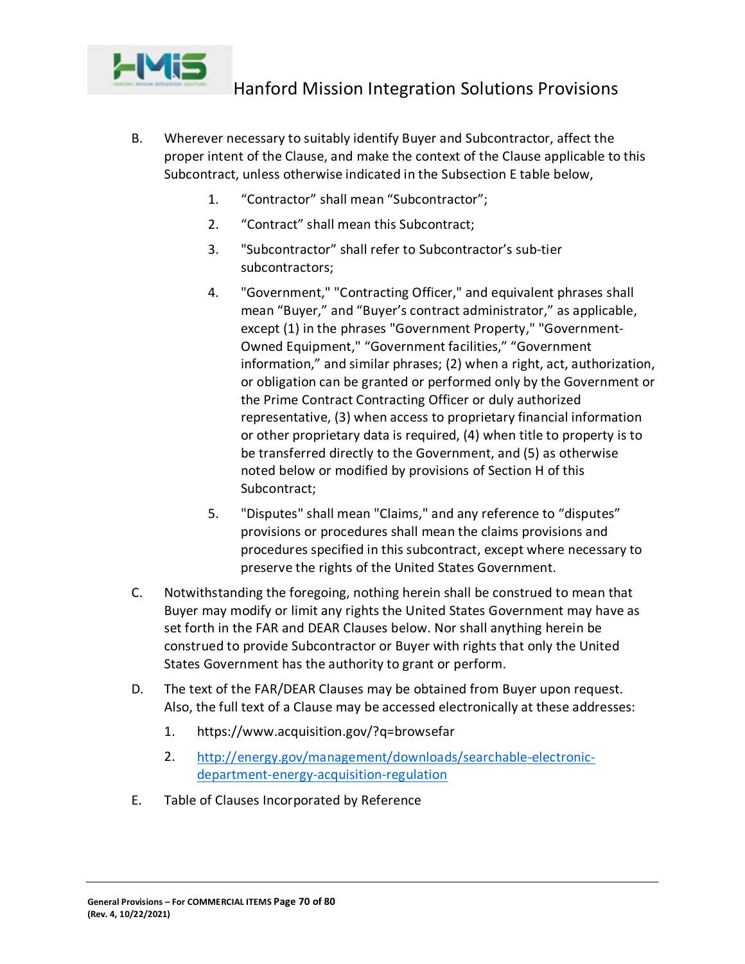

- B. Wherever necessary to suitably identify Buyer and Subcontractor, affect the proper intent of the Clause, and make the context of the Clause applicable to this Subcontract, unless otherwise indicated in the Subsection E table below,
	- 1. "Contractor" shall mean "Subcontractor";
	- 2. "Contract" shall mean this Subcontract;
	- 3. "Subcontractor" shall refer to Subcontractor's sub-tier subcontractors;
	- 4. "Government," "Contracting Officer," and equivalent phrases shall mean "Buyer," and "Buyer's contract administrator," as applicable, except (1) in the phrases "Government Property," "Government-Owned Equipment," "Government facilities," "Government information," and similar phrases; (2) when a right, act, authorization, or obligation can be granted or performed only by the Government or the Prime Contract Contracting Officer or duly authorized representative, (3) when access to proprietary financial information or other proprietary data is required, (4) when title to property is to be transferred directly to the Government, and (5) as otherwise noted below or modified by provisions of Section H of this Subcontract;
	- 5. "Disputes" shall mean "Claims," and any reference to "disputes" provisions or procedures shall mean the claims provisions and procedures specified in this subcontract, except where necessary to preserve the rights of the United States Government.
- C. Notwithstanding the foregoing, nothing herein shall be construed to mean that Buyer may modify or limit any rights the United States Government may have as set forth in the FAR and DEAR Clauses below. Nor shall anything herein be construed to provide Subcontractor or Buyer with rights that only the United States Government has the authority to grant or perform.
- D. The text of the FAR/DEAR Clauses may be obtained from Buyer upon request. Also, the full text of a Clause may be accessed electronically at these addresses:
	- 1. https://www.acquisition.gov/?q=browsefar
	- 2. [http://energy.gov/management/downloads/searchable-electronic](http://energy.gov/management/downloads/searchable-electronic-department-energy-acquisition-regulation)[department-energy-acquisition-regulation](http://energy.gov/management/downloads/searchable-electronic-department-energy-acquisition-regulation)
- E. Table of Clauses Incorporated by Reference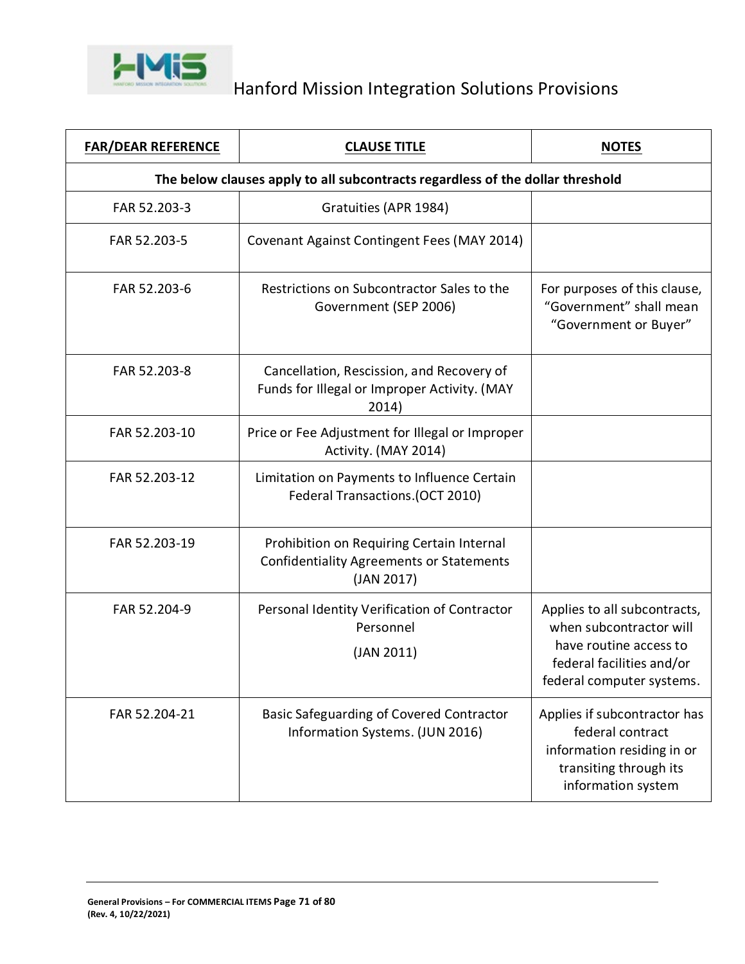

| <b>FAR/DEAR REFERENCE</b>                                                      | <b>CLAUSE TITLE</b>                                                                                        | <b>NOTES</b>                                                                                                                                |  |
|--------------------------------------------------------------------------------|------------------------------------------------------------------------------------------------------------|---------------------------------------------------------------------------------------------------------------------------------------------|--|
| The below clauses apply to all subcontracts regardless of the dollar threshold |                                                                                                            |                                                                                                                                             |  |
| FAR 52.203-3                                                                   | Gratuities (APR 1984)                                                                                      |                                                                                                                                             |  |
| FAR 52.203-5                                                                   | Covenant Against Contingent Fees (MAY 2014)                                                                |                                                                                                                                             |  |
| FAR 52.203-6                                                                   | Restrictions on Subcontractor Sales to the<br>Government (SEP 2006)                                        | For purposes of this clause,<br>"Government" shall mean<br>"Government or Buyer"                                                            |  |
| FAR 52.203-8                                                                   | Cancellation, Rescission, and Recovery of<br>Funds for Illegal or Improper Activity. (MAY<br>2014)         |                                                                                                                                             |  |
| FAR 52.203-10                                                                  | Price or Fee Adjustment for Illegal or Improper<br>Activity. (MAY 2014)                                    |                                                                                                                                             |  |
| FAR 52.203-12                                                                  | Limitation on Payments to Influence Certain<br>Federal Transactions.(OCT 2010)                             |                                                                                                                                             |  |
| FAR 52.203-19                                                                  | Prohibition on Requiring Certain Internal<br><b>Confidentiality Agreements or Statements</b><br>(JAN 2017) |                                                                                                                                             |  |
| FAR 52.204-9                                                                   | Personal Identity Verification of Contractor<br>Personnel<br>(JAN 2011)                                    | Applies to all subcontracts,<br>when subcontractor will<br>have routine access to<br>federal facilities and/or<br>federal computer systems. |  |
| FAR 52.204-21                                                                  | <b>Basic Safeguarding of Covered Contractor</b><br>Information Systems. (JUN 2016)                         | Applies if subcontractor has<br>federal contract<br>information residing in or<br>transiting through its<br>information system              |  |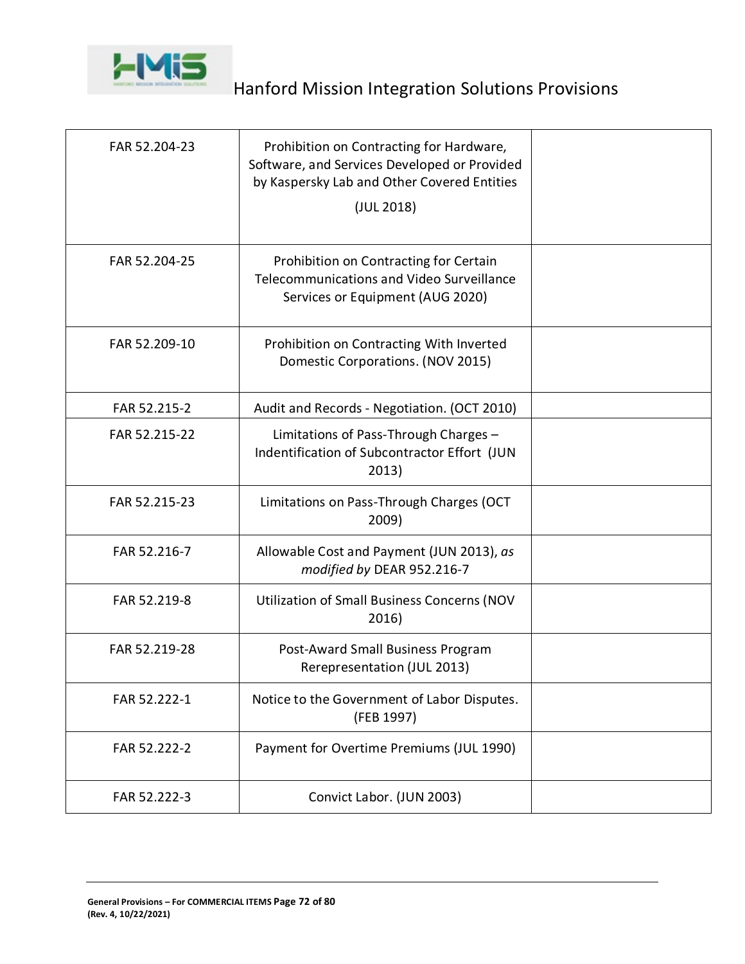

| FAR 52.204-23 | Prohibition on Contracting for Hardware,<br>Software, and Services Developed or Provided<br>by Kaspersky Lab and Other Covered Entities<br>(JUL 2018) |  |
|---------------|-------------------------------------------------------------------------------------------------------------------------------------------------------|--|
| FAR 52.204-25 | Prohibition on Contracting for Certain<br>Telecommunications and Video Surveillance<br>Services or Equipment (AUG 2020)                               |  |
| FAR 52.209-10 | Prohibition on Contracting With Inverted<br>Domestic Corporations. (NOV 2015)                                                                         |  |
| FAR 52.215-2  | Audit and Records - Negotiation. (OCT 2010)                                                                                                           |  |
| FAR 52.215-22 | Limitations of Pass-Through Charges -<br>Indentification of Subcontractor Effort (JUN<br>2013)                                                        |  |
| FAR 52.215-23 | Limitations on Pass-Through Charges (OCT<br>2009)                                                                                                     |  |
| FAR 52.216-7  | Allowable Cost and Payment (JUN 2013), as<br>modified by DEAR 952.216-7                                                                               |  |
| FAR 52.219-8  | <b>Utilization of Small Business Concerns (NOV</b><br>2016)                                                                                           |  |
| FAR 52.219-28 | Post-Award Small Business Program<br>Rerepresentation (JUL 2013)                                                                                      |  |
| FAR 52.222-1  | Notice to the Government of Labor Disputes.<br>(FEB 1997)                                                                                             |  |
| FAR 52.222-2  | Payment for Overtime Premiums (JUL 1990)                                                                                                              |  |
| FAR 52.222-3  | Convict Labor. (JUN 2003)                                                                                                                             |  |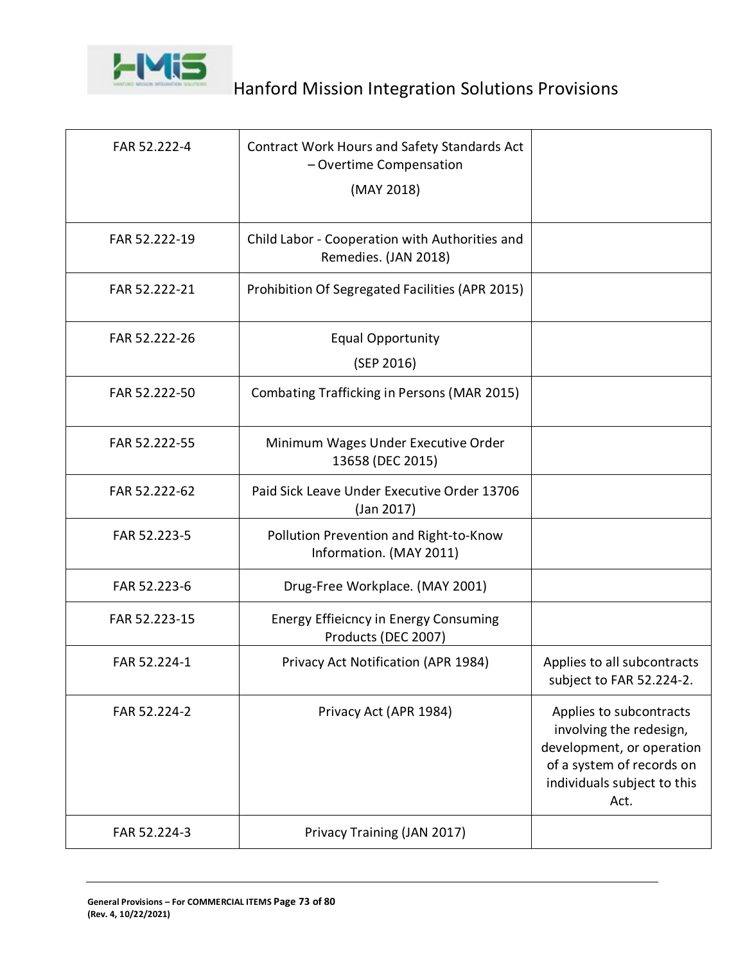

| FAR 52.222-4  | Contract Work Hours and Safety Standards Act<br>- Overtime Compensation<br>(MAY 2018) |                                                                                                                                                     |
|---------------|---------------------------------------------------------------------------------------|-----------------------------------------------------------------------------------------------------------------------------------------------------|
| FAR 52.222-19 | Child Labor - Cooperation with Authorities and<br>Remedies. (JAN 2018)                |                                                                                                                                                     |
| FAR 52.222-21 | Prohibition Of Segregated Facilities (APR 2015)                                       |                                                                                                                                                     |
| FAR 52.222-26 | <b>Equal Opportunity</b><br>(SEP 2016)                                                |                                                                                                                                                     |
| FAR 52.222-50 | Combating Trafficking in Persons (MAR 2015)                                           |                                                                                                                                                     |
| FAR 52.222-55 | Minimum Wages Under Executive Order<br>13658 (DEC 2015)                               |                                                                                                                                                     |
| FAR 52.222-62 | Paid Sick Leave Under Executive Order 13706<br>(Jan 2017)                             |                                                                                                                                                     |
| FAR 52.223-5  | Pollution Prevention and Right-to-Know<br>Information. (MAY 2011)                     |                                                                                                                                                     |
| FAR 52.223-6  | Drug-Free Workplace. (MAY 2001)                                                       |                                                                                                                                                     |
| FAR 52.223-15 | Energy Effieicncy in Energy Consuming<br>Products (DEC 2007)                          |                                                                                                                                                     |
| FAR 52.224-1  | Privacy Act Notification (APR 1984)                                                   | Applies to all subcontracts<br>subject to FAR 52.224-2.                                                                                             |
| FAR 52.224-2  | Privacy Act (APR 1984)                                                                | Applies to subcontracts<br>involving the redesign,<br>development, or operation<br>of a system of records on<br>individuals subject to this<br>Act. |
| FAR 52.224-3  | Privacy Training (JAN 2017)                                                           |                                                                                                                                                     |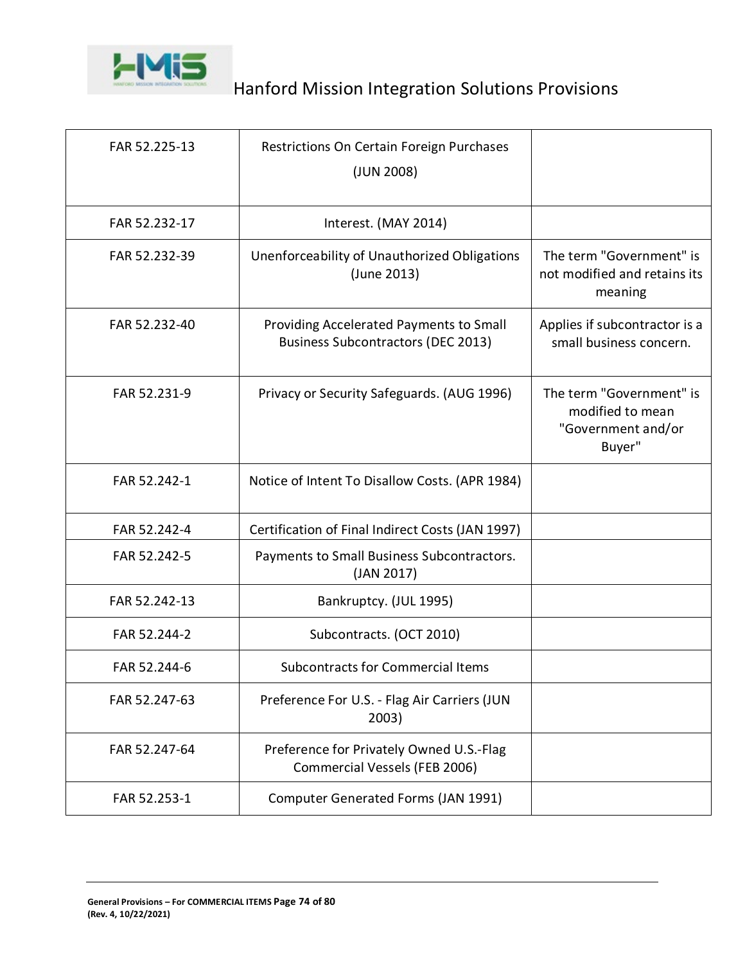

| FAR 52.225-13 | Restrictions On Certain Foreign Purchases<br>(JUN 2008)                              |                                                                              |
|---------------|--------------------------------------------------------------------------------------|------------------------------------------------------------------------------|
| FAR 52.232-17 | Interest. (MAY 2014)                                                                 |                                                                              |
| FAR 52.232-39 | Unenforceability of Unauthorized Obligations<br>(June 2013)                          | The term "Government" is<br>not modified and retains its<br>meaning          |
| FAR 52.232-40 | Providing Accelerated Payments to Small<br><b>Business Subcontractors (DEC 2013)</b> | Applies if subcontractor is a<br>small business concern.                     |
| FAR 52.231-9  | Privacy or Security Safeguards. (AUG 1996)                                           | The term "Government" is<br>modified to mean<br>"Government and/or<br>Buyer" |
| FAR 52.242-1  | Notice of Intent To Disallow Costs. (APR 1984)                                       |                                                                              |
| FAR 52.242-4  | Certification of Final Indirect Costs (JAN 1997)                                     |                                                                              |
| FAR 52.242-5  | Payments to Small Business Subcontractors.<br>(JAN 2017)                             |                                                                              |
| FAR 52.242-13 | Bankruptcy. (JUL 1995)                                                               |                                                                              |
| FAR 52.244-2  | Subcontracts. (OCT 2010)                                                             |                                                                              |
| FAR 52.244-6  | <b>Subcontracts for Commercial Items</b>                                             |                                                                              |
| FAR 52.247-63 | Preference For U.S. - Flag Air Carriers (JUN<br>2003)                                |                                                                              |
| FAR 52.247-64 | Preference for Privately Owned U.S.-Flag<br>Commercial Vessels (FEB 2006)            |                                                                              |
| FAR 52.253-1  | Computer Generated Forms (JAN 1991)                                                  |                                                                              |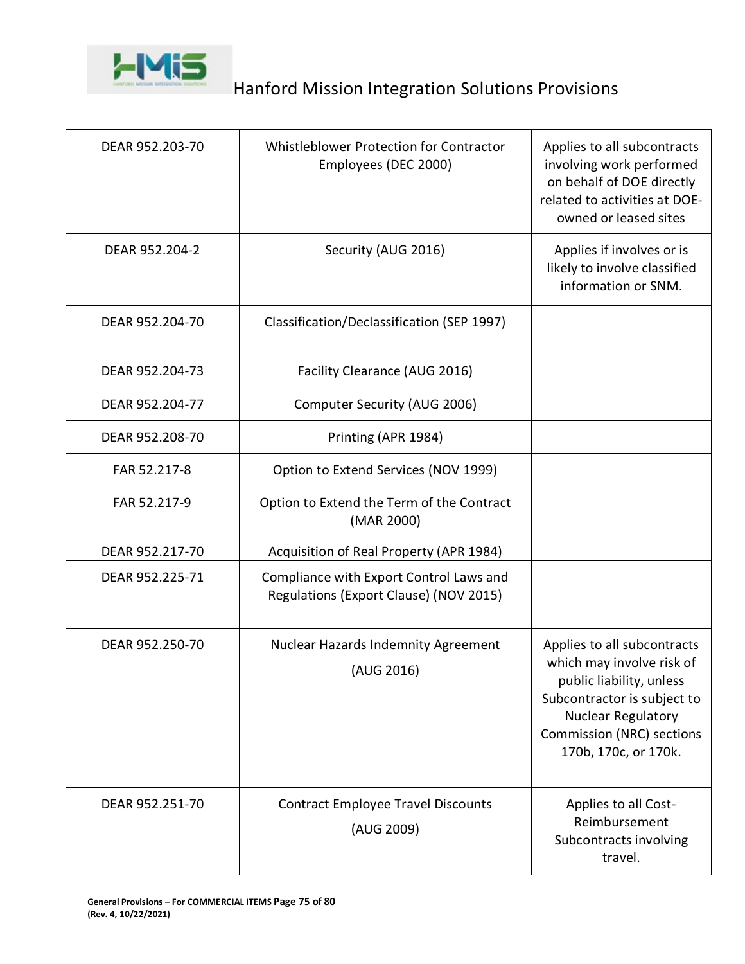

| DEAR 952.203-70 | Whistleblower Protection for Contractor<br>Employees (DEC 2000)                   | Applies to all subcontracts<br>involving work performed<br>on behalf of DOE directly<br>related to activities at DOE-<br>owned or leased sites                                                               |
|-----------------|-----------------------------------------------------------------------------------|--------------------------------------------------------------------------------------------------------------------------------------------------------------------------------------------------------------|
| DEAR 952.204-2  | Security (AUG 2016)                                                               | Applies if involves or is<br>likely to involve classified<br>information or SNM.                                                                                                                             |
| DEAR 952.204-70 | Classification/Declassification (SEP 1997)                                        |                                                                                                                                                                                                              |
| DEAR 952.204-73 | Facility Clearance (AUG 2016)                                                     |                                                                                                                                                                                                              |
| DEAR 952.204-77 | Computer Security (AUG 2006)                                                      |                                                                                                                                                                                                              |
| DEAR 952.208-70 | Printing (APR 1984)                                                               |                                                                                                                                                                                                              |
| FAR 52.217-8    | Option to Extend Services (NOV 1999)                                              |                                                                                                                                                                                                              |
| FAR 52.217-9    | Option to Extend the Term of the Contract<br>(MAR 2000)                           |                                                                                                                                                                                                              |
| DEAR 952.217-70 | Acquisition of Real Property (APR 1984)                                           |                                                                                                                                                                                                              |
| DEAR 952.225-71 | Compliance with Export Control Laws and<br>Regulations (Export Clause) (NOV 2015) |                                                                                                                                                                                                              |
| DEAR 952.250-70 | <b>Nuclear Hazards Indemnity Agreement</b><br>(AUG 2016)                          | Applies to all subcontracts<br>which may involve risk of<br>public liability, unless<br>Subcontractor is subject to<br><b>Nuclear Regulatory</b><br><b>Commission (NRC) sections</b><br>170b, 170c, or 170k. |
| DEAR 952.251-70 | <b>Contract Employee Travel Discounts</b><br>(AUG 2009)                           | Applies to all Cost-<br>Reimbursement<br>Subcontracts involving<br>travel.                                                                                                                                   |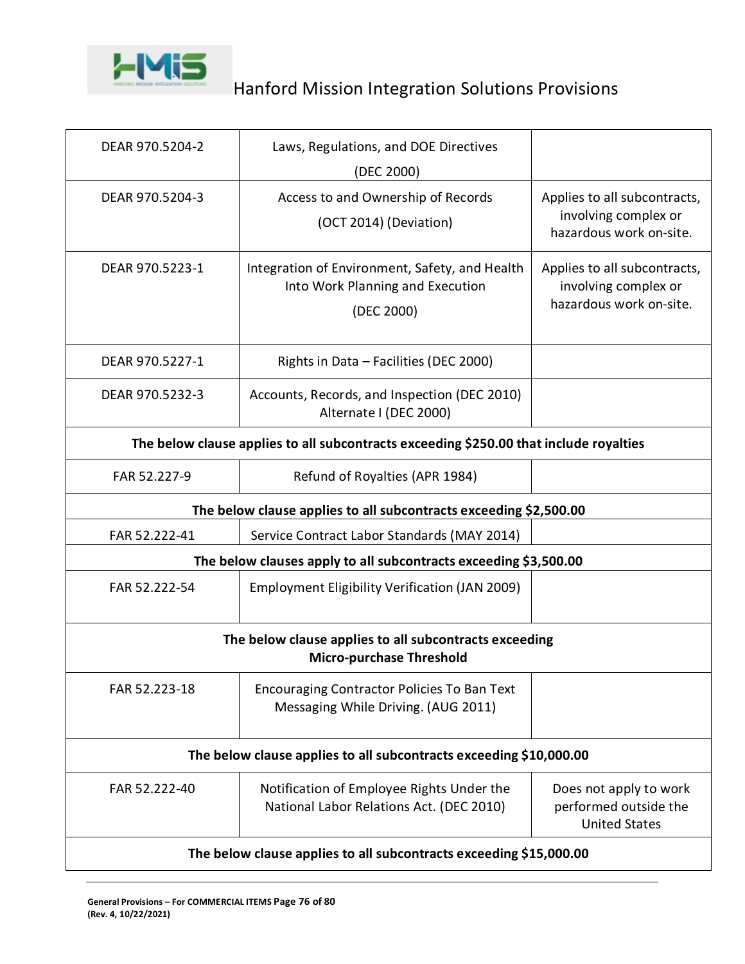

| DEAR 970.5204-2                                                                           | Laws, Regulations, and DOE Directives<br>(DEC 2000)                                              |                                                                                 |  |
|-------------------------------------------------------------------------------------------|--------------------------------------------------------------------------------------------------|---------------------------------------------------------------------------------|--|
| DEAR 970.5204-3                                                                           | Access to and Ownership of Records<br>(OCT 2014) (Deviation)                                     | Applies to all subcontracts,<br>involving complex or<br>hazardous work on-site. |  |
| DEAR 970.5223-1                                                                           | Integration of Environment, Safety, and Health<br>Into Work Planning and Execution<br>(DEC 2000) | Applies to all subcontracts,<br>involving complex or<br>hazardous work on-site. |  |
| DEAR 970.5227-1                                                                           | Rights in Data - Facilities (DEC 2000)                                                           |                                                                                 |  |
| DEAR 970.5232-3                                                                           | Accounts, Records, and Inspection (DEC 2010)<br>Alternate I (DEC 2000)                           |                                                                                 |  |
| The below clause applies to all subcontracts exceeding \$250.00 that include royalties    |                                                                                                  |                                                                                 |  |
| FAR 52.227-9                                                                              | Refund of Royalties (APR 1984)                                                                   |                                                                                 |  |
| The below clause applies to all subcontracts exceeding \$2,500.00                         |                                                                                                  |                                                                                 |  |
| FAR 52.222-41                                                                             | Service Contract Labor Standards (MAY 2014)                                                      |                                                                                 |  |
| The below clauses apply to all subcontracts exceeding \$3,500.00                          |                                                                                                  |                                                                                 |  |
| FAR 52.222-54                                                                             | Employment Eligibility Verification (JAN 2009)                                                   |                                                                                 |  |
| The below clause applies to all subcontracts exceeding<br><b>Micro-purchase Threshold</b> |                                                                                                  |                                                                                 |  |
| FAR 52.223-18                                                                             | <b>Encouraging Contractor Policies To Ban Text</b><br>Messaging While Driving. (AUG 2011)        |                                                                                 |  |
| The below clause applies to all subcontracts exceeding \$10,000.00                        |                                                                                                  |                                                                                 |  |
| FAR 52.222-40                                                                             | Notification of Employee Rights Under the<br>National Labor Relations Act. (DEC 2010)            | Does not apply to work<br>performed outside the<br><b>United States</b>         |  |
| The below clause applies to all subcontracts exceeding \$15,000.00                        |                                                                                                  |                                                                                 |  |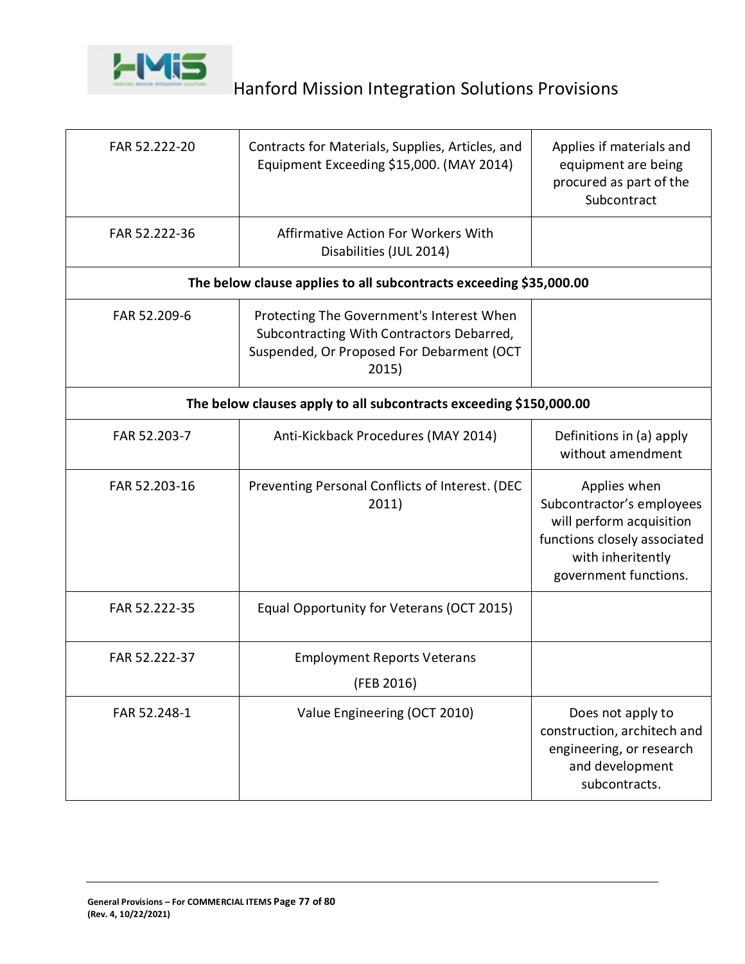

| FAR 52.222-20                                                      | Contracts for Materials, Supplies, Articles, and<br>Equipment Exceeding \$15,000. (MAY 2014)                                                 | Applies if materials and<br>equipment are being<br>procured as part of the<br>Subcontract                                                           |  |
|--------------------------------------------------------------------|----------------------------------------------------------------------------------------------------------------------------------------------|-----------------------------------------------------------------------------------------------------------------------------------------------------|--|
| FAR 52.222-36                                                      | Affirmative Action For Workers With<br>Disabilities (JUL 2014)                                                                               |                                                                                                                                                     |  |
|                                                                    | The below clause applies to all subcontracts exceeding \$35,000.00                                                                           |                                                                                                                                                     |  |
| FAR 52.209-6                                                       | Protecting The Government's Interest When<br>Subcontracting With Contractors Debarred,<br>Suspended, Or Proposed For Debarment (OCT<br>2015) |                                                                                                                                                     |  |
| The below clauses apply to all subcontracts exceeding \$150,000.00 |                                                                                                                                              |                                                                                                                                                     |  |
| FAR 52.203-7                                                       | Anti-Kickback Procedures (MAY 2014)                                                                                                          | Definitions in (a) apply<br>without amendment                                                                                                       |  |
| FAR 52.203-16                                                      | Preventing Personal Conflicts of Interest. (DEC<br>2011)                                                                                     | Applies when<br>Subcontractor's employees<br>will perform acquisition<br>functions closely associated<br>with inheritently<br>government functions. |  |
| FAR 52.222-35                                                      | Equal Opportunity for Veterans (OCT 2015)                                                                                                    |                                                                                                                                                     |  |
| FAR 52.222-37                                                      | <b>Employment Reports Veterans</b><br>(FEB 2016)                                                                                             |                                                                                                                                                     |  |
| FAR 52.248-1                                                       | Value Engineering (OCT 2010)                                                                                                                 | Does not apply to<br>construction, architech and<br>engineering, or research<br>and development<br>subcontracts.                                    |  |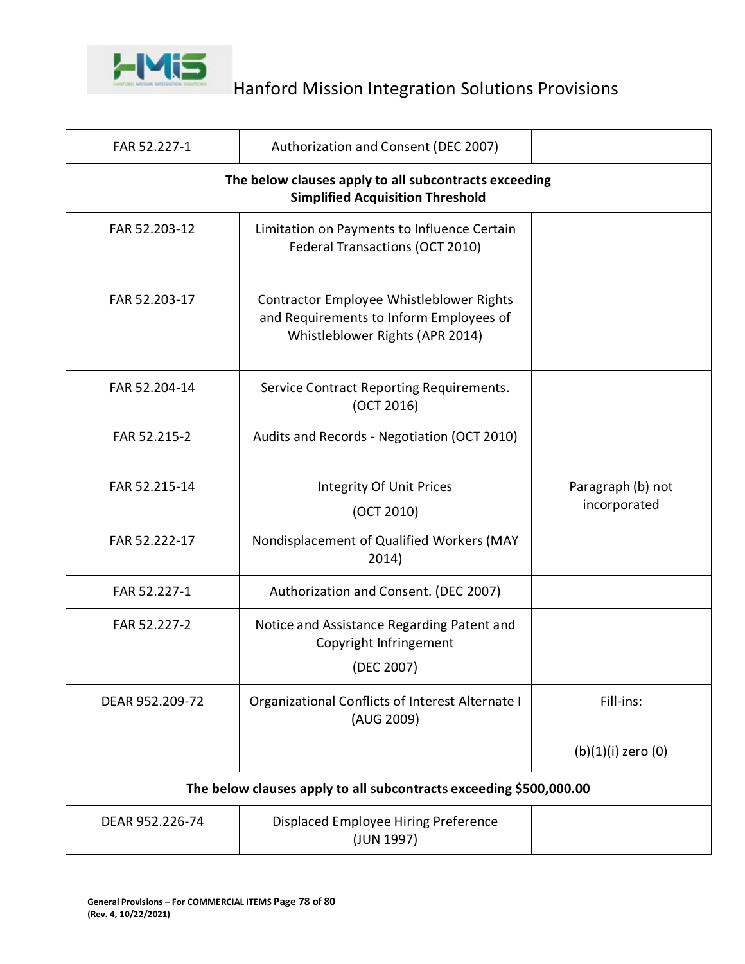

| FAR 52.227-1                                                                                     | Authorization and Consent (DEC 2007)                                                                                   |                                   |
|--------------------------------------------------------------------------------------------------|------------------------------------------------------------------------------------------------------------------------|-----------------------------------|
| The below clauses apply to all subcontracts exceeding<br><b>Simplified Acquisition Threshold</b> |                                                                                                                        |                                   |
| FAR 52.203-12                                                                                    | Limitation on Payments to Influence Certain<br>Federal Transactions (OCT 2010)                                         |                                   |
| FAR 52.203-17                                                                                    | Contractor Employee Whistleblower Rights<br>and Requirements to Inform Employees of<br>Whistleblower Rights (APR 2014) |                                   |
| FAR 52.204-14                                                                                    | Service Contract Reporting Requirements.<br>(OCT 2016)                                                                 |                                   |
| FAR 52.215-2                                                                                     | Audits and Records - Negotiation (OCT 2010)                                                                            |                                   |
| FAR 52.215-14                                                                                    | Integrity Of Unit Prices<br>(OCT 2010)                                                                                 | Paragraph (b) not<br>incorporated |
| FAR 52.222-17                                                                                    | Nondisplacement of Qualified Workers (MAY<br>2014)                                                                     |                                   |
| FAR 52.227-1                                                                                     | Authorization and Consent. (DEC 2007)                                                                                  |                                   |
| FAR 52.227-2                                                                                     | Notice and Assistance Regarding Patent and<br>Copyright Infringement<br>(DEC 2007)                                     |                                   |
| DEAR 952.209-72                                                                                  | Organizational Conflicts of Interest Alternate I<br>(AUG 2009)                                                         | Fill-ins:                         |
|                                                                                                  |                                                                                                                        | (b)(1)(i) zero (0)                |
| The below clauses apply to all subcontracts exceeding \$500,000.00                               |                                                                                                                        |                                   |
| DEAR 952.226-74                                                                                  | Displaced Employee Hiring Preference<br>(JUN 1997)                                                                     |                                   |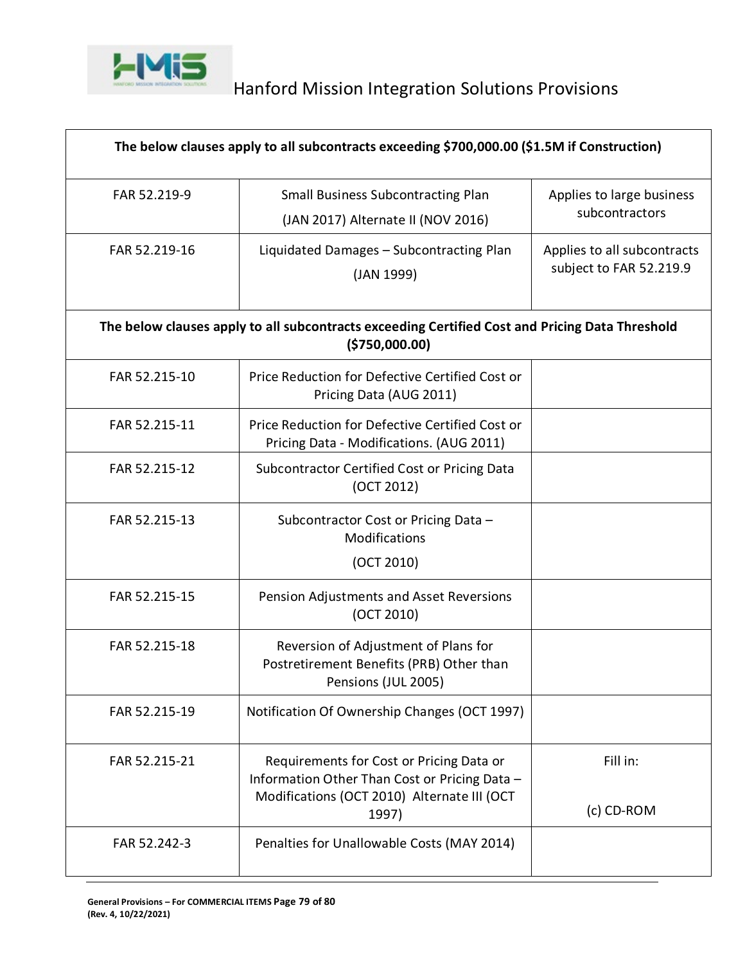

| The below clauses apply to all subcontracts exceeding \$700,000.00 (\$1.5M if Construction) |                                                                                                                                          |                                                        |
|---------------------------------------------------------------------------------------------|------------------------------------------------------------------------------------------------------------------------------------------|--------------------------------------------------------|
| FAR 52.219-9                                                                                | <b>Small Business Subcontracting Plan</b><br>(JAN 2017) Alternate II (NOV 2016)                                                          | Applies to large business<br>subcontractors            |
| FAR 52.219-16                                                                               | Liquidated Damages - Subcontracting Plan<br>(JAN 1999)                                                                                   | Applies to all subcontracts<br>subject to FAR 52.219.9 |
|                                                                                             | The below clauses apply to all subcontracts exceeding Certified Cost and Pricing Data Threshold<br>( \$750,000.00)                       |                                                        |
| FAR 52.215-10                                                                               | Price Reduction for Defective Certified Cost or<br>Pricing Data (AUG 2011)                                                               |                                                        |
| FAR 52.215-11                                                                               | Price Reduction for Defective Certified Cost or<br>Pricing Data - Modifications. (AUG 2011)                                              |                                                        |
| FAR 52.215-12                                                                               | Subcontractor Certified Cost or Pricing Data<br>(OCT 2012)                                                                               |                                                        |
| FAR 52.215-13                                                                               | Subcontractor Cost or Pricing Data -<br>Modifications                                                                                    |                                                        |
|                                                                                             | (OCT 2010)                                                                                                                               |                                                        |
| FAR 52.215-15                                                                               | Pension Adjustments and Asset Reversions<br>(OCT 2010)                                                                                   |                                                        |
| FAR 52.215-18                                                                               | Reversion of Adjustment of Plans for<br>Postretirement Benefits (PRB) Other than<br>Pensions (JUL 2005)                                  |                                                        |
| FAR 52.215-19                                                                               | Notification Of Ownership Changes (OCT 1997)                                                                                             |                                                        |
| FAR 52.215-21                                                                               | Requirements for Cost or Pricing Data or<br>Information Other Than Cost or Pricing Data -<br>Modifications (OCT 2010) Alternate III (OCT | Fill in:<br>(c) CD-ROM                                 |
|                                                                                             | 1997)                                                                                                                                    |                                                        |
| FAR 52.242-3                                                                                | Penalties for Unallowable Costs (MAY 2014)                                                                                               |                                                        |